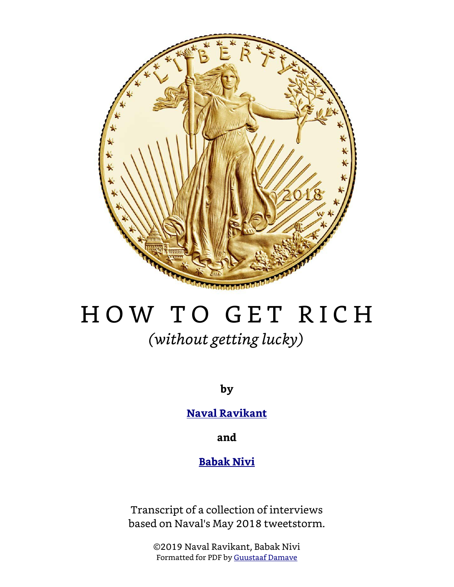

# HOW TO GET RICH

*(without getting lucky)*

**by**

**[Naval Ravikant](https://twitter.com/naval)**

**and**

# **[Babak Nivi](https://twitter.com/nivi)**

Transcript of a collection of interviews based on Naval's May 2018 tweetstorm.

> ©2019 Naval Ravikant, Babak Nivi Formatted for PDF by [Guustaaf Damave](http://guustaaf.com/)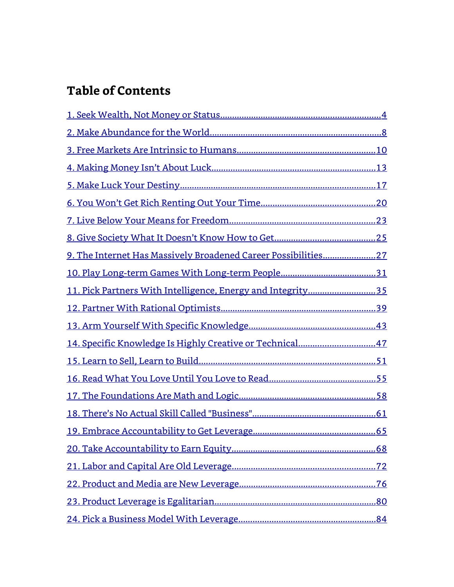# **Table of Contents**

| 9. The Internet Has Massively Broadened Career Possibilities27 |  |
|----------------------------------------------------------------|--|
|                                                                |  |
| 11. Pick Partners With Intelligence, Energy and Integrity35    |  |
|                                                                |  |
|                                                                |  |
| 14. Specific Knowledge Is Highly Creative or Technical47       |  |
|                                                                |  |
|                                                                |  |
|                                                                |  |
|                                                                |  |
|                                                                |  |
|                                                                |  |
|                                                                |  |
|                                                                |  |
|                                                                |  |
|                                                                |  |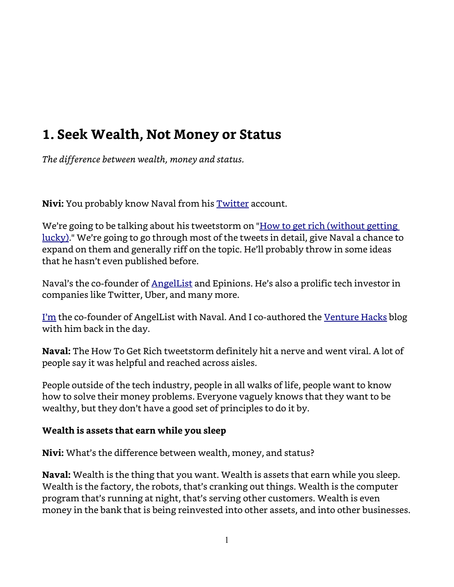# <span id="page-3-0"></span>**1. Seek Wealth, Not Money or Status**

*The difference between wealth, money and status.*

**Nivi:** You probably know Naval from his [Twitter](https://twitter.com/naval) account.

We're going to be talking about his tweetstorm on ["How to get rich \(without getting](https://twitter.com/naval/status/1002103360646823936)  [lucky\).](https://twitter.com/naval/status/1002103360646823936)" We're going to go through most of the tweets in detail, give Naval a chance to expand on them and generally riff on the topic. He'll probably throw in some ideas that he hasn't even published before.

Naval's the co-founder of [AngelList](http://angel.co/) and Epinions. He's also a prolific tech investor in companies like Twitter, Uber, and many more.

[I'm](http://twitter.com/nivi) the co-founder of AngelList with Naval. And I co-authored the [Venture Hacks](http://venturehacks.com/) blog with him back in the day.

**Naval:** The How To Get Rich tweetstorm definitely hit a nerve and went viral. A lot of people say it was helpful and reached across aisles.

People outside of the tech industry, people in all walks of life, people want to know how to solve their money problems. Everyone vaguely knows that they want to be wealthy, but they don't have a good set of principles to do it by.

#### **Wealth is assets that earn while you sleep**

**Nivi:** What's the difference between wealth, money, and status?

**Naval:** Wealth is the thing that you want. Wealth is assets that earn while you sleep. Wealth is the factory, the robots, that's cranking out things. Wealth is the computer program that's running at night, that's serving other customers. Wealth is even money in the bank that is being reinvested into other assets, and into other businesses.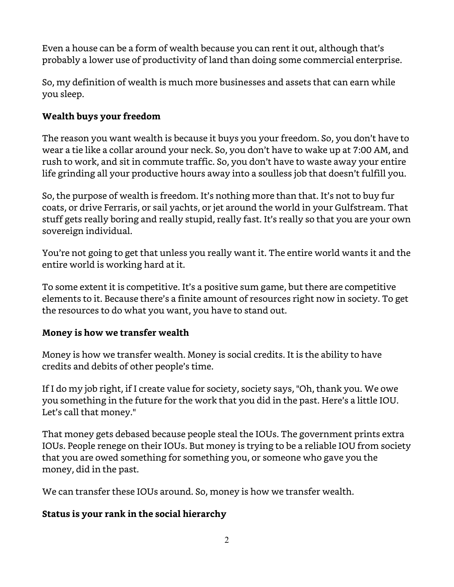Even a house can be a form of wealth because you can rent it out, although that's probably a lower use of productivity of land than doing some commercial enterprise.

So, my definition of wealth is much more businesses and assets that can earn while you sleep.

#### **Wealth buys your freedom**

The reason you want wealth is because it buys you your freedom. So, you don't have to wear a tie like a collar around your neck. So, you don't have to wake up at 7:00 AM, and rush to work, and sit in commute traffic. So, you don't have to waste away your entire life grinding all your productive hours away into a soulless job that doesn't fulfill you.

So, the purpose of wealth is freedom. It's nothing more than that. It's not to buy fur coats, or drive Ferraris, or sail yachts, or jet around the world in your Gulfstream. That stuff gets really boring and really stupid, really fast. It's really so that you are your own sovereign individual.

You're not going to get that unless you really want it. The entire world wants it and the entire world is working hard at it.

To some extent it is competitive. It's a positive sum game, but there are competitive elements to it. Because there's a finite amount of resources right now in society. To get the resources to do what you want, you have to stand out.

#### **Money is how we transfer wealth**

Money is how we transfer wealth. Money is social credits. It is the ability to have credits and debits of other people's time.

If I do my job right, if I create value for society, society says, "Oh, thank you. We owe you something in the future for the work that you did in the past. Here's a little IOU. Let's call that money."

That money gets debased because people steal the IOUs. The government prints extra IOUs. People renege on their IOUs. But money is trying to be a reliable IOU from society that you are owed something for something you, or someone who gave you the money, did in the past.

We can transfer these IOUs around. So, money is how we transfer wealth.

#### **Status is your rank in the social hierarchy**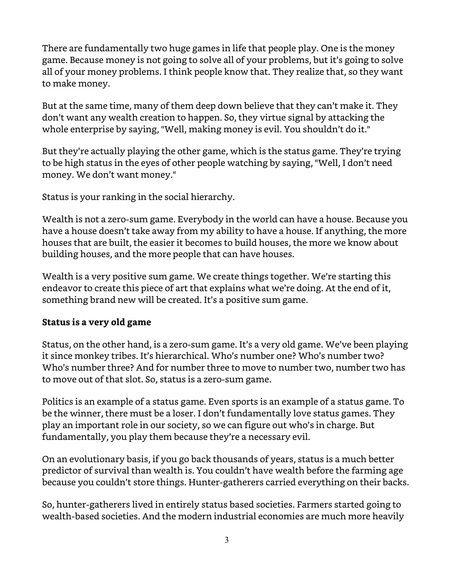There are fundamentally two huge games in life that people play. One is the money game. Because money is not going to solve all of your problems, but it's going to solve all of your money problems. I think people know that. They realize that, so they want to make money.

But at the same time, many of them deep down believe that they can't make it. They don't want any wealth creation to happen. So, they virtue signal by attacking the whole enterprise by saying, "Well, making money is evil. You shouldn't do it."

But they're actually playing the other game, which is the status game. They're trying to be high status in the eyes of other people watching by saying, "Well, I don't need money. We don't want money."

Status is your ranking in the social hierarchy.

Wealth is not a zero-sum game. Everybody in the world can have a house. Because you have a house doesn't take away from my ability to have a house. If anything, the more houses that are built, the easier it becomes to build houses, the more we know about building houses, and the more people that can have houses.

Wealth is a very positive sum game. We create things together. We're starting this endeavor to create this piece of art that explains what we're doing. At the end of it, something brand new will be created. It's a positive sum game.

#### **Status is a very old game**

Status, on the other hand, is a zero-sum game. It's a very old game. We've been playing it since monkey tribes. It's hierarchical. Who's number one? Who's number two? Who's number three? And for number three to move to number two, number two has to move out of that slot. So, status is a zero-sum game.

Politics is an example of a status game. Even sports is an example of a status game. To be the winner, there must be a loser. I don't fundamentally love status games. They play an important role in our society, so we can figure out who's in charge. But fundamentally, you play them because they're a necessary evil.

On an evolutionary basis, if you go back thousands of years, status is a much better predictor of survival than wealth is. You couldn't have wealth before the farming age because you couldn't store things. Hunter-gatherers carried everything on their backs.

So, hunter-gatherers lived in entirely status based societies. Farmers started going to wealth-based societies. And the modern industrial economies are much more heavily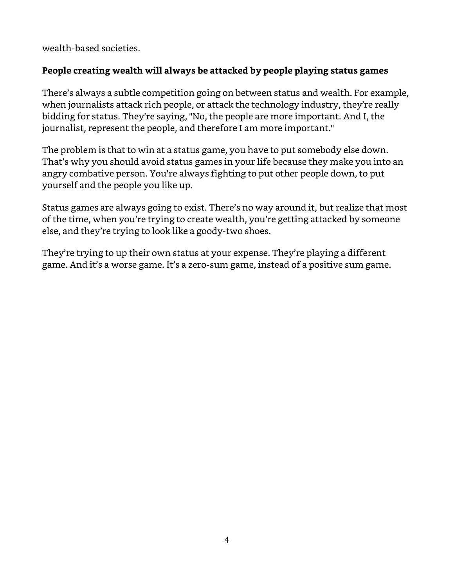wealth-based societies.

### **People creating wealth will always be attacked by people playing status games**

There's always a subtle competition going on between status and wealth. For example, when journalists attack rich people, or attack the technology industry, they're really bidding for status. They're saying, "No, the people are more important. And I, the journalist, represent the people, and therefore I am more important."

The problem is that to win at a status game, you have to put somebody else down. That's why you should avoid status games in your life because they make you into an angry combative person. You're always fighting to put other people down, to put yourself and the people you like up.

Status games are always going to exist. There's no way around it, but realize that most of the time, when you're trying to create wealth, you're getting attacked by someone else, and they're trying to look like a goody-two shoes.

They're trying to up their own status at your expense. They're playing a different game. And it's a worse game. It's a zero-sum game, instead of a positive sum game.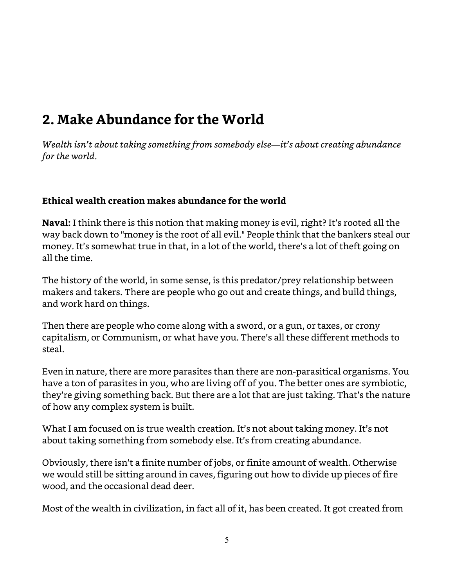# <span id="page-7-0"></span>**2. Make Abundance for the World**

*Wealth isn't about taking something from somebody else—it's about creating abundance for the world.*

#### **Ethical wealth creation makes abundance for the world**

**Naval:** I think there is this notion that making money is evil, right? It's rooted all the way back down to "money is the root of all evil." People think that the bankers steal our money. It's somewhat true in that, in a lot of the world, there's a lot of theft going on all the time.

The history of the world, in some sense, is this predator/prey relationship between makers and takers. There are people who go out and create things, and build things, and work hard on things.

Then there are people who come along with a sword, or a gun, or taxes, or crony capitalism, or Communism, or what have you. There's all these different methods to steal.

Even in nature, there are more parasites than there are non-parasitical organisms. You have a ton of parasites in you, who are living off of you. The better ones are symbiotic, they're giving something back. But there are a lot that are just taking. That's the nature of how any complex system is built.

What I am focused on is true wealth creation. It's not about taking money. It's not about taking something from somebody else. It's from creating abundance.

Obviously, there isn't a finite number of jobs, or finite amount of wealth. Otherwise we would still be sitting around in caves, figuring out how to divide up pieces of fire wood, and the occasional dead deer.

Most of the wealth in civilization, in fact all of it, has been created. It got created from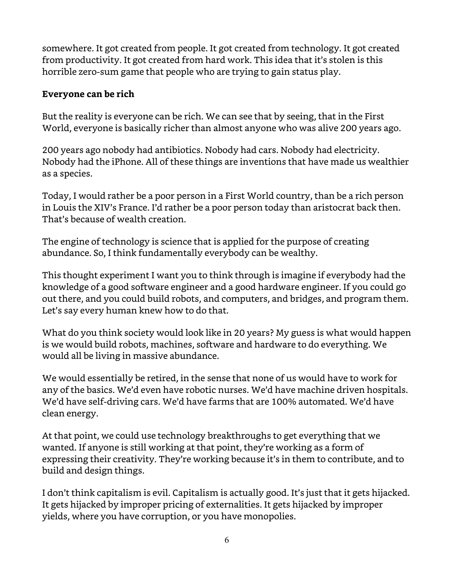somewhere. It got created from people. It got created from technology. It got created from productivity. It got created from hard work. This idea that it's stolen is this horrible zero-sum game that people who are trying to gain status play.

#### **Everyone can be rich**

But the reality is everyone can be rich. We can see that by seeing, that in the First World, everyone is basically richer than almost anyone who was alive 200 years ago.

200 years ago nobody had antibiotics. Nobody had cars. Nobody had electricity. Nobody had the iPhone. All of these things are inventions that have made us wealthier as a species.

Today, I would rather be a poor person in a First World country, than be a rich person in Louis the XIV's France. I'd rather be a poor person today than aristocrat back then. That's because of wealth creation.

The engine of technology is science that is applied for the purpose of creating abundance. So, I think fundamentally everybody can be wealthy.

This thought experiment I want you to think through is imagine if everybody had the knowledge of a good software engineer and a good hardware engineer. If you could go out there, and you could build robots, and computers, and bridges, and program them. Let's say every human knew how to do that.

What do you think society would look like in 20 years? My guess is what would happen is we would build robots, machines, software and hardware to do everything. We would all be living in massive abundance.

We would essentially be retired, in the sense that none of us would have to work for any of the basics. We'd even have robotic nurses. We'd have machine driven hospitals. We'd have self-driving cars. We'd have farms that are 100% automated. We'd have clean energy.

At that point, we could use technology breakthroughs to get everything that we wanted. If anyone is still working at that point, they're working as a form of expressing their creativity. They're working because it's in them to contribute, and to build and design things.

I don't think capitalism is evil. Capitalism is actually good. It's just that it gets hijacked. It gets hijacked by improper pricing of externalities. It gets hijacked by improper yields, where you have corruption, or you have monopolies.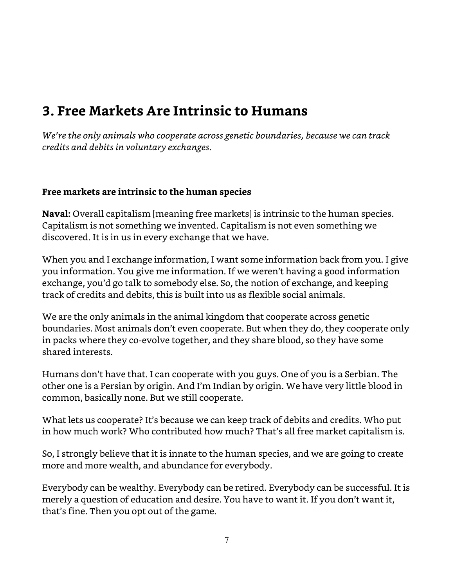# <span id="page-9-0"></span>**3. Free Markets Are Intrinsic to Humans**

*We're the only animals who cooperate across genetic boundaries, because we can track credits and debits in voluntary exchanges.*

#### **Free markets are intrinsic to the human species**

**Naval:** Overall capitalism [meaning free markets] is intrinsic to the human species. Capitalism is not something we invented. Capitalism is not even something we discovered. It is in us in every exchange that we have.

When you and I exchange information, I want some information back from you. I give you information. You give me information. If we weren't having a good information exchange, you'd go talk to somebody else. So, the notion of exchange, and keeping track of credits and debits, this is built into us as flexible social animals.

We are the only animals in the animal kingdom that cooperate across genetic boundaries. Most animals don't even cooperate. But when they do, they cooperate only in packs where they co-evolve together, and they share blood, so they have some shared interests.

Humans don't have that. I can cooperate with you guys. One of you is a Serbian. The other one is a Persian by origin. And I'm Indian by origin. We have very little blood in common, basically none. But we still cooperate.

What lets us cooperate? It's because we can keep track of debits and credits. Who put in how much work? Who contributed how much? That's all free market capitalism is.

So, I strongly believe that it is innate to the human species, and we are going to create more and more wealth, and abundance for everybody.

Everybody can be wealthy. Everybody can be retired. Everybody can be successful. It is merely a question of education and desire. You have to want it. If you don't want it, that's fine. Then you opt out of the game.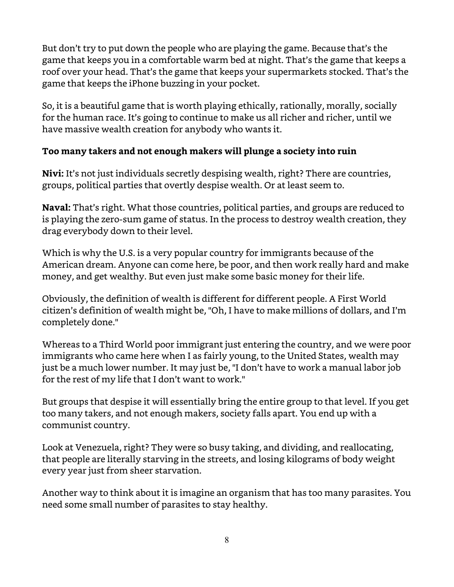But don't try to put down the people who are playing the game. Because that's the game that keeps you in a comfortable warm bed at night. That's the game that keeps a roof over your head. That's the game that keeps your supermarkets stocked. That's the game that keeps the iPhone buzzing in your pocket.

So, it is a beautiful game that is worth playing ethically, rationally, morally, socially for the human race. It's going to continue to make us all richer and richer, until we have massive wealth creation for anybody who wants it.

#### **Too many takers and not enough makers will plunge a society into ruin**

**Nivi:** It's not just individuals secretly despising wealth, right? There are countries, groups, political parties that overtly despise wealth. Or at least seem to.

**Naval:** That's right. What those countries, political parties, and groups are reduced to is playing the zero-sum game of status. In the process to destroy wealth creation, they drag everybody down to their level.

Which is why the U.S. is a very popular country for immigrants because of the American dream. Anyone can come here, be poor, and then work really hard and make money, and get wealthy. But even just make some basic money for their life.

Obviously, the definition of wealth is different for different people. A First World citizen's definition of wealth might be, "Oh, I have to make millions of dollars, and I'm completely done."

Whereas to a Third World poor immigrant just entering the country, and we were poor immigrants who came here when I as fairly young, to the United States, wealth may just be a much lower number. It may just be, "I don't have to work a manual labor job for the rest of my life that I don't want to work."

But groups that despise it will essentially bring the entire group to that level. If you get too many takers, and not enough makers, society falls apart. You end up with a communist country.

Look at Venezuela, right? They were so busy taking, and dividing, and reallocating, that people are literally starving in the streets, and losing kilograms of body weight every year just from sheer starvation.

Another way to think about it is imagine an organism that has too many parasites. You need some small number of parasites to stay healthy.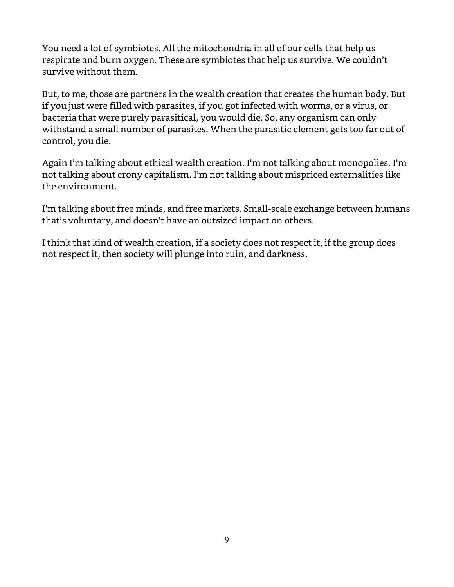You need a lot of symbiotes. All the mitochondria in all of our cells that help us respirate and burn oxygen. These are symbiotes that help us survive. We couldn't survive without them.

But, to me, those are partners in the wealth creation that creates the human body. But if you just were filled with parasites, if you got infected with worms, or a virus, or bacteria that were purely parasitical, you would die. So, any organism can only withstand a small number of parasites. When the parasitic element gets too far out of control, you die.

Again I'm talking about ethical wealth creation. I'm not talking about monopolies. I'm not talking about crony capitalism. I'm not talking about mispriced externalities like the environment.

I'm talking about free minds, and free markets. Small-scale exchange between humans that's voluntary, and doesn't have an outsized impact on others.

I think that kind of wealth creation, if a society does not respect it, if the group does not respect it, then society will plunge into ruin, and darkness.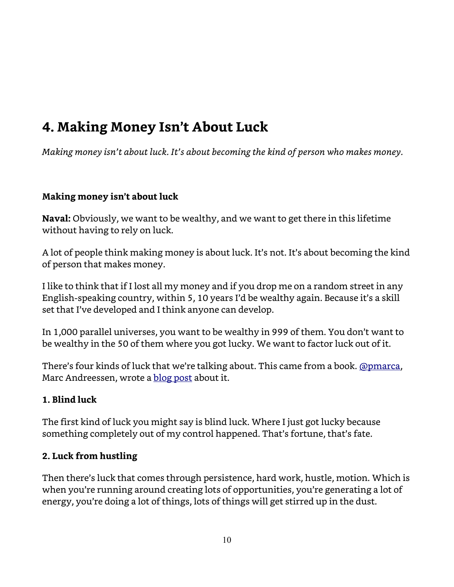# <span id="page-12-0"></span>**4. Making Money Isn't About Luck**

*Making money isn't about luck. It's about becoming the kind of person who makes money.*

#### **Making money isn't about luck**

**Naval:** Obviously, we want to be wealthy, and we want to get there in this lifetime without having to rely on luck.

A lot of people think making money is about luck. It's not. It's about becoming the kind of person that makes money.

I like to think that if I lost all my money and if you drop me on a random street in any English-speaking country, within 5, 10 years I'd be wealthy again. Because it's a skill set that I've developed and I think anyone can develop.

In 1,000 parallel universes, you want to be wealthy in 999 of them. You don't want to be wealthy in the 50 of them where you got lucky. We want to factor luck out of it.

There's four kinds of luck that we're talking about. This came from a book. <u>@pmarca</u>, Marc Andreessen, wrote a [blog post](https://pmarchive.com/luck_and_the_entrepreneur.html) about it.

### **1. Blind luck**

The first kind of luck you might say is blind luck. Where I just got lucky because something completely out of my control happened. That's fortune, that's fate.

### **2. Luck from hustling**

Then there's luck that comes through persistence, hard work, hustle, motion. Which is when you're running around creating lots of opportunities, you're generating a lot of energy, you're doing a lot of things, lots of things will get stirred up in the dust.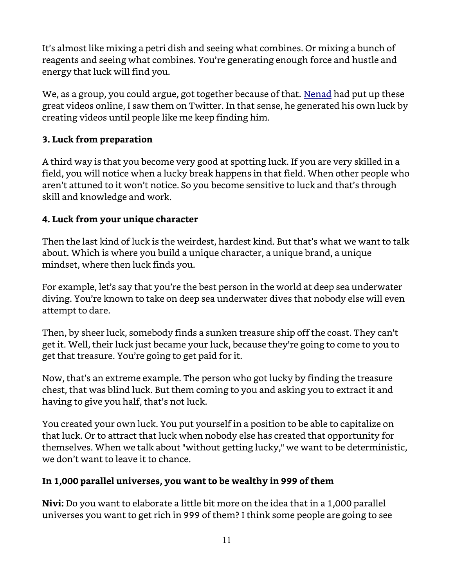It's almost like mixing a petri dish and seeing what combines. Or mixing a bunch of reagents and seeing what combines. You're generating enough force and hustle and energy that luck will find you.

We, as a group, you could argue, got together because of that. [Nenad](https://m.youtube.com/channel/UCmvhCWvHk3-SJqljh5cCm8A) had put up these great videos online, I saw them on Twitter. In that sense, he generated his own luck by creating videos until people like me keep finding him.

#### **3. Luck from preparation**

A third way is that you become very good at spotting luck. If you are very skilled in a field, you will notice when a lucky break happens in that field. When other people who aren't attuned to it won't notice. So you become sensitive to luck and that's through skill and knowledge and work.

#### **4. Luck from your unique character**

Then the last kind of luck is the weirdest, hardest kind. But that's what we want to talk about. Which is where you build a unique character, a unique brand, a unique mindset, where then luck finds you.

For example, let's say that you're the best person in the world at deep sea underwater diving. You're known to take on deep sea underwater dives that nobody else will even attempt to dare.

Then, by sheer luck, somebody finds a sunken treasure ship off the coast. They can't get it. Well, their luck just became your luck, because they're going to come to you to get that treasure. You're going to get paid for it.

Now, that's an extreme example. The person who got lucky by finding the treasure chest, that was blind luck. But them coming to you and asking you to extract it and having to give you half, that's not luck.

You created your own luck. You put yourself in a position to be able to capitalize on that luck. Or to attract that luck when nobody else has created that opportunity for themselves. When we talk about "without getting lucky," we want to be deterministic, we don't want to leave it to chance.

#### **In 1,000 parallel universes, you want to be wealthy in 999 of them**

**Nivi:** Do you want to elaborate a little bit more on the idea that in a 1,000 parallel universes you want to get rich in 999 of them? I think some people are going to see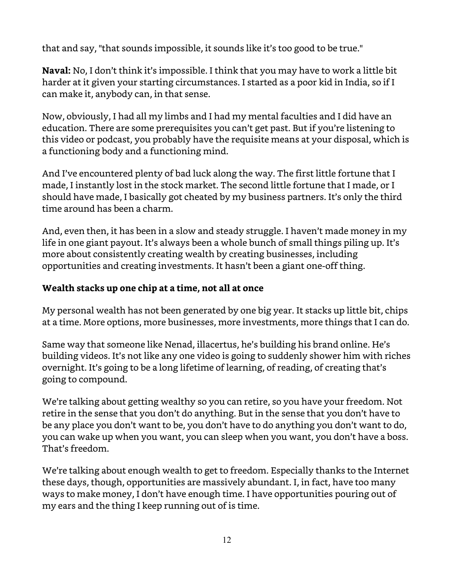that and say, "that sounds impossible, it sounds like it's too good to be true."

**Naval:** No, I don't think it's impossible. I think that you may have to work a little bit harder at it given your starting circumstances. I started as a poor kid in India, so if I can make it, anybody can, in that sense.

Now, obviously, I had all my limbs and I had my mental faculties and I did have an education. There are some prerequisites you can't get past. But if you're listening to this video or podcast, you probably have the requisite means at your disposal, which is a functioning body and a functioning mind.

And I've encountered plenty of bad luck along the way. The first little fortune that I made, I instantly lost in the stock market. The second little fortune that I made, or I should have made, I basically got cheated by my business partners. It's only the third time around has been a charm.

And, even then, it has been in a slow and steady struggle. I haven't made money in my life in one giant payout. It's always been a whole bunch of small things piling up. It's more about consistently creating wealth by creating businesses, including opportunities and creating investments. It hasn't been a giant one-off thing.

### **Wealth stacks up one chip at a time, not all at once**

My personal wealth has not been generated by one big year. It stacks up little bit, chips at a time. More options, more businesses, more investments, more things that I can do.

Same way that someone like Nenad, illacertus, he's building his brand online. He's building videos. It's not like any one video is going to suddenly shower him with riches overnight. It's going to be a long lifetime of learning, of reading, of creating that's going to compound.

We're talking about getting wealthy so you can retire, so you have your freedom. Not retire in the sense that you don't do anything. But in the sense that you don't have to be any place you don't want to be, you don't have to do anything you don't want to do, you can wake up when you want, you can sleep when you want, you don't have a boss. That's freedom.

We're talking about enough wealth to get to freedom. Especially thanks to the Internet these days, though, opportunities are massively abundant. I, in fact, have too many ways to make money, I don't have enough time. I have opportunities pouring out of my ears and the thing I keep running out of is time.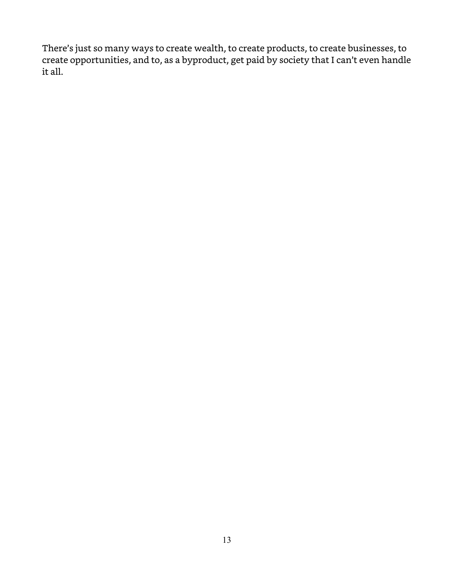There's just so many ways to create wealth, to create products, to create businesses, to create opportunities, and to, as a byproduct, get paid by society that I can't even handle it all.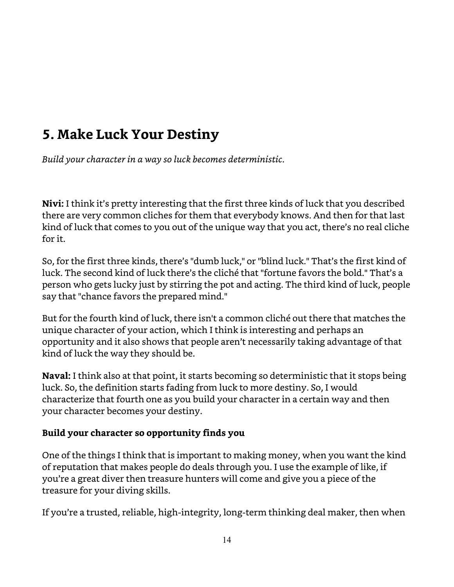# <span id="page-16-0"></span>**5. Make Luck Your Destiny**

*Build your character in a way so luck becomes deterministic.*

**Nivi:** I think it's pretty interesting that the first three kinds of luck that you described there are very common cliches for them that everybody knows. And then for that last kind of luck that comes to you out of the unique way that you act, there's no real cliche for it.

So, for the first three kinds, there's "dumb luck," or "blind luck." That's the first kind of luck. The second kind of luck there's the cliché that "fortune favors the bold." That's a person who gets lucky just by stirring the pot and acting. The third kind of luck, people say that "chance favors the prepared mind."

But for the fourth kind of luck, there isn't a common cliché out there that matches the unique character of your action, which I think is interesting and perhaps an opportunity and it also shows that people aren't necessarily taking advantage of that kind of luck the way they should be.

**Naval:** I think also at that point, it starts becoming so deterministic that it stops being luck. So, the definition starts fading from luck to more destiny. So, I would characterize that fourth one as you build your character in a certain way and then your character becomes your destiny.

### **Build your character so opportunity finds you**

One of the things I think that is important to making money, when you want the kind of reputation that makes people do deals through you. I use the example of like, if you're a great diver then treasure hunters will come and give you a piece of the treasure for your diving skills.

If you're a trusted, reliable, high-integrity, long-term thinking deal maker, then when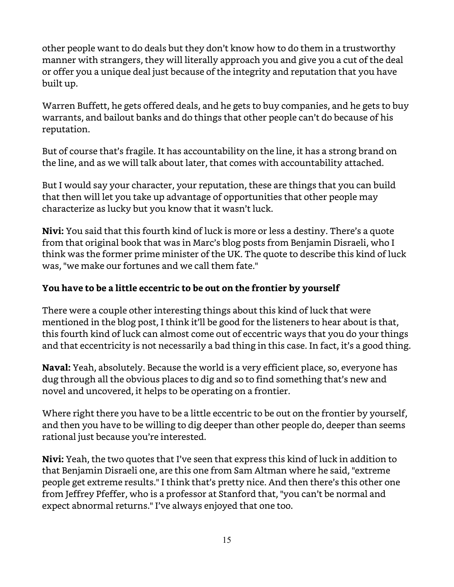other people want to do deals but they don't know how to do them in a trustworthy manner with strangers, they will literally approach you and give you a cut of the deal or offer you a unique deal just because of the integrity and reputation that you have built up.

Warren Buffett, he gets offered deals, and he gets to buy companies, and he gets to buy warrants, and bailout banks and do things that other people can't do because of his reputation.

But of course that's fragile. It has accountability on the line, it has a strong brand on the line, and as we will talk about later, that comes with accountability attached.

But I would say your character, your reputation, these are things that you can build that then will let you take up advantage of opportunities that other people may characterize as lucky but you know that it wasn't luck.

**Nivi:** You said that this fourth kind of luck is more or less a destiny. There's a quote from that original book that was in Marc's blog posts from Benjamin Disraeli, who I think was the former prime minister of the UK. The quote to describe this kind of luck was, "we make our fortunes and we call them fate."

### **You have to be a little eccentric to be out on the frontier by yourself**

There were a couple other interesting things about this kind of luck that were mentioned in the blog post, I think it'll be good for the listeners to hear about is that, this fourth kind of luck can almost come out of eccentric ways that you do your things and that eccentricity is not necessarily a bad thing in this case. In fact, it's a good thing.

**Naval:** Yeah, absolutely. Because the world is a very efficient place, so, everyone has dug through all the obvious places to dig and so to find something that's new and novel and uncovered, it helps to be operating on a frontier.

Where right there you have to be a little eccentric to be out on the frontier by yourself, and then you have to be willing to dig deeper than other people do, deeper than seems rational just because you're interested.

**Nivi:** Yeah, the two quotes that I've seen that express this kind of luck in addition to that Benjamin Disraeli one, are this one from Sam Altman where he said, "extreme people get extreme results." I think that's pretty nice. And then there's this other one from Jeffrey Pfeffer, who is a professor at Stanford that, "you can't be normal and expect abnormal returns." I've always enjoyed that one too.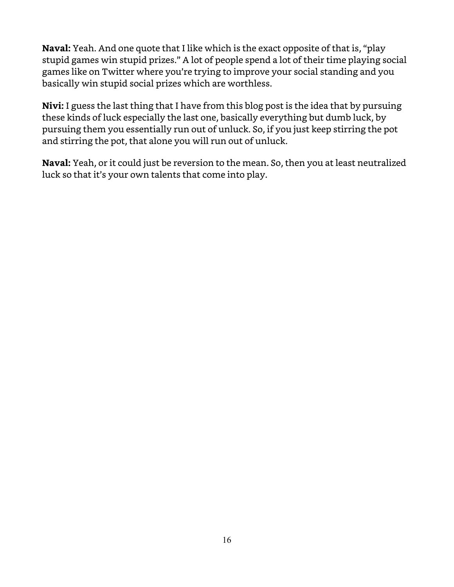**Naval:** Yeah. And one quote that I like which is the exact opposite of that is, "play stupid games win stupid prizes." A lot of people spend a lot of their time playing social games like on Twitter where you're trying to improve your social standing and you basically win stupid social prizes which are worthless.

**Nivi:** I guess the last thing that I have from this blog post is the idea that by pursuing these kinds of luck especially the last one, basically everything but dumb luck, by pursuing them you essentially run out of unluck. So, if you just keep stirring the pot and stirring the pot, that alone you will run out of unluck.

**Naval:** Yeah, or it could just be reversion to the mean. So, then you at least neutralized luck so that it's your own talents that come into play.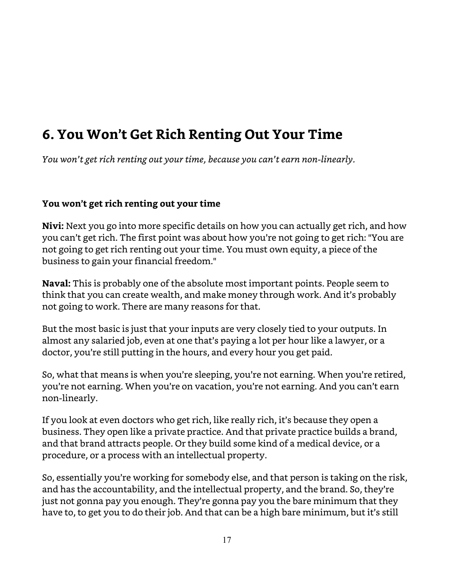# <span id="page-19-0"></span>**6. You Won't Get Rich Renting Out Your Time**

*You won't get rich renting out your time, because you can't earn non-linearly.*

#### **You won't get rich renting out your time**

**Nivi:** Next you go into more specific details on how you can actually get rich, and how you can't get rich. The first point was about how you're not going to get rich: "You are not going to get rich renting out your time. You must own equity, a piece of the business to gain your financial freedom."

**Naval:** This is probably one of the absolute most important points. People seem to think that you can create wealth, and make money through work. And it's probably not going to work. There are many reasons for that.

But the most basic is just that your inputs are very closely tied to your outputs. In almost any salaried job, even at one that's paying a lot per hour like a lawyer, or a doctor, you're still putting in the hours, and every hour you get paid.

So, what that means is when you're sleeping, you're not earning. When you're retired, you're not earning. When you're on vacation, you're not earning. And you can't earn non-linearly.

If you look at even doctors who get rich, like really rich, it's because they open a business. They open like a private practice. And that private practice builds a brand, and that brand attracts people. Or they build some kind of a medical device, or a procedure, or a process with an intellectual property.

So, essentially you're working for somebody else, and that person is taking on the risk, and has the accountability, and the intellectual property, and the brand. So, they're just not gonna pay you enough. They're gonna pay you the bare minimum that they have to, to get you to do their job. And that can be a high bare minimum, but it's still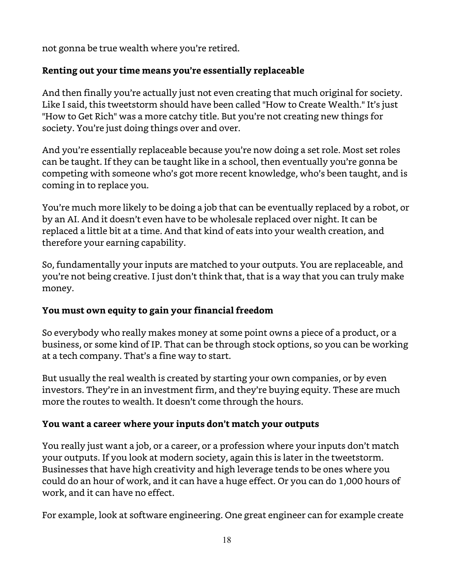not gonna be true wealth where you're retired.

## **Renting out your time means you're essentially replaceable**

And then finally you're actually just not even creating that much original for society. Like I said, this tweetstorm should have been called "How to Create Wealth." It's just "How to Get Rich" was a more catchy title. But you're not creating new things for society. You're just doing things over and over.

And you're essentially replaceable because you're now doing a set role. Most set roles can be taught. If they can be taught like in a school, then eventually you're gonna be competing with someone who's got more recent knowledge, who's been taught, and is coming in to replace you.

You're much more likely to be doing a job that can be eventually replaced by a robot, or by an AI. And it doesn't even have to be wholesale replaced over night. It can be replaced a little bit at a time. And that kind of eats into your wealth creation, and therefore your earning capability.

So, fundamentally your inputs are matched to your outputs. You are replaceable, and you're not being creative. I just don't think that, that is a way that you can truly make money.

# **You must own equity to gain your financial freedom**

So everybody who really makes money at some point owns a piece of a product, or a business, or some kind of IP. That can be through stock options, so you can be working at a tech company. That's a fine way to start.

But usually the real wealth is created by starting your own companies, or by even investors. They're in an investment firm, and they're buying equity. These are much more the routes to wealth. It doesn't come through the hours.

### **You want a career where your inputs don't match your outputs**

You really just want a job, or a career, or a profession where your inputs don't match your outputs. If you look at modern society, again this is later in the tweetstorm. Businesses that have high creativity and high leverage tends to be ones where you could do an hour of work, and it can have a huge effect. Or you can do 1,000 hours of work, and it can have no effect.

For example, look at software engineering. One great engineer can for example create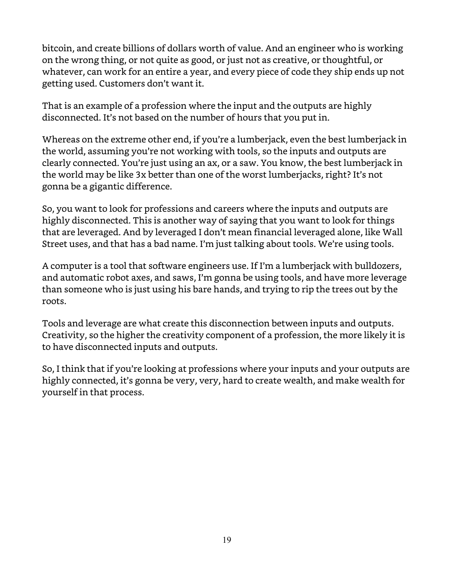bitcoin, and create billions of dollars worth of value. And an engineer who is working on the wrong thing, or not quite as good, or just not as creative, or thoughtful, or whatever, can work for an entire a year, and every piece of code they ship ends up not getting used. Customers don't want it.

That is an example of a profession where the input and the outputs are highly disconnected. It's not based on the number of hours that you put in.

Whereas on the extreme other end, if you're a lumberjack, even the best lumberjack in the world, assuming you're not working with tools, so the inputs and outputs are clearly connected. You're just using an ax, or a saw. You know, the best lumberjack in the world may be like 3x better than one of the worst lumberjacks, right? It's not gonna be a gigantic difference.

So, you want to look for professions and careers where the inputs and outputs are highly disconnected. This is another way of saying that you want to look for things that are leveraged. And by leveraged I don't mean financial leveraged alone, like Wall Street uses, and that has a bad name. I'm just talking about tools. We're using tools.

A computer is a tool that software engineers use. If I'm a lumberjack with bulldozers, and automatic robot axes, and saws, I'm gonna be using tools, and have more leverage than someone who is just using his bare hands, and trying to rip the trees out by the roots.

Tools and leverage are what create this disconnection between inputs and outputs. Creativity, so the higher the creativity component of a profession, the more likely it is to have disconnected inputs and outputs.

So, I think that if you're looking at professions where your inputs and your outputs are highly connected, it's gonna be very, very, hard to create wealth, and make wealth for yourself in that process.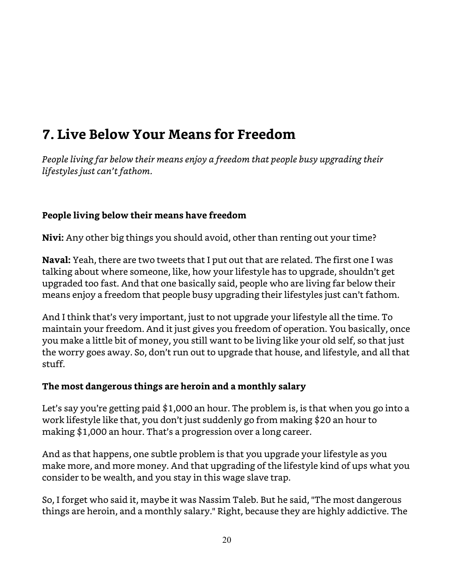# <span id="page-22-0"></span>**7. Live Below Your Means for Freedom**

*People living far below their means enjoy a freedom that people busy upgrading their lifestyles just can't fathom.*

#### **People living below their means have freedom**

**Nivi:** Any other big things you should avoid, other than renting out your time?

**Naval:** Yeah, there are two tweets that I put out that are related. The first one I was talking about where someone, like, how your lifestyle has to upgrade, shouldn't get upgraded too fast. And that one basically said, people who are living far below their means enjoy a freedom that people busy upgrading their lifestyles just can't fathom.

And I think that's very important, just to not upgrade your lifestyle all the time. To maintain your freedom. And it just gives you freedom of operation. You basically, once you make a little bit of money, you still want to be living like your old self, so that just the worry goes away. So, don't run out to upgrade that house, and lifestyle, and all that stuff.

#### **The most dangerous things are heroin and a monthly salary**

Let's say you're getting paid \$1,000 an hour. The problem is, is that when you go into a work lifestyle like that, you don't just suddenly go from making \$20 an hour to making \$1,000 an hour. That's a progression over a long career.

And as that happens, one subtle problem is that you upgrade your lifestyle as you make more, and more money. And that upgrading of the lifestyle kind of ups what you consider to be wealth, and you stay in this wage slave trap.

So, I forget who said it, maybe it was Nassim Taleb. But he said, "The most dangerous things are heroin, and a monthly salary." Right, because they are highly addictive. The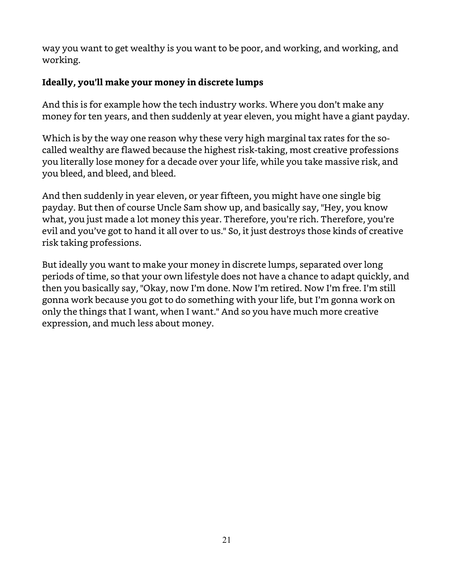way you want to get wealthy is you want to be poor, and working, and working, and working.

### **Ideally, you'll make your money in discrete lumps**

And this is for example how the tech industry works. Where you don't make any money for ten years, and then suddenly at year eleven, you might have a giant payday.

Which is by the way one reason why these very high marginal tax rates for the socalled wealthy are flawed because the highest risk-taking, most creative professions you literally lose money for a decade over your life, while you take massive risk, and you bleed, and bleed, and bleed.

And then suddenly in year eleven, or year fifteen, you might have one single big payday. But then of course Uncle Sam show up, and basically say, "Hey, you know what, you just made a lot money this year. Therefore, you're rich. Therefore, you're evil and you've got to hand it all over to us." So, it just destroys those kinds of creative risk taking professions.

But ideally you want to make your money in discrete lumps, separated over long periods of time, so that your own lifestyle does not have a chance to adapt quickly, and then you basically say, "Okay, now I'm done. Now I'm retired. Now I'm free. I'm still gonna work because you got to do something with your life, but I'm gonna work on only the things that I want, when I want." And so you have much more creative expression, and much less about money.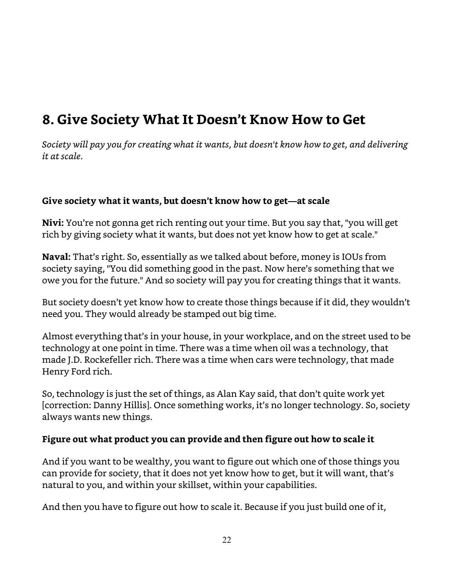# <span id="page-24-0"></span>**8. Give Society What It Doesn't Know How to Get**

*Society will pay you for creating what it wants, but doesn't know how to get, and delivering it at scale.*

#### **Give society what it wants, but doesn't know how to get—at scale**

**Nivi:** You're not gonna get rich renting out your time. But you say that, "you will get rich by giving society what it wants, but does not yet know how to get at scale."

**Naval:** That's right. So, essentially as we talked about before, money is IOUs from society saying, "You did something good in the past. Now here's something that we owe you for the future." And so society will pay you for creating things that it wants.

But society doesn't yet know how to create those things because if it did, they wouldn't need you. They would already be stamped out big time.

Almost everything that's in your house, in your workplace, and on the street used to be technology at one point in time. There was a time when oil was a technology, that made J.D. Rockefeller rich. There was a time when cars were technology, that made Henry Ford rich.

So, technology is just the set of things, as Alan Kay said, that don't quite work yet [correction: Danny Hillis]. Once something works, it's no longer technology. So, society always wants new things.

#### **Figure out what product you can provide and then figure out how to scale it**

And if you want to be wealthy, you want to figure out which one of those things you can provide for society, that it does not yet know how to get, but it will want, that's natural to you, and within your skillset, within your capabilities.

And then you have to figure out how to scale it. Because if you just build one of it,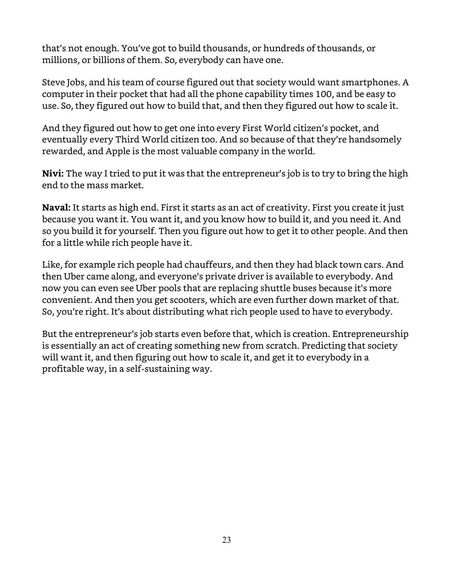that's not enough. You've got to build thousands, or hundreds of thousands, or millions, or billions of them. So, everybody can have one.

Steve Jobs, and his team of course figured out that society would want smartphones. A computer in their pocket that had all the phone capability times 100, and be easy to use. So, they figured out how to build that, and then they figured out how to scale it.

And they figured out how to get one into every First World citizen's pocket, and eventually every Third World citizen too. And so because of that they're handsomely rewarded, and Apple is the most valuable company in the world.

**Nivi:** The way I tried to put it was that the entrepreneur's job is to try to bring the high end to the mass market.

**Naval:** It starts as high end. First it starts as an act of creativity. First you create it just because you want it. You want it, and you know how to build it, and you need it. And so you build it for yourself. Then you figure out how to get it to other people. And then for a little while rich people have it.

Like, for example rich people had chauffeurs, and then they had black town cars. And then Uber came along, and everyone's private driver is available to everybody. And now you can even see Uber pools that are replacing shuttle buses because it's more convenient. And then you get scooters, which are even further down market of that. So, you're right. It's about distributing what rich people used to have to everybody.

But the entrepreneur's job starts even before that, which is creation. Entrepreneurship is essentially an act of creating something new from scratch. Predicting that society will want it, and then figuring out how to scale it, and get it to everybody in a profitable way, in a self-sustaining way.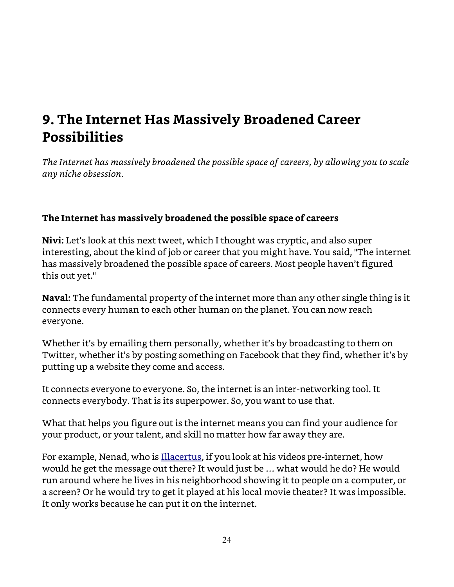# <span id="page-26-0"></span>**9. The Internet Has Massively Broadened Career Possibilities**

*The Internet has massively broadened the possible space of careers, by allowing you to scale any niche obsession.*

### **The Internet has massively broadened the possible space of careers**

**Nivi:** Let's look at this next tweet, which I thought was cryptic, and also super interesting, about the kind of job or career that you might have. You said, "The internet has massively broadened the possible space of careers. Most people haven't figured this out yet."

**Naval:** The fundamental property of the internet more than any other single thing is it connects every human to each other human on the planet. You can now reach everyone.

Whether it's by emailing them personally, whether it's by broadcasting to them on Twitter, whether it's by posting something on Facebook that they find, whether it's by putting up a website they come and access.

It connects everyone to everyone. So, the internet is an inter-networking tool. It connects everybody. That is its superpower. So, you want to use that.

What that helps you figure out is the internet means you can find your audience for your product, or your talent, and skill no matter how far away they are.

For example, Nenad, who is **Illacertus**, if you look at his videos pre-internet, how would he get the message out there? It would just be … what would he do? He would run around where he lives in his neighborhood showing it to people on a computer, or a screen? Or he would try to get it played at his local movie theater? It was impossible. It only works because he can put it on the internet.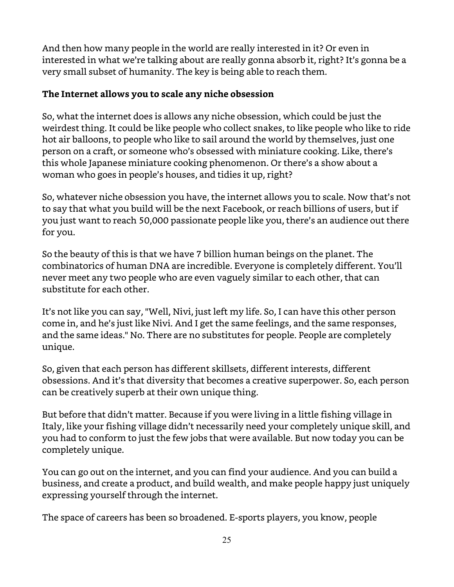And then how many people in the world are really interested in it? Or even in interested in what we're talking about are really gonna absorb it, right? It's gonna be a very small subset of humanity. The key is being able to reach them.

### **The Internet allows you to scale any niche obsession**

So, what the internet does is allows any niche obsession, which could be just the weirdest thing. It could be like people who collect snakes, to like people who like to ride hot air balloons, to people who like to sail around the world by themselves, just one person on a craft, or someone who's obsessed with miniature cooking. Like, there's this whole Japanese miniature cooking phenomenon. Or there's a show about a woman who goes in people's houses, and tidies it up, right?

So, whatever niche obsession you have, the internet allows you to scale. Now that's not to say that what you build will be the next Facebook, or reach billions of users, but if you just want to reach 50,000 passionate people like you, there's an audience out there for you.

So the beauty of this is that we have 7 billion human beings on the planet. The combinatorics of human DNA are incredible. Everyone is completely different. You'll never meet any two people who are even vaguely similar to each other, that can substitute for each other.

It's not like you can say, "Well, Nivi, just left my life. So, I can have this other person come in, and he's just like Nivi. And I get the same feelings, and the same responses, and the same ideas." No. There are no substitutes for people. People are completely unique.

So, given that each person has different skillsets, different interests, different obsessions. And it's that diversity that becomes a creative superpower. So, each person can be creatively superb at their own unique thing.

But before that didn't matter. Because if you were living in a little fishing village in Italy, like your fishing village didn't necessarily need your completely unique skill, and you had to conform to just the few jobs that were available. But now today you can be completely unique.

You can go out on the internet, and you can find your audience. And you can build a business, and create a product, and build wealth, and make people happy just uniquely expressing yourself through the internet.

The space of careers has been so broadened. E-sports players, you know, people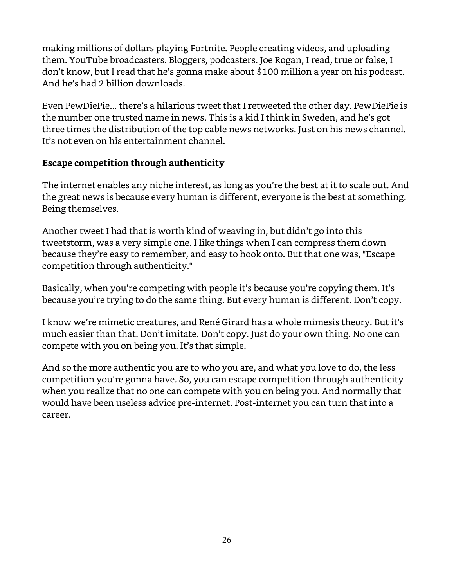making millions of dollars playing Fortnite. People creating videos, and uploading them. YouTube broadcasters. Bloggers, podcasters. Joe Rogan, I read, true or false, I don't know, but I read that he's gonna make about \$100 million a year on his podcast. And he's had 2 billion downloads.

Even PewDiePie... there's a hilarious tweet that I retweeted the other day. PewDiePie is the number one trusted name in news. This is a kid I think in Sweden, and he's got three times the distribution of the top cable news networks. Just on his news channel. It's not even on his entertainment channel.

#### **Escape competition through authenticity**

The internet enables any niche interest, as long as you're the best at it to scale out. And the great news is because every human is different, everyone is the best at something. Being themselves.

Another tweet I had that is worth kind of weaving in, but didn't go into this tweetstorm, was a very simple one. I like things when I can compress them down because they're easy to remember, and easy to hook onto. But that one was, "Escape competition through authenticity."

Basically, when you're competing with people it's because you're copying them. It's because you're trying to do the same thing. But every human is different. Don't copy.

I know we're mimetic creatures, and René Girard has a whole mimesis theory. But it's much easier than that. Don't imitate. Don't copy. Just do your own thing. No one can compete with you on being you. It's that simple.

And so the more authentic you are to who you are, and what you love to do, the less competition you're gonna have. So, you can escape competition through authenticity when you realize that no one can compete with you on being you. And normally that would have been useless advice pre-internet. Post-internet you can turn that into a career.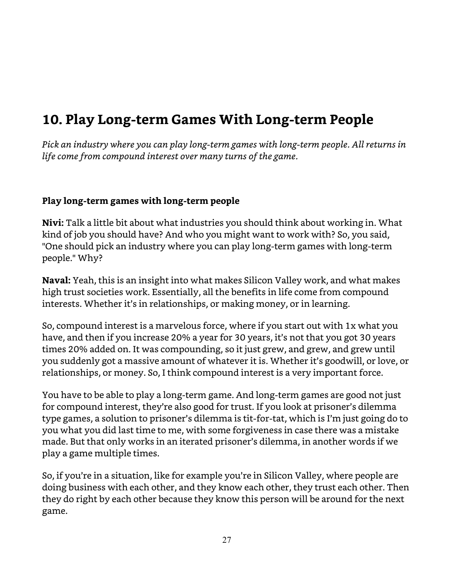# <span id="page-29-0"></span>**10. Play Long-term Games With Long-term People**

*Pick an industry where you can play long-term games with long-term people. All returns in life come from compound interest over many turns of the game.*

#### **Play long-term games with long-term people**

**Nivi:** Talk a little bit about what industries you should think about working in. What kind of job you should have? And who you might want to work with? So, you said, "One should pick an industry where you can play long-term games with long-term people." Why?

**Naval:** Yeah, this is an insight into what makes Silicon Valley work, and what makes high trust societies work. Essentially, all the benefits in life come from compound interests. Whether it's in relationships, or making money, or in learning.

So, compound interest is a marvelous force, where if you start out with 1x what you have, and then if you increase 20% a year for 30 years, it's not that you got 30 years times 20% added on. It was compounding, so it just grew, and grew, and grew until you suddenly got a massive amount of whatever it is. Whether it's goodwill, or love, or relationships, or money. So, I think compound interest is a very important force.

You have to be able to play a long-term game. And long-term games are good not just for compound interest, they're also good for trust. If you look at prisoner's dilemma type games, a solution to prisoner's dilemma is tit-for-tat, which is I'm just going do to you what you did last time to me, with some forgiveness in case there was a mistake made. But that only works in an iterated prisoner's dilemma, in another words if we play a game multiple times.

So, if you're in a situation, like for example you're in Silicon Valley, where people are doing business with each other, and they know each other, they trust each other. Then they do right by each other because they know this person will be around for the next game.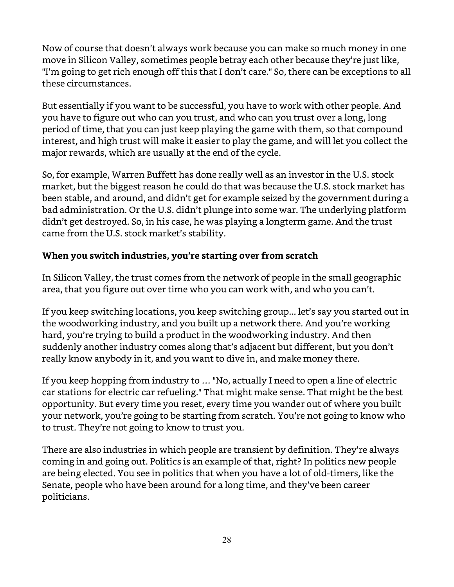Now of course that doesn't always work because you can make so much money in one move in Silicon Valley, sometimes people betray each other because they're just like, "I'm going to get rich enough off this that I don't care." So, there can be exceptions to all these circumstances.

But essentially if you want to be successful, you have to work with other people. And you have to figure out who can you trust, and who can you trust over a long, long period of time, that you can just keep playing the game with them, so that compound interest, and high trust will make it easier to play the game, and will let you collect the major rewards, which are usually at the end of the cycle.

So, for example, Warren Buffett has done really well as an investor in the U.S. stock market, but the biggest reason he could do that was because the U.S. stock market has been stable, and around, and didn't get for example seized by the government during a bad administration. Or the U.S. didn't plunge into some war. The underlying platform didn't get destroyed. So, in his case, he was playing a longterm game. And the trust came from the U.S. stock market's stability.

#### **When you switch industries, you're starting over from scratch**

In Silicon Valley, the trust comes from the network of people in the small geographic area, that you figure out over time who you can work with, and who you can't.

If you keep switching locations, you keep switching group... let's say you started out in the woodworking industry, and you built up a network there. And you're working hard, you're trying to build a product in the woodworking industry. And then suddenly another industry comes along that's adjacent but different, but you don't really know anybody in it, and you want to dive in, and make money there.

If you keep hopping from industry to … "No, actually I need to open a line of electric car stations for electric car refueling." That might make sense. That might be the best opportunity. But every time you reset, every time you wander out of where you built your network, you're going to be starting from scratch. You're not going to know who to trust. They're not going to know to trust you.

There are also industries in which people are transient by definition. They're always coming in and going out. Politics is an example of that, right? In politics new people are being elected. You see in politics that when you have a lot of old-timers, like the Senate, people who have been around for a long time, and they've been career politicians.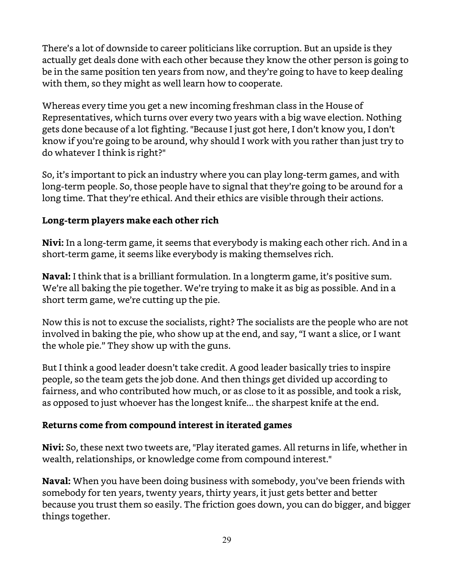There's a lot of downside to career politicians like corruption. But an upside is they actually get deals done with each other because they know the other person is going to be in the same position ten years from now, and they're going to have to keep dealing with them, so they might as well learn how to cooperate.

Whereas every time you get a new incoming freshman class in the House of Representatives, which turns over every two years with a big wave election. Nothing gets done because of a lot fighting. "Because I just got here, I don't know you, I don't know if you're going to be around, why should I work with you rather than just try to do whatever I think is right?"

So, it's important to pick an industry where you can play long-term games, and with long-term people. So, those people have to signal that they're going to be around for a long time. That they're ethical. And their ethics are visible through their actions.

#### **Long-term players make each other rich**

**Nivi:** In a long-term game, it seems that everybody is making each other rich. And in a short-term game, it seems like everybody is making themselves rich.

**Naval:** I think that is a brilliant formulation. In a longterm game, it's positive sum. We're all baking the pie together. We're trying to make it as big as possible. And in a short term game, we're cutting up the pie.

Now this is not to excuse the socialists, right? The socialists are the people who are not involved in baking the pie, who show up at the end, and say, "I want a slice, or I want the whole pie." They show up with the guns.

But I think a good leader doesn't take credit. A good leader basically tries to inspire people, so the team gets the job done. And then things get divided up according to fairness, and who contributed how much, or as close to it as possible, and took a risk, as opposed to just whoever has the longest knife... the sharpest knife at the end.

#### **Returns come from compound interest in iterated games**

**Nivi:** So, these next two tweets are, "Play iterated games. All returns in life, whether in wealth, relationships, or knowledge come from compound interest."

**Naval:** When you have been doing business with somebody, you've been friends with somebody for ten years, twenty years, thirty years, it just gets better and better because you trust them so easily. The friction goes down, you can do bigger, and bigger things together.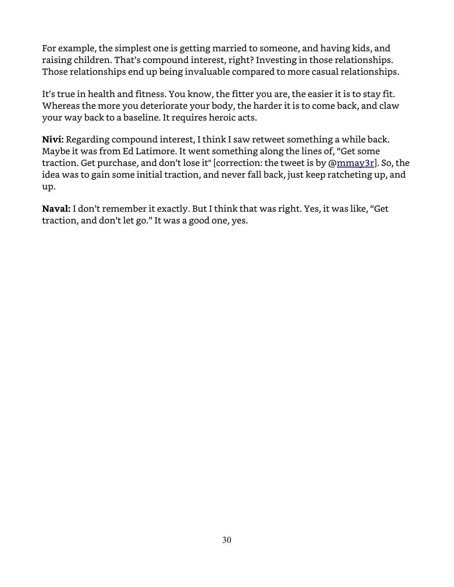For example, the simplest one is getting married to someone, and having kids, and raising children. That's compound interest, right? Investing in those relationships. Those relationships end up being invaluable compared to more casual relationships.

It's true in health and fitness. You know, the fitter you are, the easier it is to stay fit. Whereas the more you deteriorate your body, the harder it is to come back, and claw your way back to a baseline. It requires heroic acts.

**Nivi:** Regarding compound interest, I think I saw retweet something a while back. Maybe it was from Ed Latimore. It went something along the lines of, "Get some traction. Get purchase, and don't lose it" [correction: the tweet is by [@mmay3r\]](https://twitter.com/mmay3r/status/932005444179992576). So, the idea was to gain some initial traction, and never fall back, just keep ratcheting up, and up.

**Naval:** I don't remember it exactly. But I think that was right. Yes, it was like, "Get traction, and don't let go." It was a good one, yes.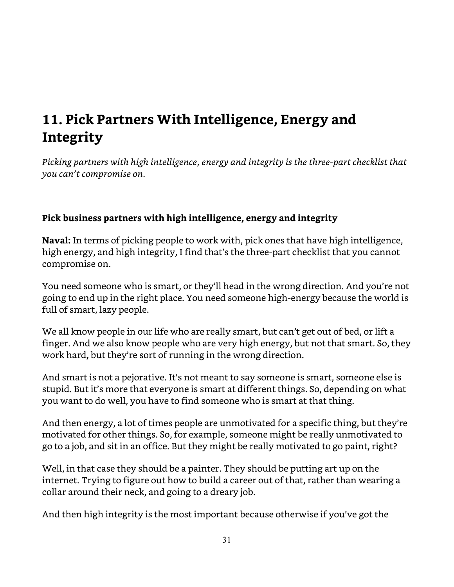# <span id="page-33-0"></span>**11. Pick Partners With Intelligence, Energy and Integrity**

*Picking partners with high intelligence, energy and integrity is the three-part checklist that you can't compromise on.*

## **Pick business partners with high intelligence, energy and integrity**

**Naval:** In terms of picking people to work with, pick ones that have high intelligence, high energy, and high integrity, I find that's the three-part checklist that you cannot compromise on.

You need someone who is smart, or they'll head in the wrong direction. And you're not going to end up in the right place. You need someone high-energy because the world is full of smart, lazy people.

We all know people in our life who are really smart, but can't get out of bed, or lift a finger. And we also know people who are very high energy, but not that smart. So, they work hard, but they're sort of running in the wrong direction.

And smart is not a pejorative. It's not meant to say someone is smart, someone else is stupid. But it's more that everyone is smart at different things. So, depending on what you want to do well, you have to find someone who is smart at that thing.

And then energy, a lot of times people are unmotivated for a specific thing, but they're motivated for other things. So, for example, someone might be really unmotivated to go to a job, and sit in an office. But they might be really motivated to go paint, right?

Well, in that case they should be a painter. They should be putting art up on the internet. Trying to figure out how to build a career out of that, rather than wearing a collar around their neck, and going to a dreary job.

And then high integrity is the most important because otherwise if you've got the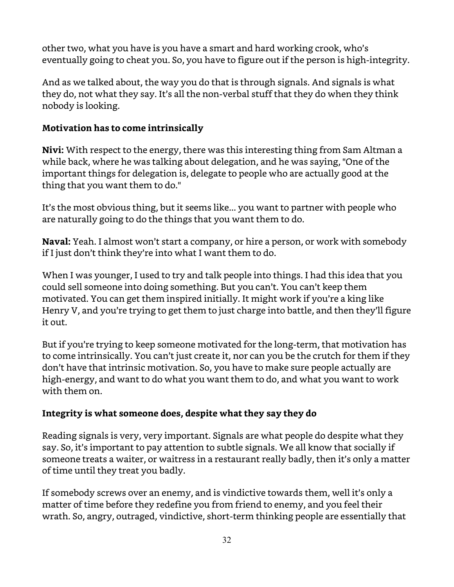other two, what you have is you have a smart and hard working crook, who's eventually going to cheat you. So, you have to figure out if the person is high-integrity.

And as we talked about, the way you do that is through signals. And signals is what they do, not what they say. It's all the non-verbal stuff that they do when they think nobody is looking.

#### **Motivation has to come intrinsically**

**Nivi:** With respect to the energy, there was this interesting thing from Sam Altman a while back, where he was talking about delegation, and he was saying, "One of the important things for delegation is, delegate to people who are actually good at the thing that you want them to do."

It's the most obvious thing, but it seems like... you want to partner with people who are naturally going to do the things that you want them to do.

**Naval:** Yeah. I almost won't start a company, or hire a person, or work with somebody if I just don't think they're into what I want them to do.

When I was younger, I used to try and talk people into things. I had this idea that you could sell someone into doing something. But you can't. You can't keep them motivated. You can get them inspired initially. It might work if you're a king like Henry V, and you're trying to get them to just charge into battle, and then they'll figure it out.

But if you're trying to keep someone motivated for the long-term, that motivation has to come intrinsically. You can't just create it, nor can you be the crutch for them if they don't have that intrinsic motivation. So, you have to make sure people actually are high-energy, and want to do what you want them to do, and what you want to work with them on.

### **Integrity is what someone does, despite what they say they do**

Reading signals is very, very important. Signals are what people do despite what they say. So, it's important to pay attention to subtle signals. We all know that socially if someone treats a waiter, or waitress in a restaurant really badly, then it's only a matter of time until they treat you badly.

If somebody screws over an enemy, and is vindictive towards them, well it's only a matter of time before they redefine you from friend to enemy, and you feel their wrath. So, angry, outraged, vindictive, short-term thinking people are essentially that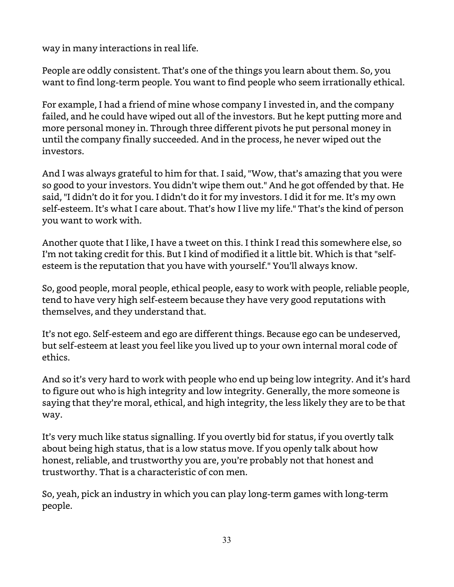way in many interactions in real life.

People are oddly consistent. That's one of the things you learn about them. So, you want to find long-term people. You want to find people who seem irrationally ethical.

For example, I had a friend of mine whose company I invested in, and the company failed, and he could have wiped out all of the investors. But he kept putting more and more personal money in. Through three different pivots he put personal money in until the company finally succeeded. And in the process, he never wiped out the investors.

And I was always grateful to him for that. I said, "Wow, that's amazing that you were so good to your investors. You didn't wipe them out." And he got offended by that. He said, "I didn't do it for you. I didn't do it for my investors. I did it for me. It's my own self-esteem. It's what I care about. That's how I live my life." That's the kind of person you want to work with.

Another quote that I like, I have a tweet on this. I think I read this somewhere else, so I'm not taking credit for this. But I kind of modified it a little bit. Which is that "selfesteem is the reputation that you have with yourself." You'll always know.

So, good people, moral people, ethical people, easy to work with people, reliable people, tend to have very high self-esteem because they have very good reputations with themselves, and they understand that.

It's not ego. Self-esteem and ego are different things. Because ego can be undeserved, but self-esteem at least you feel like you lived up to your own internal moral code of ethics.

And so it's very hard to work with people who end up being low integrity. And it's hard to figure out who is high integrity and low integrity. Generally, the more someone is saying that they're moral, ethical, and high integrity, the less likely they are to be that way.

It's very much like status signalling. If you overtly bid for status, if you overtly talk about being high status, that is a low status move. If you openly talk about how honest, reliable, and trustworthy you are, you're probably not that honest and trustworthy. That is a characteristic of con men.

So, yeah, pick an industry in which you can play long-term games with long-term people.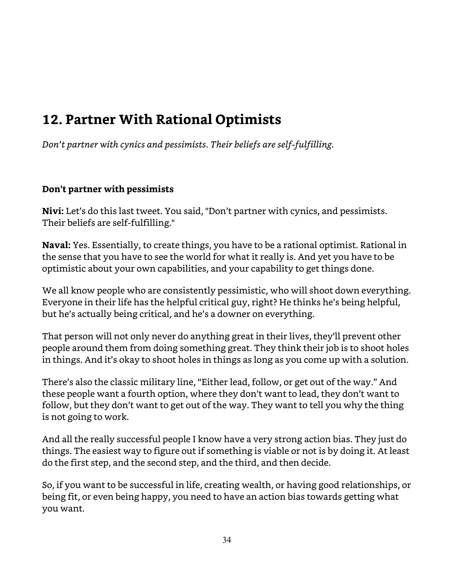# **12. Partner With Rational Optimists**

*Don't partner with cynics and pessimists. Their beliefs are self-fulfilling.*

### **Don't partner with pessimists**

**Nivi:** Let's do this last tweet. You said, "Don't partner with cynics, and pessimists. Their beliefs are self-fulfilling."

**Naval:** Yes. Essentially, to create things, you have to be a rational optimist. Rational in the sense that you have to see the world for what it really is. And yet you have to be optimistic about your own capabilities, and your capability to get things done.

We all know people who are consistently pessimistic, who will shoot down everything. Everyone in their life has the helpful critical guy, right? He thinks he's being helpful, but he's actually being critical, and he's a downer on everything.

That person will not only never do anything great in their lives, they'll prevent other people around them from doing something great. They think their job is to shoot holes in things. And it's okay to shoot holes in things as long as you come up with a solution.

There's also the classic military line, "Either lead, follow, or get out of the way." And these people want a fourth option, where they don't want to lead, they don't want to follow, but they don't want to get out of the way. They want to tell you why the thing is not going to work.

And all the really successful people I know have a very strong action bias. They just do things. The easiest way to figure out if something is viable or not is by doing it. At least do the first step, and the second step, and the third, and then decide.

So, if you want to be successful in life, creating wealth, or having good relationships, or being fit, or even being happy, you need to have an action bias towards getting what you want.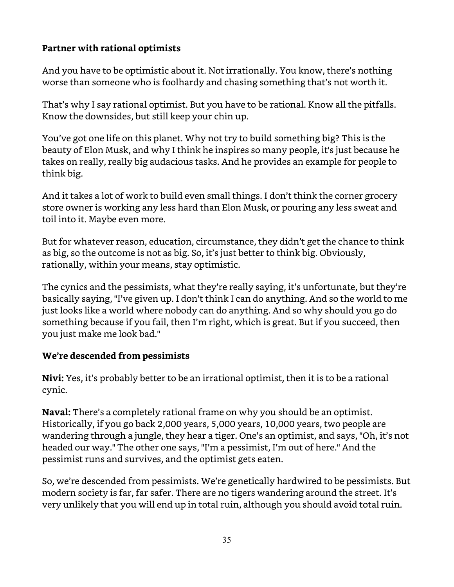### **Partner with rational optimists**

And you have to be optimistic about it. Not irrationally. You know, there's nothing worse than someone who is foolhardy and chasing something that's not worth it.

That's why I say rational optimist. But you have to be rational. Know all the pitfalls. Know the downsides, but still keep your chin up.

You've got one life on this planet. Why not try to build something big? This is the beauty of Elon Musk, and why I think he inspires so many people, it's just because he takes on really, really big audacious tasks. And he provides an example for people to think big.

And it takes a lot of work to build even small things. I don't think the corner grocery store owner is working any less hard than Elon Musk, or pouring any less sweat and toil into it. Maybe even more.

But for whatever reason, education, circumstance, they didn't get the chance to think as big, so the outcome is not as big. So, it's just better to think big. Obviously, rationally, within your means, stay optimistic.

The cynics and the pessimists, what they're really saying, it's unfortunate, but they're basically saying, "I've given up. I don't think I can do anything. And so the world to me just looks like a world where nobody can do anything. And so why should you go do something because if you fail, then I'm right, which is great. But if you succeed, then you just make me look bad."

### **We're descended from pessimists**

**Nivi:** Yes, it's probably better to be an irrational optimist, then it is to be a rational cynic.

**Naval:** There's a completely rational frame on why you should be an optimist. Historically, if you go back 2,000 years, 5,000 years, 10,000 years, two people are wandering through a jungle, they hear a tiger. One's an optimist, and says, "Oh, it's not headed our way." The other one says, "I'm a pessimist, I'm out of here." And the pessimist runs and survives, and the optimist gets eaten.

So, we're descended from pessimists. We're genetically hardwired to be pessimists. But modern society is far, far safer. There are no tigers wandering around the street. It's very unlikely that you will end up in total ruin, although you should avoid total ruin.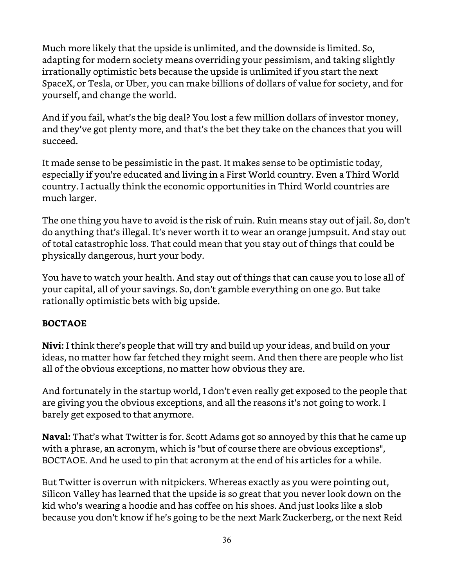Much more likely that the upside is unlimited, and the downside is limited. So, adapting for modern society means overriding your pessimism, and taking slightly irrationally optimistic bets because the upside is unlimited if you start the next SpaceX, or Tesla, or Uber, you can make billions of dollars of value for society, and for yourself, and change the world.

And if you fail, what's the big deal? You lost a few million dollars of investor money, and they've got plenty more, and that's the bet they take on the chances that you will succeed.

It made sense to be pessimistic in the past. It makes sense to be optimistic today, especially if you're educated and living in a First World country. Even a Third World country. I actually think the economic opportunities in Third World countries are much larger.

The one thing you have to avoid is the risk of ruin. Ruin means stay out of jail. So, don't do anything that's illegal. It's never worth it to wear an orange jumpsuit. And stay out of total catastrophic loss. That could mean that you stay out of things that could be physically dangerous, hurt your body.

You have to watch your health. And stay out of things that can cause you to lose all of your capital, all of your savings. So, don't gamble everything on one go. But take rationally optimistic bets with big upside.

### **BOCTAOE**

**Nivi:** I think there's people that will try and build up your ideas, and build on your ideas, no matter how far fetched they might seem. And then there are people who list all of the obvious exceptions, no matter how obvious they are.

And fortunately in the startup world, I don't even really get exposed to the people that are giving you the obvious exceptions, and all the reasons it's not going to work. I barely get exposed to that anymore.

**Naval:** That's what Twitter is for. Scott Adams got so annoyed by this that he came up with a phrase, an acronym, which is "but of course there are obvious exceptions", BOCTAOE. And he used to pin that acronym at the end of his articles for a while.

But Twitter is overrun with nitpickers. Whereas exactly as you were pointing out, Silicon Valley has learned that the upside is so great that you never look down on the kid who's wearing a hoodie and has coffee on his shoes. And just looks like a slob because you don't know if he's going to be the next Mark Zuckerberg, or the next Reid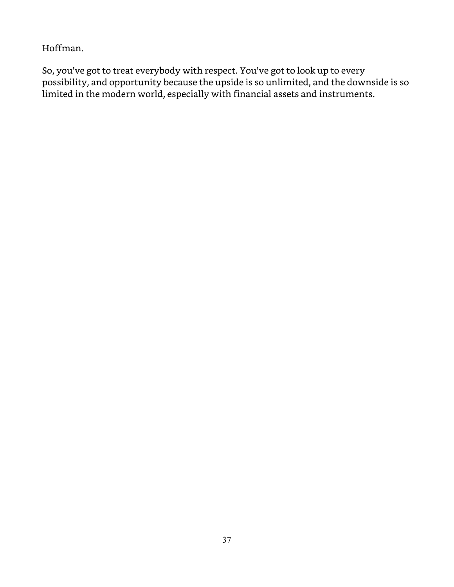Hoffman.

So, you've got to treat everybody with respect. You've got to look up to every possibility, and opportunity because the upside is so unlimited, and the downside is so limited in the modern world, especially with financial assets and instruments.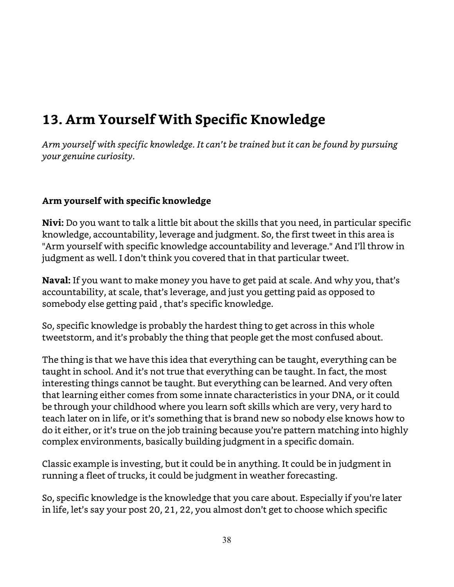# **13. Arm Yourself With Specific Knowledge**

*Arm yourself with specific knowledge. It can't be trained but it can be found by pursuing your genuine curiosity.*

### **Arm yourself with specific knowledge**

**Nivi:** Do you want to talk a little bit about the skills that you need, in particular specific knowledge, accountability, leverage and judgment. So, the first tweet in this area is "Arm yourself with specific knowledge accountability and leverage." And I'll throw in judgment as well. I don't think you covered that in that particular tweet.

**Naval:** If you want to make money you have to get paid at scale. And why you, that's accountability, at scale, that's leverage, and just you getting paid as opposed to somebody else getting paid , that's specific knowledge.

So, specific knowledge is probably the hardest thing to get across in this whole tweetstorm, and it's probably the thing that people get the most confused about.

The thing is that we have this idea that everything can be taught, everything can be taught in school. And it's not true that everything can be taught. In fact, the most interesting things cannot be taught. But everything can be learned. And very often that learning either comes from some innate characteristics in your DNA, or it could be through your childhood where you learn soft skills which are very, very hard to teach later on in life, or it's something that is brand new so nobody else knows how to do it either, or it's true on the job training because you're pattern matching into highly complex environments, basically building judgment in a specific domain.

Classic example is investing, but it could be in anything. It could be in judgment in running a fleet of trucks, it could be judgment in weather forecasting.

So, specific knowledge is the knowledge that you care about. Especially if you're later in life, let's say your post 20, 21, 22, you almost don't get to choose which specific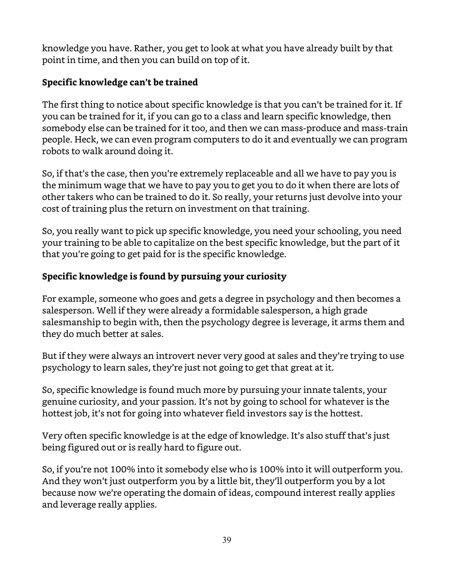knowledge you have. Rather, you get to look at what you have already built by that point in time, and then you can build on top of it.

### **Specific knowledge can't be trained**

The first thing to notice about specific knowledge is that you can't be trained for it. If you can be trained for it, if you can go to a class and learn specific knowledge, then somebody else can be trained for it too, and then we can mass-produce and mass-train people. Heck, we can even program computers to do it and eventually we can program robots to walk around doing it.

So, if that's the case, then you're extremely replaceable and all we have to pay you is the minimum wage that we have to pay you to get you to do it when there are lots of other takers who can be trained to do it. So really, your returns just devolve into your cost of training plus the return on investment on that training.

So, you really want to pick up specific knowledge, you need your schooling, you need your training to be able to capitalize on the best specific knowledge, but the part of it that you're going to get paid for is the specific knowledge.

### **Specific knowledge is found by pursuing your curiosity**

For example, someone who goes and gets a degree in psychology and then becomes a salesperson. Well if they were already a formidable salesperson, a high grade salesmanship to begin with, then the psychology degree is leverage, it arms them and they do much better at sales.

But if they were always an introvert never very good at sales and they're trying to use psychology to learn sales, they're just not going to get that great at it.

So, specific knowledge is found much more by pursuing your innate talents, your genuine curiosity, and your passion. It's not by going to school for whatever is the hottest job, it's not for going into whatever field investors say is the hottest.

Very often specific knowledge is at the edge of knowledge. It's also stuff that's just being figured out or is really hard to figure out.

So, if you're not 100% into it somebody else who is 100% into it will outperform you. And they won't just outperform you by a little bit, they'll outperform you by a lot because now we're operating the domain of ideas, compound interest really applies and leverage really applies.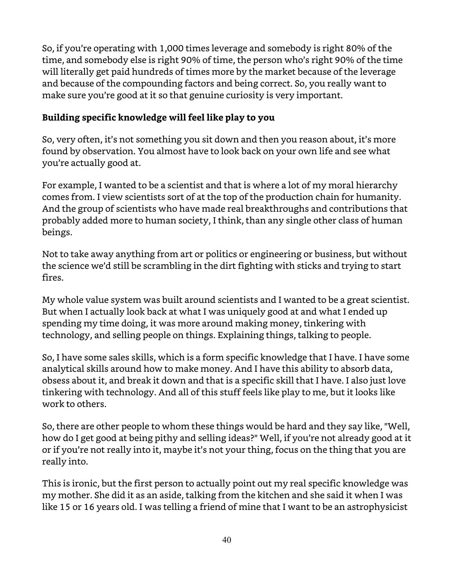So, if you're operating with 1,000 times leverage and somebody is right 80% of the time, and somebody else is right 90% of time, the person who's right 90% of the time will literally get paid hundreds of times more by the market because of the leverage and because of the compounding factors and being correct. So, you really want to make sure you're good at it so that genuine curiosity is very important.

### **Building specific knowledge will feel like play to you**

So, very often, it's not something you sit down and then you reason about, it's more found by observation. You almost have to look back on your own life and see what you're actually good at.

For example, I wanted to be a scientist and that is where a lot of my moral hierarchy comes from. I view scientists sort of at the top of the production chain for humanity. And the group of scientists who have made real breakthroughs and contributions that probably added more to human society, I think, than any single other class of human beings.

Not to take away anything from art or politics or engineering or business, but without the science we'd still be scrambling in the dirt fighting with sticks and trying to start fires.

My whole value system was built around scientists and I wanted to be a great scientist. But when I actually look back at what I was uniquely good at and what I ended up spending my time doing, it was more around making money, tinkering with technology, and selling people on things. Explaining things, talking to people.

So, I have some sales skills, which is a form specific knowledge that I have. I have some analytical skills around how to make money. And I have this ability to absorb data, obsess about it, and break it down and that is a specific skill that I have. I also just love tinkering with technology. And all of this stuff feels like play to me, but it looks like work to others.

So, there are other people to whom these things would be hard and they say like, "Well, how do I get good at being pithy and selling ideas?" Well, if you're not already good at it or if you're not really into it, maybe it's not your thing, focus on the thing that you are really into.

This is ironic, but the first person to actually point out my real specific knowledge was my mother. She did it as an aside, talking from the kitchen and she said it when I was like 15 or 16 years old. I was telling a friend of mine that I want to be an astrophysicist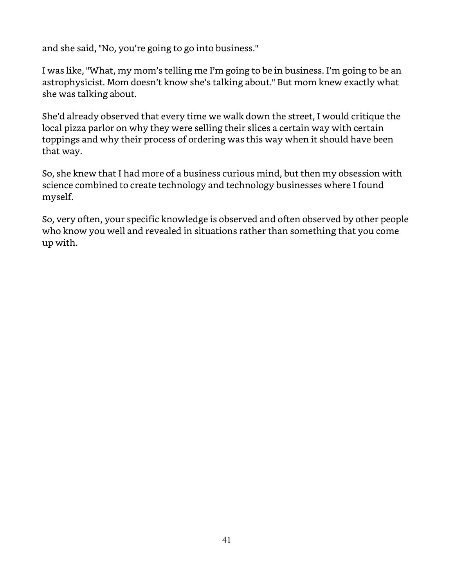and she said, "No, you're going to go into business."

I was like, "What, my mom's telling me I'm going to be in business. I'm going to be an astrophysicist. Mom doesn't know she's talking about." But mom knew exactly what she was talking about.

She'd already observed that every time we walk down the street, I would critique the local pizza parlor on why they were selling their slices a certain way with certain toppings and why their process of ordering was this way when it should have been that way.

So, she knew that I had more of a business curious mind, but then my obsession with science combined to create technology and technology businesses where I found myself.

So, very often, your specific knowledge is observed and often observed by other people who know you well and revealed in situations rather than something that you come up with.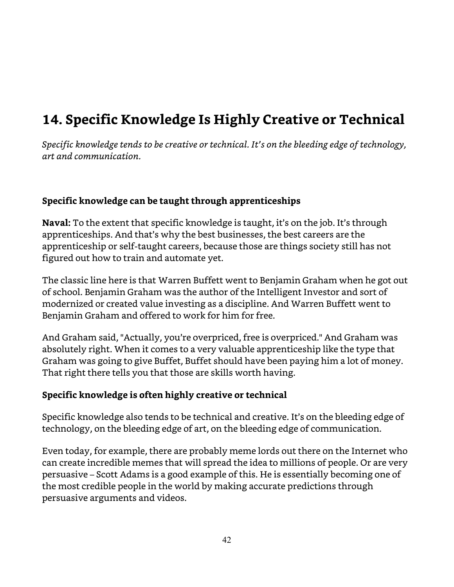# **14. Specific Knowledge Is Highly Creative or Technical**

*Specific knowledge tends to be creative or technical. It's on the bleeding edge of technology, art and communication.*

#### **Specific knowledge can be taught through apprenticeships**

**Naval:** To the extent that specific knowledge is taught, it's on the job. It's through apprenticeships. And that's why the best businesses, the best careers are the apprenticeship or self-taught careers, because those are things society still has not figured out how to train and automate yet.

The classic line here is that Warren Buffett went to Benjamin Graham when he got out of school. Benjamin Graham was the author of the Intelligent Investor and sort of modernized or created value investing as a discipline. And Warren Buffett went to Benjamin Graham and offered to work for him for free.

And Graham said, "Actually, you're overpriced, free is overpriced." And Graham was absolutely right. When it comes to a very valuable apprenticeship like the type that Graham was going to give Buffet, Buffet should have been paying him a lot of money. That right there tells you that those are skills worth having.

#### **Specific knowledge is often highly creative or technical**

Specific knowledge also tends to be technical and creative. It's on the bleeding edge of technology, on the bleeding edge of art, on the bleeding edge of communication.

Even today, for example, there are probably meme lords out there on the Internet who can create incredible memes that will spread the idea to millions of people. Or are very persuasive – Scott Adams is a good example of this. He is essentially becoming one of the most credible people in the world by making accurate predictions through persuasive arguments and videos.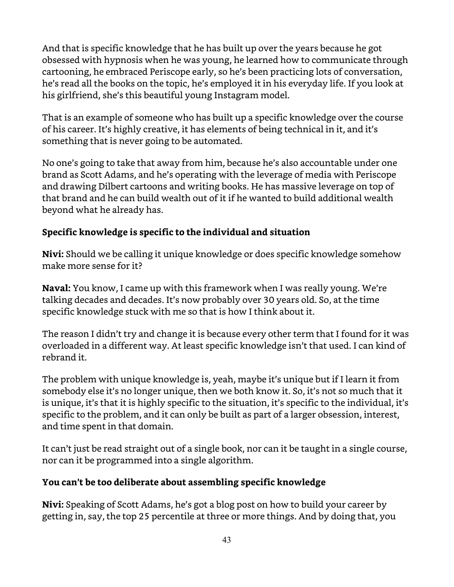And that is specific knowledge that he has built up over the years because he got obsessed with hypnosis when he was young, he learned how to communicate through cartooning, he embraced Periscope early, so he's been practicing lots of conversation, he's read all the books on the topic, he's employed it in his everyday life. If you look at his girlfriend, she's this beautiful young Instagram model.

That is an example of someone who has built up a specific knowledge over the course of his career. It's highly creative, it has elements of being technical in it, and it's something that is never going to be automated.

No one's going to take that away from him, because he's also accountable under one brand as Scott Adams, and he's operating with the leverage of media with Periscope and drawing Dilbert cartoons and writing books. He has massive leverage on top of that brand and he can build wealth out of it if he wanted to build additional wealth beyond what he already has.

## **Specific knowledge is specific to the individual and situation**

**Nivi:** Should we be calling it unique knowledge or does specific knowledge somehow make more sense for it?

**Naval:** You know, I came up with this framework when I was really young. We're talking decades and decades. It's now probably over 30 years old. So, at the time specific knowledge stuck with me so that is how I think about it.

The reason I didn't try and change it is because every other term that I found for it was overloaded in a different way. At least specific knowledge isn't that used. I can kind of rebrand it.

The problem with unique knowledge is, yeah, maybe it's unique but if I learn it from somebody else it's no longer unique, then we both know it. So, it's not so much that it is unique, it's that it is highly specific to the situation, it's specific to the individual, it's specific to the problem, and it can only be built as part of a larger obsession, interest, and time spent in that domain.

It can't just be read straight out of a single book, nor can it be taught in a single course, nor can it be programmed into a single algorithm.

### **You can't be too deliberate about assembling specific knowledge**

**Nivi:** Speaking of Scott Adams, he's got a blog post on how to build your career by getting in, say, the top 25 percentile at three or more things. And by doing that, you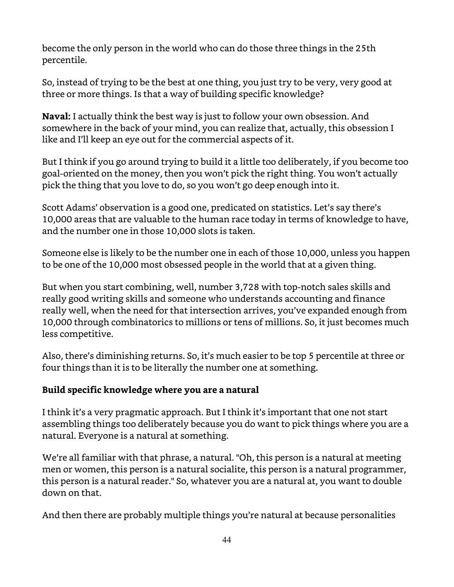become the only person in the world who can do those three things in the 25th percentile.

So, instead of trying to be the best at one thing, you just try to be very, very good at three or more things. Is that a way of building specific knowledge?

**Naval:** I actually think the best way is just to follow your own obsession. And somewhere in the back of your mind, you can realize that, actually, this obsession I like and I'll keep an eye out for the commercial aspects of it.

But I think if you go around trying to build it a little too deliberately, if you become too goal-oriented on the money, then you won't pick the right thing. You won't actually pick the thing that you love to do, so you won't go deep enough into it.

Scott Adams' observation is a good one, predicated on statistics. Let's say there's 10,000 areas that are valuable to the human race today in terms of knowledge to have, and the number one in those 10,000 slots is taken.

Someone else is likely to be the number one in each of those 10,000, unless you happen to be one of the 10,000 most obsessed people in the world that at a given thing.

But when you start combining, well, number 3,728 with top-notch sales skills and really good writing skills and someone who understands accounting and finance really well, when the need for that intersection arrives, you've expanded enough from 10,000 through combinatorics to millions or tens of millions. So, it just becomes much less competitive.

Also, there's diminishing returns. So, it's much easier to be top 5 percentile at three or four things than it is to be literally the number one at something.

### **Build specific knowledge where you are a natural**

I think it's a very pragmatic approach. But I think it's important that one not start assembling things too deliberately because you do want to pick things where you are a natural. Everyone is a natural at something.

We're all familiar with that phrase, a natural. "Oh, this person is a natural at meeting men or women, this person is a natural socialite, this person is a natural programmer, this person is a natural reader." So, whatever you are a natural at, you want to double down on that.

And then there are probably multiple things you're natural at because personalities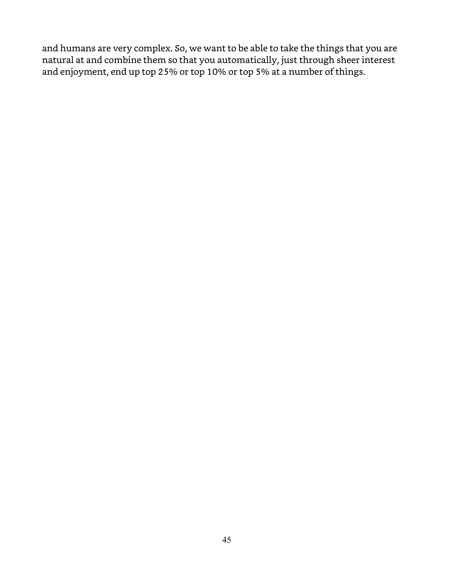and humans are very complex. So, we want to be able to take the things that you are natural at and combine them so that you automatically, just through sheer interest and enjoyment, end up top 25% or top 10% or top 5% at a number of things.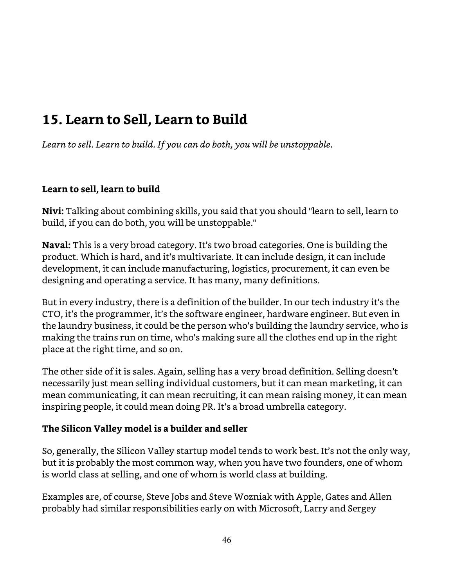# **15. Learn to Sell, Learn to Build**

*Learn to sell. Learn to build. If you can do both, you will be unstoppable.*

### **Learn to sell, learn to build**

**Nivi:** Talking about combining skills, you said that you should "learn to sell, learn to build, if you can do both, you will be unstoppable."

**Naval:** This is a very broad category. It's two broad categories. One is building the product. Which is hard, and it's multivariate. It can include design, it can include development, it can include manufacturing, logistics, procurement, it can even be designing and operating a service. It has many, many definitions.

But in every industry, there is a definition of the builder. In our tech industry it's the CTO, it's the programmer, it's the software engineer, hardware engineer. But even in the laundry business, it could be the person who's building the laundry service, who is making the trains run on time, who's making sure all the clothes end up in the right place at the right time, and so on.

The other side of it is sales. Again, selling has a very broad definition. Selling doesn't necessarily just mean selling individual customers, but it can mean marketing, it can mean communicating, it can mean recruiting, it can mean raising money, it can mean inspiring people, it could mean doing PR. It's a broad umbrella category.

### **The Silicon Valley model is a builder and seller**

So, generally, the Silicon Valley startup model tends to work best. It's not the only way, but it is probably the most common way, when you have two founders, one of whom is world class at selling, and one of whom is world class at building.

Examples are, of course, Steve Jobs and Steve Wozniak with Apple, Gates and Allen probably had similar responsibilities early on with Microsoft, Larry and Sergey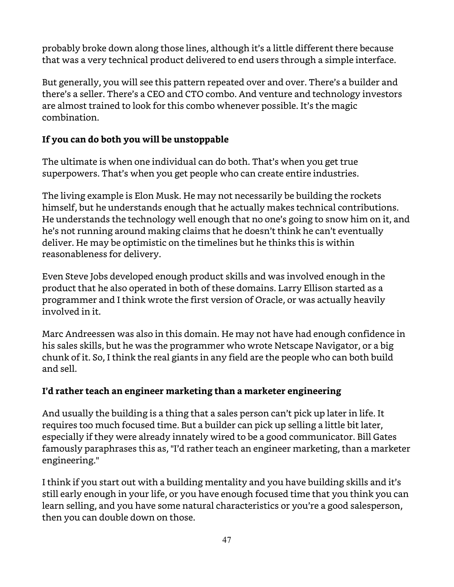probably broke down along those lines, although it's a little different there because that was a very technical product delivered to end users through a simple interface.

But generally, you will see this pattern repeated over and over. There's a builder and there's a seller. There's a CEO and CTO combo. And venture and technology investors are almost trained to look for this combo whenever possible. It's the magic combination.

### **If you can do both you will be unstoppable**

The ultimate is when one individual can do both. That's when you get true superpowers. That's when you get people who can create entire industries.

The living example is Elon Musk. He may not necessarily be building the rockets himself, but he understands enough that he actually makes technical contributions. He understands the technology well enough that no one's going to snow him on it, and he's not running around making claims that he doesn't think he can't eventually deliver. He may be optimistic on the timelines but he thinks this is within reasonableness for delivery.

Even Steve Jobs developed enough product skills and was involved enough in the product that he also operated in both of these domains. Larry Ellison started as a programmer and I think wrote the first version of Oracle, or was actually heavily involved in it.

Marc Andreessen was also in this domain. He may not have had enough confidence in his sales skills, but he was the programmer who wrote Netscape Navigator, or a big chunk of it. So, I think the real giants in any field are the people who can both build and sell.

## **I'd rather teach an engineer marketing than a marketer engineering**

And usually the building is a thing that a sales person can't pick up later in life. It requires too much focused time. But a builder can pick up selling a little bit later, especially if they were already innately wired to be a good communicator. Bill Gates famously paraphrases this as, "I'd rather teach an engineer marketing, than a marketer engineering."

I think if you start out with a building mentality and you have building skills and it's still early enough in your life, or you have enough focused time that you think you can learn selling, and you have some natural characteristics or you're a good salesperson, then you can double down on those.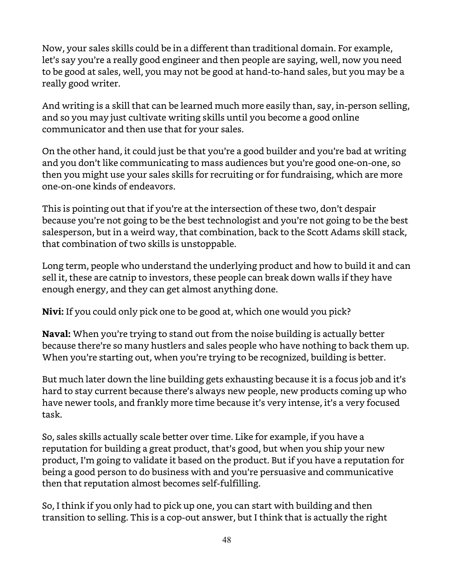Now, your sales skills could be in a different than traditional domain. For example, let's say you're a really good engineer and then people are saying, well, now you need to be good at sales, well, you may not be good at hand-to-hand sales, but you may be a really good writer.

And writing is a skill that can be learned much more easily than, say, in-person selling, and so you may just cultivate writing skills until you become a good online communicator and then use that for your sales.

On the other hand, it could just be that you're a good builder and you're bad at writing and you don't like communicating to mass audiences but you're good one-on-one, so then you might use your sales skills for recruiting or for fundraising, which are more one-on-one kinds of endeavors.

This is pointing out that if you're at the intersection of these two, don't despair because you're not going to be the best technologist and you're not going to be the best salesperson, but in a weird way, that combination, back to the Scott Adams skill stack, that combination of two skills is unstoppable.

Long term, people who understand the underlying product and how to build it and can sell it, these are catnip to investors, these people can break down walls if they have enough energy, and they can get almost anything done.

**Nivi:** If you could only pick one to be good at, which one would you pick?

**Naval:** When you're trying to stand out from the noise building is actually better because there're so many hustlers and sales people who have nothing to back them up. When you're starting out, when you're trying to be recognized, building is better.

But much later down the line building gets exhausting because it is a focus job and it's hard to stay current because there's always new people, new products coming up who have newer tools, and frankly more time because it's very intense, it's a very focused task.

So, sales skills actually scale better over time. Like for example, if you have a reputation for building a great product, that's good, but when you ship your new product, I'm going to validate it based on the product. But if you have a reputation for being a good person to do business with and you're persuasive and communicative then that reputation almost becomes self-fulfilling.

So, I think if you only had to pick up one, you can start with building and then transition to selling. This is a cop-out answer, but I think that is actually the right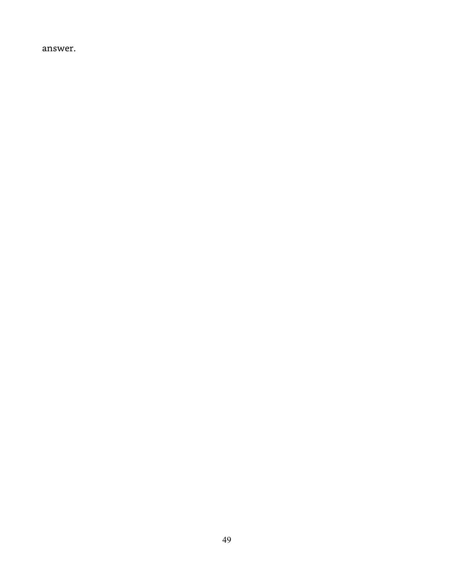answer.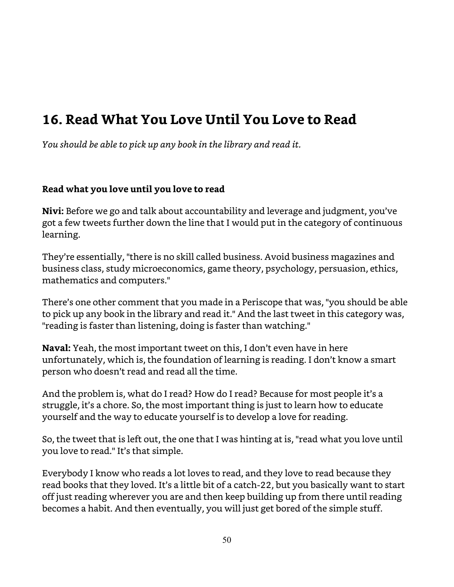# **16. Read What You Love Until You Love to Read**

*You should be able to pick up any book in the library and read it.*

#### **Read what you love until you love to read**

**Nivi:** Before we go and talk about accountability and leverage and judgment, you've got a few tweets further down the line that I would put in the category of continuous learning.

They're essentially, "there is no skill called business. Avoid business magazines and business class, study microeconomics, game theory, psychology, persuasion, ethics, mathematics and computers."

There's one other comment that you made in a Periscope that was, "you should be able to pick up any book in the library and read it." And the last tweet in this category was, "reading is faster than listening, doing is faster than watching."

**Naval:** Yeah, the most important tweet on this, I don't even have in here unfortunately, which is, the foundation of learning is reading. I don't know a smart person who doesn't read and read all the time.

And the problem is, what do I read? How do I read? Because for most people it's a struggle, it's a chore. So, the most important thing is just to learn how to educate yourself and the way to educate yourself is to develop a love for reading.

So, the tweet that is left out, the one that I was hinting at is, "read what you love until you love to read." It's that simple.

Everybody I know who reads a lot loves to read, and they love to read because they read books that they loved. It's a little bit of a catch-22, but you basically want to start off just reading wherever you are and then keep building up from there until reading becomes a habit. And then eventually, you will just get bored of the simple stuff.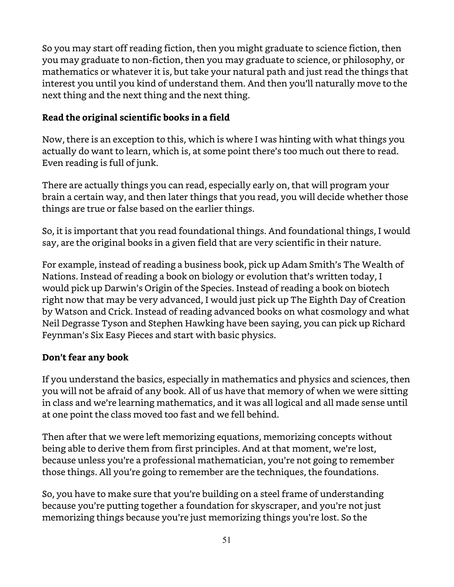So you may start off reading fiction, then you might graduate to science fiction, then you may graduate to non-fiction, then you may graduate to science, or philosophy, or mathematics or whatever it is, but take your natural path and just read the things that interest you until you kind of understand them. And then you'll naturally move to the next thing and the next thing and the next thing.

### **Read the original scientific books in a field**

Now, there is an exception to this, which is where I was hinting with what things you actually do want to learn, which is, at some point there's too much out there to read. Even reading is full of junk.

There are actually things you can read, especially early on, that will program your brain a certain way, and then later things that you read, you will decide whether those things are true or false based on the earlier things.

So, it is important that you read foundational things. And foundational things, I would say, are the original books in a given field that are very scientific in their nature.

For example, instead of reading a business book, pick up Adam Smith's The Wealth of Nations. Instead of reading a book on biology or evolution that's written today, I would pick up Darwin's Origin of the Species. Instead of reading a book on biotech right now that may be very advanced, I would just pick up The Eighth Day of Creation by Watson and Crick. Instead of reading advanced books on what cosmology and what Neil Degrasse Tyson and Stephen Hawking have been saying, you can pick up Richard Feynman's Six Easy Pieces and start with basic physics.

### **Don't fear any book**

If you understand the basics, especially in mathematics and physics and sciences, then you will not be afraid of any book. All of us have that memory of when we were sitting in class and we're learning mathematics, and it was all logical and all made sense until at one point the class moved too fast and we fell behind.

Then after that we were left memorizing equations, memorizing concepts without being able to derive them from first principles. And at that moment, we're lost, because unless you're a professional mathematician, you're not going to remember those things. All you're going to remember are the techniques, the foundations.

So, you have to make sure that you're building on a steel frame of understanding because you're putting together a foundation for skyscraper, and you're not just memorizing things because you're just memorizing things you're lost. So the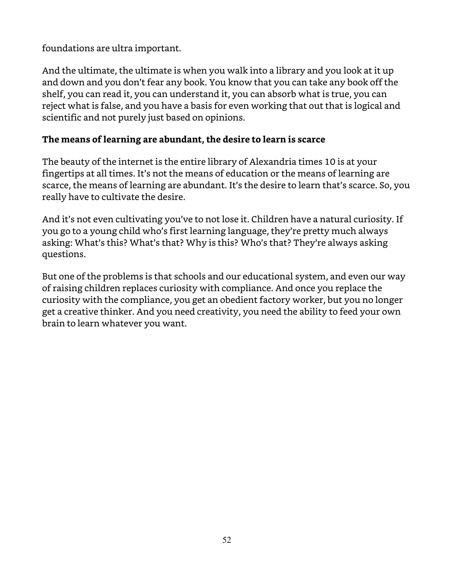foundations are ultra important.

And the ultimate, the ultimate is when you walk into a library and you look at it up and down and you don't fear any book. You know that you can take any book off the shelf, you can read it, you can understand it, you can absorb what is true, you can reject what is false, and you have a basis for even working that out that is logical and scientific and not purely just based on opinions.

### **The means of learning are abundant, the desire to learn is scarce**

The beauty of the internet is the entire library of Alexandria times 10 is at your fingertips at all times. It's not the means of education or the means of learning are scarce, the means of learning are abundant. It's the desire to learn that's scarce. So, you really have to cultivate the desire.

And it's not even cultivating you've to not lose it. Children have a natural curiosity. If you go to a young child who's first learning language, they're pretty much always asking: What's this? What's that? Why is this? Who's that? They're always asking questions.

But one of the problems is that schools and our educational system, and even our way of raising children replaces curiosity with compliance. And once you replace the curiosity with the compliance, you get an obedient factory worker, but you no longer get a creative thinker. And you need creativity, you need the ability to feed your own brain to learn whatever you want.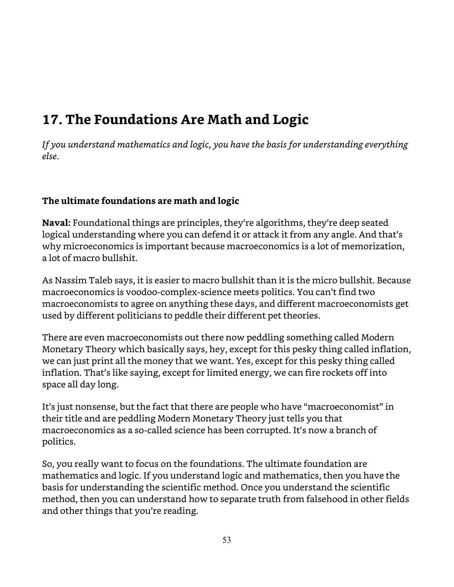# **17. The Foundations Are Math and Logic**

*If you understand mathematics and logic, you have the basis for understanding everything else.*

### **The ultimate foundations are math and logic**

**Naval:** Foundational things are principles, they're algorithms, they're deep seated logical understanding where you can defend it or attack it from any angle. And that's why microeconomics is important because macroeconomics is a lot of memorization, a lot of macro bullshit.

As Nassim Taleb says, it is easier to macro bullshit than it is the micro bullshit. Because macroeconomics is voodoo-complex-science meets politics. You can't find two macroeconomists to agree on anything these days, and different macroeconomists get used by different politicians to peddle their different pet theories.

There are even macroeconomists out there now peddling something called Modern Monetary Theory which basically says, hey, except for this pesky thing called inflation, we can just print all the money that we want. Yes, except for this pesky thing called inflation. That's like saying, except for limited energy, we can fire rockets off into space all day long.

It's just nonsense, but the fact that there are people who have "macroeconomist" in their title and are peddling Modern Monetary Theory just tells you that macroeconomics as a so-called science has been corrupted. It's now a branch of politics.

So, you really want to focus on the foundations. The ultimate foundation are mathematics and logic. If you understand logic and mathematics, then you have the basis for understanding the scientific method. Once you understand the scientific method, then you can understand how to separate truth from falsehood in other fields and other things that you're reading.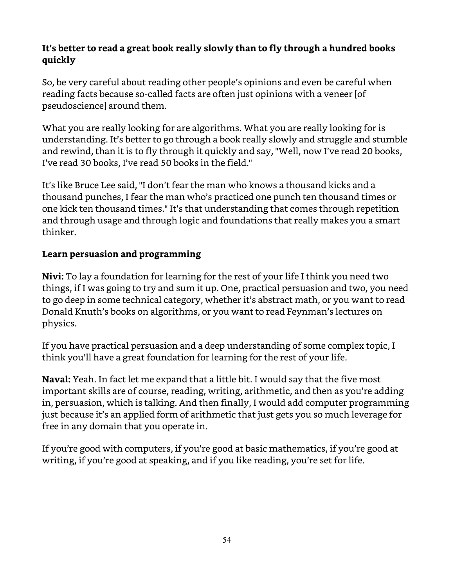### **It's better to read a great book really slowly than to fly through a hundred books quickly**

So, be very careful about reading other people's opinions and even be careful when reading facts because so-called facts are often just opinions with a veneer [of pseudoscience] around them.

What you are really looking for are algorithms. What you are really looking for is understanding. It's better to go through a book really slowly and struggle and stumble and rewind, than it is to fly through it quickly and say, "Well, now I've read 20 books, I've read 30 books, I've read 50 books in the field."

It's like Bruce Lee said, "I don't fear the man who knows a thousand kicks and a thousand punches, I fear the man who's practiced one punch ten thousand times or one kick ten thousand times." It's that understanding that comes through repetition and through usage and through logic and foundations that really makes you a smart thinker.

### **Learn persuasion and programming**

**Nivi:** To lay a foundation for learning for the rest of your life I think you need two things, if I was going to try and sum it up. One, practical persuasion and two, you need to go deep in some technical category, whether it's abstract math, or you want to read Donald Knuth's books on algorithms, or you want to read Feynman's lectures on physics.

If you have practical persuasion and a deep understanding of some complex topic, I think you'll have a great foundation for learning for the rest of your life.

**Naval:** Yeah. In fact let me expand that a little bit. I would say that the five most important skills are of course, reading, writing, arithmetic, and then as you're adding in, persuasion, which is talking. And then finally, I would add computer programming just because it's an applied form of arithmetic that just gets you so much leverage for free in any domain that you operate in.

If you're good with computers, if you're good at basic mathematics, if you're good at writing, if you're good at speaking, and if you like reading, you're set for life.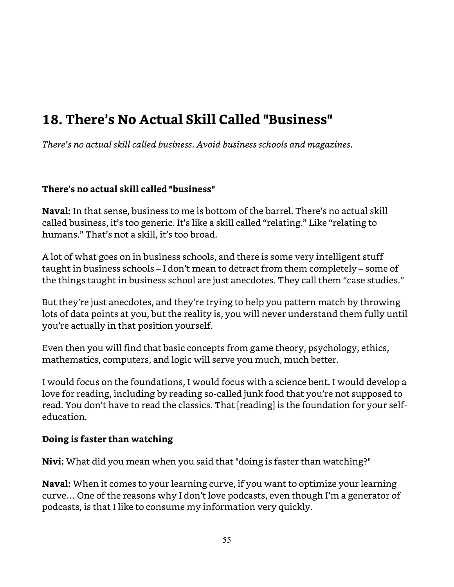# **18. There's No Actual Skill Called "Business"**

*There's no actual skill called business. Avoid business schools and magazines.*

### **There's no actual skill called "business"**

**Naval:** In that sense, business to me is bottom of the barrel. There's no actual skill called business, it's too generic. It's like a skill called "relating." Like "relating to humans." That's not a skill, it's too broad.

A lot of what goes on in business schools, and there is some very intelligent stuff taught in business schools – I don't mean to detract from them completely – some of the things taught in business school are just anecdotes. They call them "case studies."

But they're just anecdotes, and they're trying to help you pattern match by throwing lots of data points at you, but the reality is, you will never understand them fully until you're actually in that position yourself.

Even then you will find that basic concepts from game theory, psychology, ethics, mathematics, computers, and logic will serve you much, much better.

I would focus on the foundations, I would focus with a science bent. I would develop a love for reading, including by reading so-called junk food that you're not supposed to read. You don't have to read the classics. That [reading] is the foundation for your selfeducation.

### **Doing is faster than watching**

**Nivi:** What did you mean when you said that "doing is faster than watching?"

**Naval:** When it comes to your learning curve, if you want to optimize your learning curve… One of the reasons why I don't love podcasts, even though I'm a generator of podcasts, is that I like to consume my information very quickly.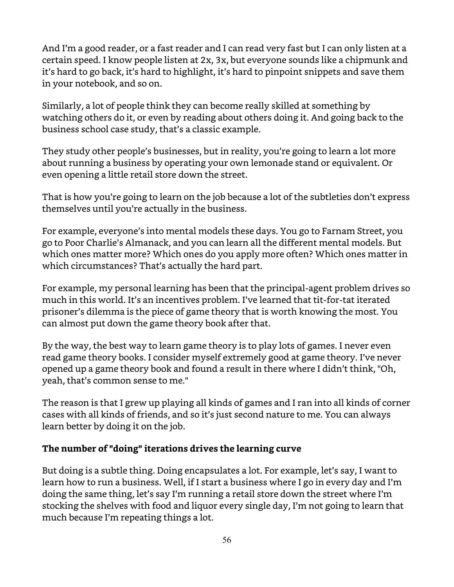And I'm a good reader, or a fast reader and I can read very fast but I can only listen at a certain speed. I know people listen at 2x, 3x, but everyone sounds like a chipmunk and it's hard to go back, it's hard to highlight, it's hard to pinpoint snippets and save them in your notebook, and so on.

Similarly, a lot of people think they can become really skilled at something by watching others do it, or even by reading about others doing it. And going back to the business school case study, that's a classic example.

They study other people's businesses, but in reality, you're going to learn a lot more about running a business by operating your own lemonade stand or equivalent. Or even opening a little retail store down the street.

That is how you're going to learn on the job because a lot of the subtleties don't express themselves until you're actually in the business.

For example, everyone's into mental models these days. You go to Farnam Street, you go to Poor Charlie's Almanack, and you can learn all the different mental models. But which ones matter more? Which ones do you apply more often? Which ones matter in which circumstances? That's actually the hard part.

For example, my personal learning has been that the principal-agent problem drives so much in this world. It's an incentives problem. I've learned that tit-for-tat iterated prisoner's dilemma is the piece of game theory that is worth knowing the most. You can almost put down the game theory book after that.

By the way, the best way to learn game theory is to play lots of games. I never even read game theory books. I consider myself extremely good at game theory. I've never opened up a game theory book and found a result in there where I didn't think, "Oh, yeah, that's common sense to me."

The reason is that I grew up playing all kinds of games and I ran into all kinds of corner cases with all kinds of friends, and so it's just second nature to me. You can always learn better by doing it on the job.

### **The number of "doing" iterations drives the learning curve**

But doing is a subtle thing. Doing encapsulates a lot. For example, let's say, I want to learn how to run a business. Well, if I start a business where I go in every day and I'm doing the same thing, let's say I'm running a retail store down the street where I'm stocking the shelves with food and liquor every single day, I'm not going to learn that much because I'm repeating things a lot.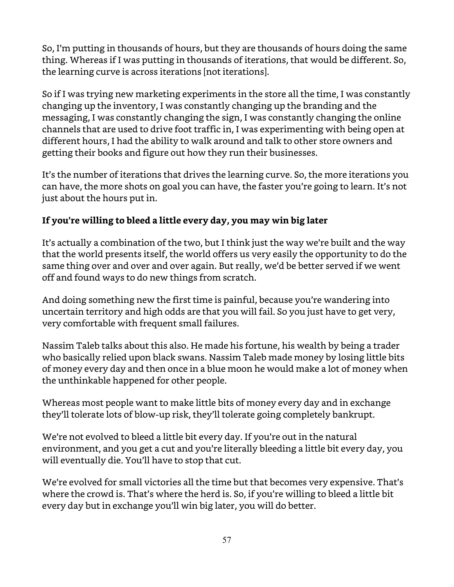So, I'm putting in thousands of hours, but they are thousands of hours doing the same thing. Whereas if I was putting in thousands of iterations, that would be different. So, the learning curve is across iterations [not iterations].

So if I was trying new marketing experiments in the store all the time, I was constantly changing up the inventory, I was constantly changing up the branding and the messaging, I was constantly changing the sign, I was constantly changing the online channels that are used to drive foot traffic in, I was experimenting with being open at different hours, I had the ability to walk around and talk to other store owners and getting their books and figure out how they run their businesses.

It's the number of iterations that drives the learning curve. So, the more iterations you can have, the more shots on goal you can have, the faster you're going to learn. It's not just about the hours put in.

## **If you're willing to bleed a little every day, you may win big later**

It's actually a combination of the two, but I think just the way we're built and the way that the world presents itself, the world offers us very easily the opportunity to do the same thing over and over and over again. But really, we'd be better served if we went off and found ways to do new things from scratch.

And doing something new the first time is painful, because you're wandering into uncertain territory and high odds are that you will fail. So you just have to get very, very comfortable with frequent small failures.

Nassim Taleb talks about this also. He made his fortune, his wealth by being a trader who basically relied upon black swans. Nassim Taleb made money by losing little bits of money every day and then once in a blue moon he would make a lot of money when the unthinkable happened for other people.

Whereas most people want to make little bits of money every day and in exchange they'll tolerate lots of blow-up risk, they'll tolerate going completely bankrupt.

We're not evolved to bleed a little bit every day. If you're out in the natural environment, and you get a cut and you're literally bleeding a little bit every day, you will eventually die. You'll have to stop that cut.

We're evolved for small victories all the time but that becomes very expensive. That's where the crowd is. That's where the herd is. So, if you're willing to bleed a little bit every day but in exchange you'll win big later, you will do better.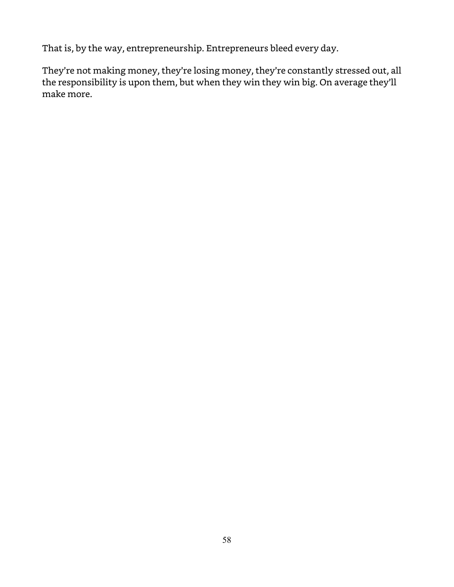That is, by the way, entrepreneurship. Entrepreneurs bleed every day.

They're not making money, they're losing money, they're constantly stressed out, all the responsibility is upon them, but when they win they win big. On average they'll make more.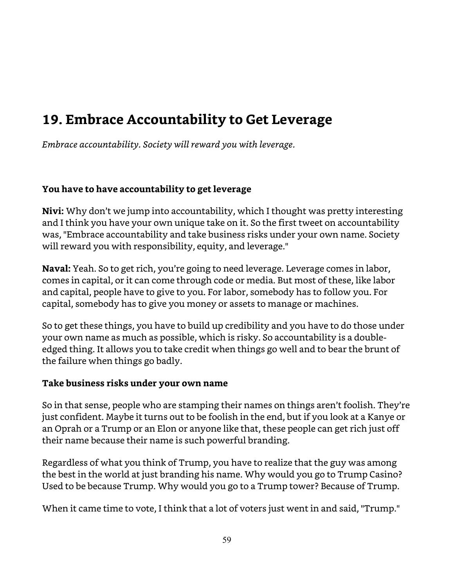# **19. Embrace Accountability to Get Leverage**

*Embrace accountability. Society will reward you with leverage.*

#### **You have to have accountability to get leverage**

**Nivi:** Why don't we jump into accountability, which I thought was pretty interesting and I think you have your own unique take on it. So the first tweet on accountability was, "Embrace accountability and take business risks under your own name. Society will reward you with responsibility, equity, and leverage."

**Naval:** Yeah. So to get rich, you're going to need leverage. Leverage comes in labor, comes in capital, or it can come through code or media. But most of these, like labor and capital, people have to give to you. For labor, somebody has to follow you. For capital, somebody has to give you money or assets to manage or machines.

So to get these things, you have to build up credibility and you have to do those under your own name as much as possible, which is risky. So accountability is a doubleedged thing. It allows you to take credit when things go well and to bear the brunt of the failure when things go badly.

#### **Take business risks under your own name**

So in that sense, people who are stamping their names on things aren't foolish. They're just confident. Maybe it turns out to be foolish in the end, but if you look at a Kanye or an Oprah or a Trump or an Elon or anyone like that, these people can get rich just off their name because their name is such powerful branding.

Regardless of what you think of Trump, you have to realize that the guy was among the best in the world at just branding his name. Why would you go to Trump Casino? Used to be because Trump. Why would you go to a Trump tower? Because of Trump.

When it came time to vote, I think that a lot of voters just went in and said, "Trump."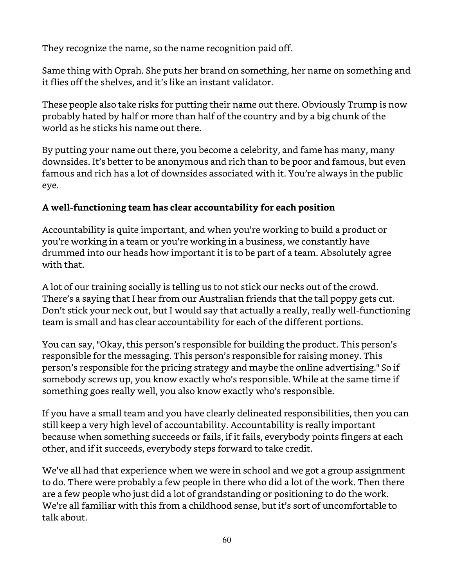They recognize the name, so the name recognition paid off.

Same thing with Oprah. She puts her brand on something, her name on something and it flies off the shelves, and it's like an instant validator.

These people also take risks for putting their name out there. Obviously Trump is now probably hated by half or more than half of the country and by a big chunk of the world as he sticks his name out there.

By putting your name out there, you become a celebrity, and fame has many, many downsides. It's better to be anonymous and rich than to be poor and famous, but even famous and rich has a lot of downsides associated with it. You're always in the public eye.

## **A well-functioning team has clear accountability for each position**

Accountability is quite important, and when you're working to build a product or you're working in a team or you're working in a business, we constantly have drummed into our heads how important it is to be part of a team. Absolutely agree with that.

A lot of our training socially is telling us to not stick our necks out of the crowd. There's a saying that I hear from our Australian friends that the tall poppy gets cut. Don't stick your neck out, but I would say that actually a really, really well-functioning team is small and has clear accountability for each of the different portions.

You can say, "Okay, this person's responsible for building the product. This person's responsible for the messaging. This person's responsible for raising money. This person's responsible for the pricing strategy and maybe the online advertising." So if somebody screws up, you know exactly who's responsible. While at the same time if something goes really well, you also know exactly who's responsible.

If you have a small team and you have clearly delineated responsibilities, then you can still keep a very high level of accountability. Accountability is really important because when something succeeds or fails, if it fails, everybody points fingers at each other, and if it succeeds, everybody steps forward to take credit.

We've all had that experience when we were in school and we got a group assignment to do. There were probably a few people in there who did a lot of the work. Then there are a few people who just did a lot of grandstanding or positioning to do the work. We're all familiar with this from a childhood sense, but it's sort of uncomfortable to talk about.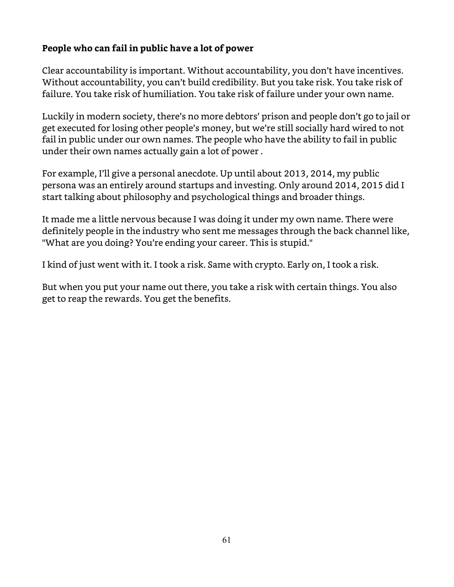### **People who can fail in public have a lot of power**

Clear accountability is important. Without accountability, you don't have incentives. Without accountability, you can't build credibility. But you take risk. You take risk of failure. You take risk of humiliation. You take risk of failure under your own name.

Luckily in modern society, there's no more debtors' prison and people don't go to jail or get executed for losing other people's money, but we're still socially hard wired to not fail in public under our own names. The people who have the ability to fail in public under their own names actually gain a lot of power .

For example, I'll give a personal anecdote. Up until about 2013, 2014, my public persona was an entirely around startups and investing. Only around 2014, 2015 did I start talking about philosophy and psychological things and broader things.

It made me a little nervous because I was doing it under my own name. There were definitely people in the industry who sent me messages through the back channel like, "What are you doing? You're ending your career. This is stupid."

I kind of just went with it. I took a risk. Same with crypto. Early on, I took a risk.

But when you put your name out there, you take a risk with certain things. You also get to reap the rewards. You get the benefits.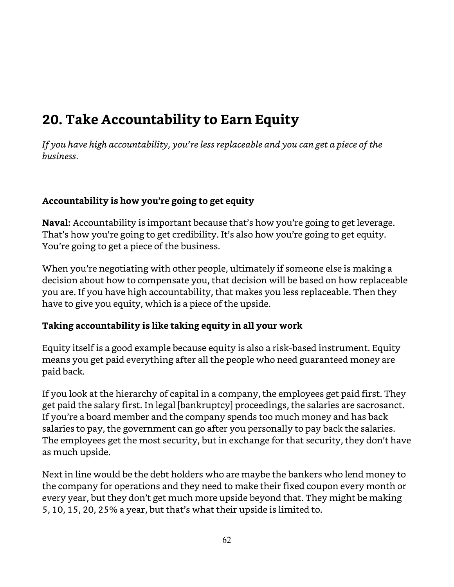# **20. Take Accountability to Earn Equity**

*If you have high accountability, you're less replaceable and you can get a piece of the business.*

### **Accountability is how you're going to get equity**

**Naval:** Accountability is important because that's how you're going to get leverage. That's how you're going to get credibility. It's also how you're going to get equity. You're going to get a piece of the business.

When you're negotiating with other people, ultimately if someone else is making a decision about how to compensate you, that decision will be based on how replaceable you are. If you have high accountability, that makes you less replaceable. Then they have to give you equity, which is a piece of the upside.

### **Taking accountability is like taking equity in all your work**

Equity itself is a good example because equity is also a risk-based instrument. Equity means you get paid everything after all the people who need guaranteed money are paid back.

If you look at the hierarchy of capital in a company, the employees get paid first. They get paid the salary first. In legal [bankruptcy] proceedings, the salaries are sacrosanct. If you're a board member and the company spends too much money and has back salaries to pay, the government can go after you personally to pay back the salaries. The employees get the most security, but in exchange for that security, they don't have as much upside.

Next in line would be the debt holders who are maybe the bankers who lend money to the company for operations and they need to make their fixed coupon every month or every year, but they don't get much more upside beyond that. They might be making 5, 10, 15, 20, 25% a year, but that's what their upside is limited to.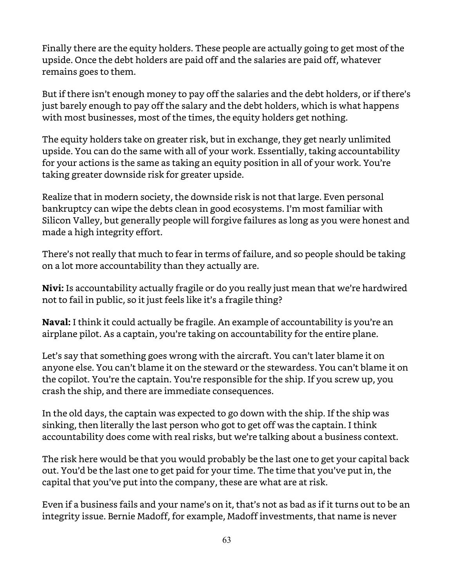Finally there are the equity holders. These people are actually going to get most of the upside. Once the debt holders are paid off and the salaries are paid off, whatever remains goes to them.

But if there isn't enough money to pay off the salaries and the debt holders, or if there's just barely enough to pay off the salary and the debt holders, which is what happens with most businesses, most of the times, the equity holders get nothing.

The equity holders take on greater risk, but in exchange, they get nearly unlimited upside. You can do the same with all of your work. Essentially, taking accountability for your actions is the same as taking an equity position in all of your work. You're taking greater downside risk for greater upside.

Realize that in modern society, the downside risk is not that large. Even personal bankruptcy can wipe the debts clean in good ecosystems. I'm most familiar with Silicon Valley, but generally people will forgive failures as long as you were honest and made a high integrity effort.

There's not really that much to fear in terms of failure, and so people should be taking on a lot more accountability than they actually are.

**Nivi:** Is accountability actually fragile or do you really just mean that we're hardwired not to fail in public, so it just feels like it's a fragile thing?

**Naval:** I think it could actually be fragile. An example of accountability is you're an airplane pilot. As a captain, you're taking on accountability for the entire plane.

Let's say that something goes wrong with the aircraft. You can't later blame it on anyone else. You can't blame it on the steward or the stewardess. You can't blame it on the copilot. You're the captain. You're responsible for the ship. If you screw up, you crash the ship, and there are immediate consequences.

In the old days, the captain was expected to go down with the ship. If the ship was sinking, then literally the last person who got to get off was the captain. I think accountability does come with real risks, but we're talking about a business context.

The risk here would be that you would probably be the last one to get your capital back out. You'd be the last one to get paid for your time. The time that you've put in, the capital that you've put into the company, these are what are at risk.

Even if a business fails and your name's on it, that's not as bad as if it turns out to be an integrity issue. Bernie Madoff, for example, Madoff investments, that name is never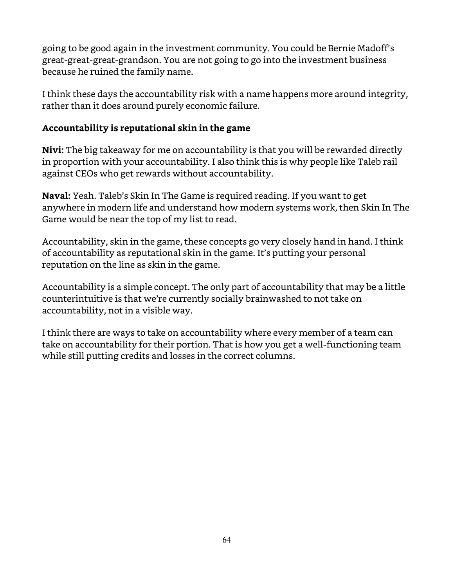going to be good again in the investment community. You could be Bernie Madoff's great-great-great-grandson. You are not going to go into the investment business because he ruined the family name.

I think these days the accountability risk with a name happens more around integrity, rather than it does around purely economic failure.

### **Accountability is reputational skin in the game**

**Nivi:** The big takeaway for me on accountability is that you will be rewarded directly in proportion with your accountability. I also think this is why people like Taleb rail against CEOs who get rewards without accountability.

**Naval:** Yeah. Taleb's Skin In The Game is required reading. If you want to get anywhere in modern life and understand how modern systems work, then Skin In The Game would be near the top of my list to read.

Accountability, skin in the game, these concepts go very closely hand in hand. I think of accountability as reputational skin in the game. It's putting your personal reputation on the line as skin in the game.

Accountability is a simple concept. The only part of accountability that may be a little counterintuitive is that we're currently socially brainwashed to not take on accountability, not in a visible way.

I think there are ways to take on accountability where every member of a team can take on accountability for their portion. That is how you get a well-functioning team while still putting credits and losses in the correct columns.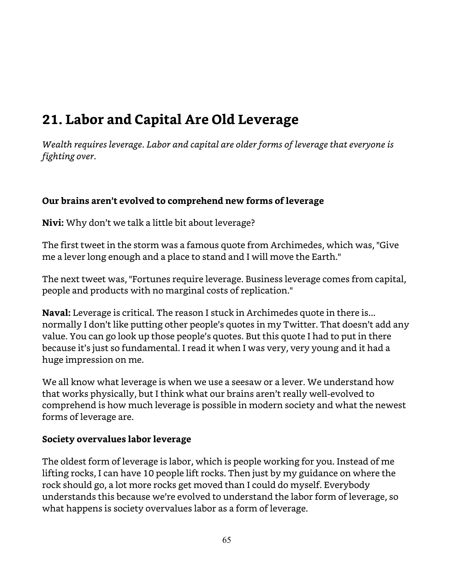# **21. Labor and Capital Are Old Leverage**

*Wealth requires leverage. Labor and capital are older forms of leverage that everyone is fighting over.*

### **Our brains aren't evolved to comprehend new forms of leverage**

**Nivi:** Why don't we talk a little bit about leverage?

The first tweet in the storm was a famous quote from Archimedes, which was, "Give me a lever long enough and a place to stand and I will move the Earth."

The next tweet was, "Fortunes require leverage. Business leverage comes from capital, people and products with no marginal costs of replication."

**Naval:** Leverage is critical. The reason I stuck in Archimedes quote in there is... normally I don't like putting other people's quotes in my Twitter. That doesn't add any value. You can go look up those people's quotes. But this quote I had to put in there because it's just so fundamental. I read it when I was very, very young and it had a huge impression on me.

We all know what leverage is when we use a seesaw or a lever. We understand how that works physically, but I think what our brains aren't really well-evolved to comprehend is how much leverage is possible in modern society and what the newest forms of leverage are.

### **Society overvalues labor leverage**

The oldest form of leverage is labor, which is people working for you. Instead of me lifting rocks, I can have 10 people lift rocks. Then just by my guidance on where the rock should go, a lot more rocks get moved than I could do myself. Everybody understands this because we're evolved to understand the labor form of leverage, so what happens is society overvalues labor as a form of leverage.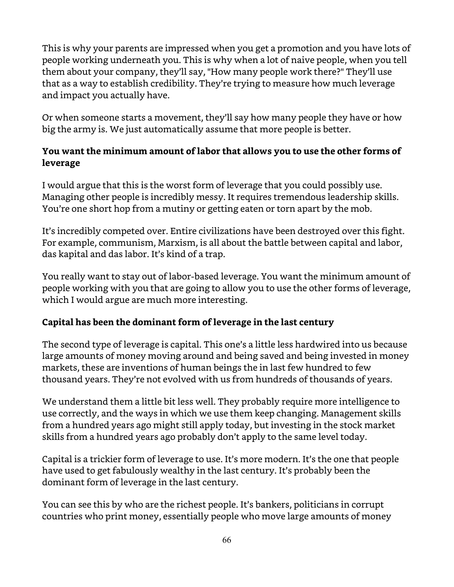This is why your parents are impressed when you get a promotion and you have lots of people working underneath you. This is why when a lot of naive people, when you tell them about your company, they'll say, "How many people work there?" They'll use that as a way to establish credibility. They're trying to measure how much leverage and impact you actually have.

Or when someone starts a movement, they'll say how many people they have or how big the army is. We just automatically assume that more people is better.

### **You want the minimum amount of labor that allows you to use the other forms of leverage**

I would argue that this is the worst form of leverage that you could possibly use. Managing other people is incredibly messy. It requires tremendous leadership skills. You're one short hop from a mutiny or getting eaten or torn apart by the mob.

It's incredibly competed over. Entire civilizations have been destroyed over this fight. For example, communism, Marxism, is all about the battle between capital and labor, das kapital and das labor. It's kind of a trap.

You really want to stay out of labor-based leverage. You want the minimum amount of people working with you that are going to allow you to use the other forms of leverage, which I would argue are much more interesting.

### **Capital has been the dominant form of leverage in the last century**

The second type of leverage is capital. This one's a little less hardwired into us because large amounts of money moving around and being saved and being invested in money markets, these are inventions of human beings the in last few hundred to few thousand years. They're not evolved with us from hundreds of thousands of years.

We understand them a little bit less well. They probably require more intelligence to use correctly, and the ways in which we use them keep changing. Management skills from a hundred years ago might still apply today, but investing in the stock market skills from a hundred years ago probably don't apply to the same level today.

Capital is a trickier form of leverage to use. It's more modern. It's the one that people have used to get fabulously wealthy in the last century. It's probably been the dominant form of leverage in the last century.

You can see this by who are the richest people. It's bankers, politicians in corrupt countries who print money, essentially people who move large amounts of money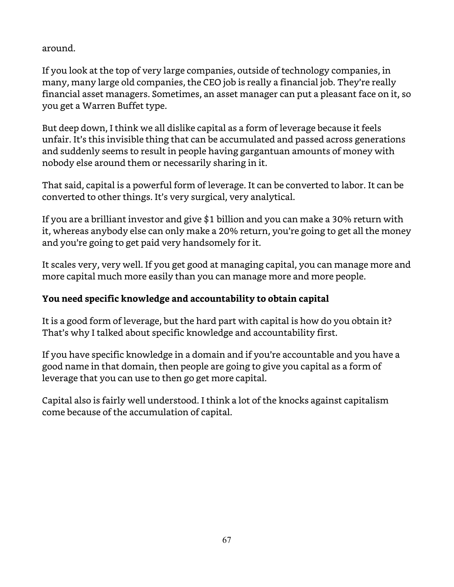around.

If you look at the top of very large companies, outside of technology companies, in many, many large old companies, the CEO job is really a financial job. They're really financial asset managers. Sometimes, an asset manager can put a pleasant face on it, so you get a Warren Buffet type.

But deep down, I think we all dislike capital as a form of leverage because it feels unfair. It's this invisible thing that can be accumulated and passed across generations and suddenly seems to result in people having gargantuan amounts of money with nobody else around them or necessarily sharing in it.

That said, capital is a powerful form of leverage. It can be converted to labor. It can be converted to other things. It's very surgical, very analytical.

If you are a brilliant investor and give \$1 billion and you can make a 30% return with it, whereas anybody else can only make a 20% return, you're going to get all the money and you're going to get paid very handsomely for it.

It scales very, very well. If you get good at managing capital, you can manage more and more capital much more easily than you can manage more and more people.

## **You need specific knowledge and accountability to obtain capital**

It is a good form of leverage, but the hard part with capital is how do you obtain it? That's why I talked about specific knowledge and accountability first.

If you have specific knowledge in a domain and if you're accountable and you have a good name in that domain, then people are going to give you capital as a form of leverage that you can use to then go get more capital.

Capital also is fairly well understood. I think a lot of the knocks against capitalism come because of the accumulation of capital.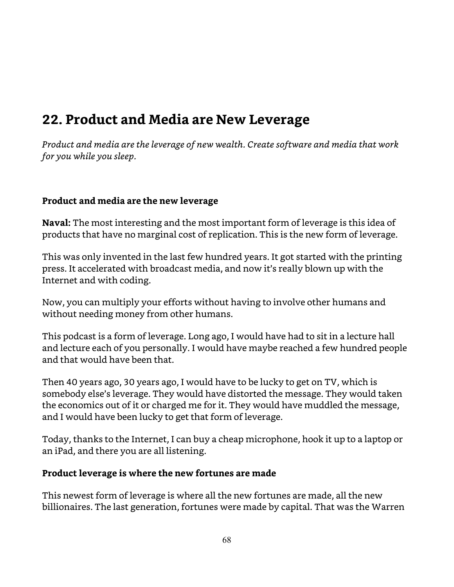## **22. Product and Media are New Leverage**

*Product and media are the leverage of new wealth. Create software and media that work for you while you sleep.*

#### **Product and media are the new leverage**

**Naval:** The most interesting and the most important form of leverage is this idea of products that have no marginal cost of replication. This is the new form of leverage.

This was only invented in the last few hundred years. It got started with the printing press. It accelerated with broadcast media, and now it's really blown up with the Internet and with coding.

Now, you can multiply your efforts without having to involve other humans and without needing money from other humans.

This podcast is a form of leverage. Long ago, I would have had to sit in a lecture hall and lecture each of you personally. I would have maybe reached a few hundred people and that would have been that.

Then 40 years ago, 30 years ago, I would have to be lucky to get on TV, which is somebody else's leverage. They would have distorted the message. They would taken the economics out of it or charged me for it. They would have muddled the message, and I would have been lucky to get that form of leverage.

Today, thanks to the Internet, I can buy a cheap microphone, hook it up to a laptop or an iPad, and there you are all listening.

#### **Product leverage is where the new fortunes are made**

This newest form of leverage is where all the new fortunes are made, all the new billionaires. The last generation, fortunes were made by capital. That was the Warren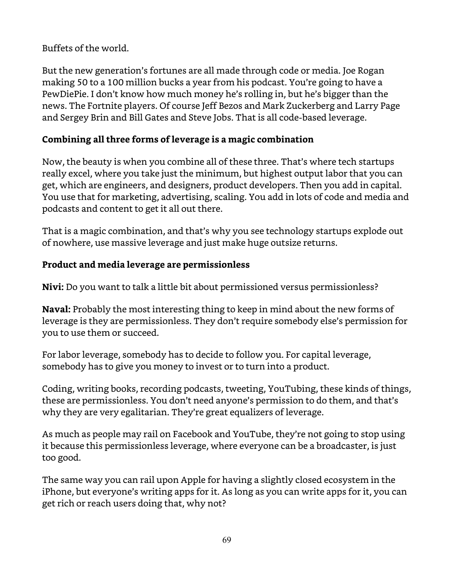Buffets of the world.

But the new generation's fortunes are all made through code or media. Joe Rogan making 50 to a 100 million bucks a year from his podcast. You're going to have a PewDiePie. I don't know how much money he's rolling in, but he's bigger than the news. The Fortnite players. Of course Jeff Bezos and Mark Zuckerberg and Larry Page and Sergey Brin and Bill Gates and Steve Jobs. That is all code-based leverage.

### **Combining all three forms of leverage is a magic combination**

Now, the beauty is when you combine all of these three. That's where tech startups really excel, where you take just the minimum, but highest output labor that you can get, which are engineers, and designers, product developers. Then you add in capital. You use that for marketing, advertising, scaling. You add in lots of code and media and podcasts and content to get it all out there.

That is a magic combination, and that's why you see technology startups explode out of nowhere, use massive leverage and just make huge outsize returns.

### **Product and media leverage are permissionless**

**Nivi:** Do you want to talk a little bit about permissioned versus permissionless?

**Naval:** Probably the most interesting thing to keep in mind about the new forms of leverage is they are permissionless. They don't require somebody else's permission for you to use them or succeed.

For labor leverage, somebody has to decide to follow you. For capital leverage, somebody has to give you money to invest or to turn into a product.

Coding, writing books, recording podcasts, tweeting, YouTubing, these kinds of things, these are permissionless. You don't need anyone's permission to do them, and that's why they are very egalitarian. They're great equalizers of leverage.

As much as people may rail on Facebook and YouTube, they're not going to stop using it because this permissionless leverage, where everyone can be a broadcaster, is just too good.

The same way you can rail upon Apple for having a slightly closed ecosystem in the iPhone, but everyone's writing apps for it. As long as you can write apps for it, you can get rich or reach users doing that, why not?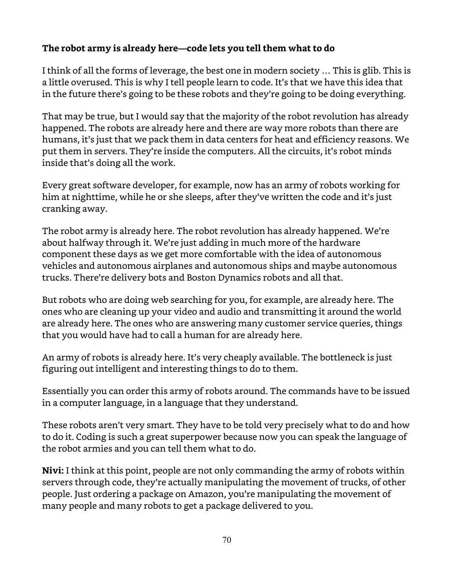## **The robot army is already here—code lets you tell them what to do**

I think of all the forms of leverage, the best one in modern society … This is glib. This is a little overused. This is why I tell people learn to code. It's that we have this idea that in the future there's going to be these robots and they're going to be doing everything.

That may be true, but I would say that the majority of the robot revolution has already happened. The robots are already here and there are way more robots than there are humans, it's just that we pack them in data centers for heat and efficiency reasons. We put them in servers. They're inside the computers. All the circuits, it's robot minds inside that's doing all the work.

Every great software developer, for example, now has an army of robots working for him at nighttime, while he or she sleeps, after they've written the code and it's just cranking away.

The robot army is already here. The robot revolution has already happened. We're about halfway through it. We're just adding in much more of the hardware component these days as we get more comfortable with the idea of autonomous vehicles and autonomous airplanes and autonomous ships and maybe autonomous trucks. There're delivery bots and Boston Dynamics robots and all that.

But robots who are doing web searching for you, for example, are already here. The ones who are cleaning up your video and audio and transmitting it around the world are already here. The ones who are answering many customer service queries, things that you would have had to call a human for are already here.

An army of robots is already here. It's very cheaply available. The bottleneck is just figuring out intelligent and interesting things to do to them.

Essentially you can order this army of robots around. The commands have to be issued in a computer language, in a language that they understand.

These robots aren't very smart. They have to be told very precisely what to do and how to do it. Coding is such a great superpower because now you can speak the language of the robot armies and you can tell them what to do.

**Nivi:** I think at this point, people are not only commanding the army of robots within servers through code, they're actually manipulating the movement of trucks, of other people. Just ordering a package on Amazon, you're manipulating the movement of many people and many robots to get a package delivered to you.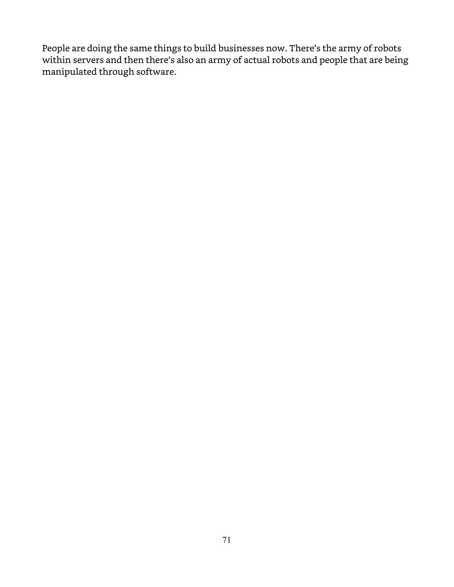People are doing the same things to build businesses now. There's the army of robots within servers and then there's also an army of actual robots and people that are being manipulated through software.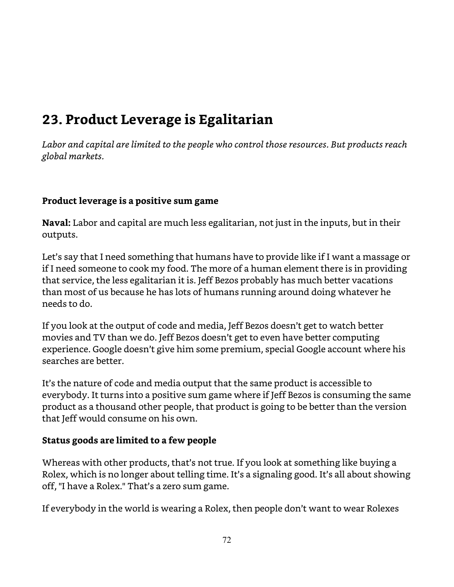# **23. Product Leverage is Egalitarian**

*Labor and capital are limited to the people who control those resources. But products reach global markets.*

## **Product leverage is a positive sum game**

**Naval:** Labor and capital are much less egalitarian, not just in the inputs, but in their outputs.

Let's say that I need something that humans have to provide like if I want a massage or if I need someone to cook my food. The more of a human element there is in providing that service, the less egalitarian it is. Jeff Bezos probably has much better vacations than most of us because he has lots of humans running around doing whatever he needs to do.

If you look at the output of code and media, Jeff Bezos doesn't get to watch better movies and TV than we do. Jeff Bezos doesn't get to even have better computing experience. Google doesn't give him some premium, special Google account where his searches are better.

It's the nature of code and media output that the same product is accessible to everybody. It turns into a positive sum game where if Jeff Bezos is consuming the same product as a thousand other people, that product is going to be better than the version that Jeff would consume on his own.

## **Status goods are limited to a few people**

Whereas with other products, that's not true. If you look at something like buying a Rolex, which is no longer about telling time. It's a signaling good. It's all about showing off, "I have a Rolex." That's a zero sum game.

If everybody in the world is wearing a Rolex, then people don't want to wear Rolexes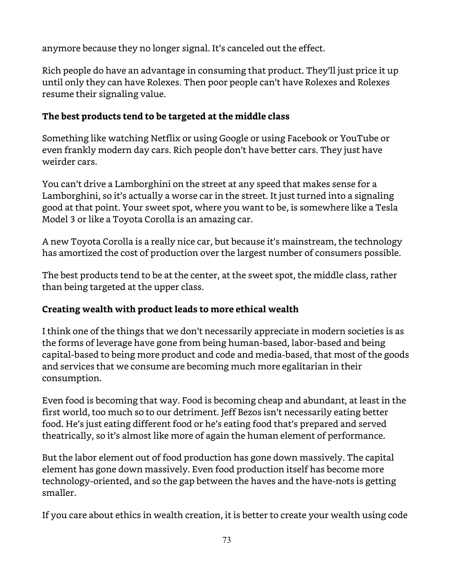anymore because they no longer signal. It's canceled out the effect.

Rich people do have an advantage in consuming that product. They'll just price it up until only they can have Rolexes. Then poor people can't have Rolexes and Rolexes resume their signaling value.

## **The best products tend to be targeted at the middle class**

Something like watching Netflix or using Google or using Facebook or YouTube or even frankly modern day cars. Rich people don't have better cars. They just have weirder cars.

You can't drive a Lamborghini on the street at any speed that makes sense for a Lamborghini, so it's actually a worse car in the street. It just turned into a signaling good at that point. Your sweet spot, where you want to be, is somewhere like a Tesla Model 3 or like a Toyota Corolla is an amazing car.

A new Toyota Corolla is a really nice car, but because it's mainstream, the technology has amortized the cost of production over the largest number of consumers possible.

The best products tend to be at the center, at the sweet spot, the middle class, rather than being targeted at the upper class.

# **Creating wealth with product leads to more ethical wealth**

I think one of the things that we don't necessarily appreciate in modern societies is as the forms of leverage have gone from being human-based, labor-based and being capital-based to being more product and code and media-based, that most of the goods and services that we consume are becoming much more egalitarian in their consumption.

Even food is becoming that way. Food is becoming cheap and abundant, at least in the first world, too much so to our detriment. Jeff Bezos isn't necessarily eating better food. He's just eating different food or he's eating food that's prepared and served theatrically, so it's almost like more of again the human element of performance.

But the labor element out of food production has gone down massively. The capital element has gone down massively. Even food production itself has become more technology-oriented, and so the gap between the haves and the have-nots is getting smaller.

If you care about ethics in wealth creation, it is better to create your wealth using code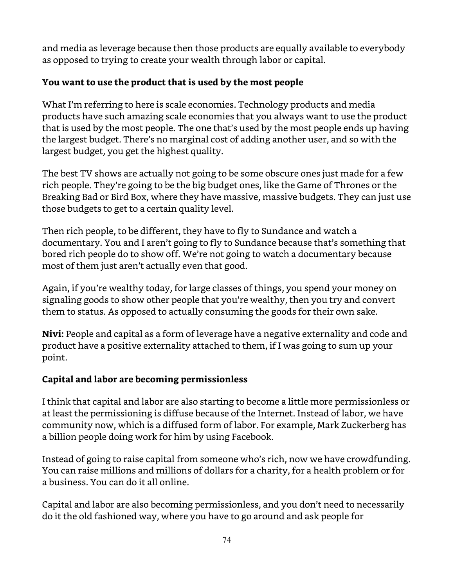and media as leverage because then those products are equally available to everybody as opposed to trying to create your wealth through labor or capital.

# **You want to use the product that is used by the most people**

What I'm referring to here is scale economies. Technology products and media products have such amazing scale economies that you always want to use the product that is used by the most people. The one that's used by the most people ends up having the largest budget. There's no marginal cost of adding another user, and so with the largest budget, you get the highest quality.

The best TV shows are actually not going to be some obscure ones just made for a few rich people. They're going to be the big budget ones, like the Game of Thrones or the Breaking Bad or Bird Box, where they have massive, massive budgets. They can just use those budgets to get to a certain quality level.

Then rich people, to be different, they have to fly to Sundance and watch a documentary. You and I aren't going to fly to Sundance because that's something that bored rich people do to show off. We're not going to watch a documentary because most of them just aren't actually even that good.

Again, if you're wealthy today, for large classes of things, you spend your money on signaling goods to show other people that you're wealthy, then you try and convert them to status. As opposed to actually consuming the goods for their own sake.

**Nivi:** People and capital as a form of leverage have a negative externality and code and product have a positive externality attached to them, if I was going to sum up your point.

# **Capital and labor are becoming permissionless**

I think that capital and labor are also starting to become a little more permissionless or at least the permissioning is diffuse because of the Internet. Instead of labor, we have community now, which is a diffused form of labor. For example, Mark Zuckerberg has a billion people doing work for him by using Facebook.

Instead of going to raise capital from someone who's rich, now we have crowdfunding. You can raise millions and millions of dollars for a charity, for a health problem or for a business. You can do it all online.

Capital and labor are also becoming permissionless, and you don't need to necessarily do it the old fashioned way, where you have to go around and ask people for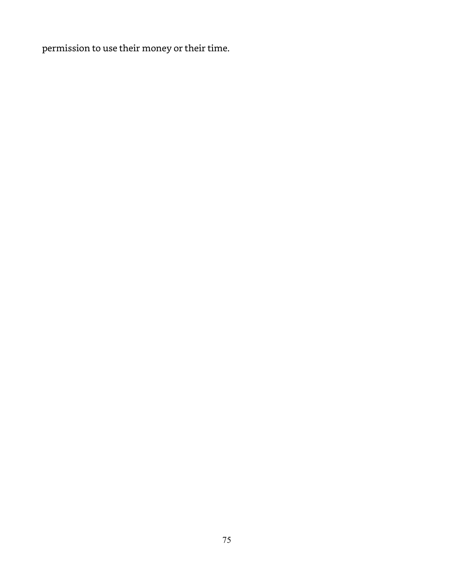permission to use their money or their time.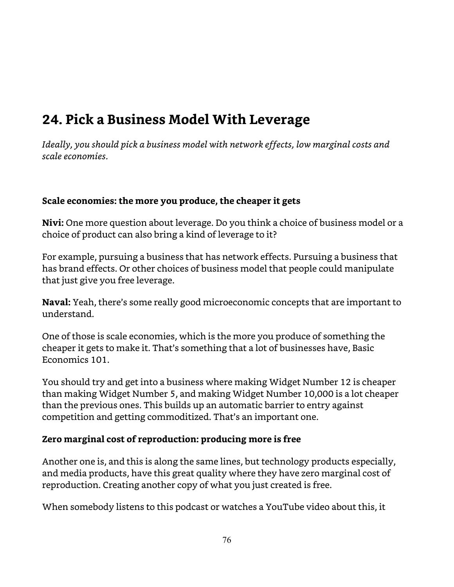# **24. Pick a Business Model With Leverage**

*Ideally, you should pick a business model with network effects, low marginal costs and scale economies.*

#### **Scale economies: the more you produce, the cheaper it gets**

**Nivi:** One more question about leverage. Do you think a choice of business model or a choice of product can also bring a kind of leverage to it?

For example, pursuing a business that has network effects. Pursuing a business that has brand effects. Or other choices of business model that people could manipulate that just give you free leverage.

**Naval:** Yeah, there's some really good microeconomic concepts that are important to understand.

One of those is scale economies, which is the more you produce of something the cheaper it gets to make it. That's something that a lot of businesses have, Basic Economics 101.

You should try and get into a business where making Widget Number 12 is cheaper than making Widget Number 5, and making Widget Number 10,000 is a lot cheaper than the previous ones. This builds up an automatic barrier to entry against competition and getting commoditized. That's an important one.

## **Zero marginal cost of reproduction: producing more is free**

Another one is, and this is along the same lines, but technology products especially, and media products, have this great quality where they have zero marginal cost of reproduction. Creating another copy of what you just created is free.

When somebody listens to this podcast or watches a YouTube video about this, it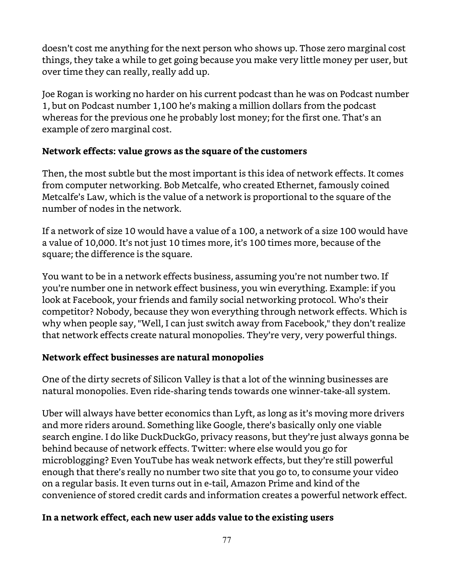doesn't cost me anything for the next person who shows up. Those zero marginal cost things, they take a while to get going because you make very little money per user, but over time they can really, really add up.

Joe Rogan is working no harder on his current podcast than he was on Podcast number 1, but on Podcast number 1,100 he's making a million dollars from the podcast whereas for the previous one he probably lost money; for the first one. That's an example of zero marginal cost.

## **Network effects: value grows as the square of the customers**

Then, the most subtle but the most important is this idea of network effects. It comes from computer networking. Bob Metcalfe, who created Ethernet, famously coined Metcalfe's Law, which is the value of a network is proportional to the square of the number of nodes in the network.

If a network of size 10 would have a value of a 100, a network of a size 100 would have a value of 10,000. It's not just 10 times more, it's 100 times more, because of the square; the difference is the square.

You want to be in a network effects business, assuming you're not number two. If you're number one in network effect business, you win everything. Example: if you look at Facebook, your friends and family social networking protocol. Who's their competitor? Nobody, because they won everything through network effects. Which is why when people say, "Well, I can just switch away from Facebook," they don't realize that network effects create natural monopolies. They're very, very powerful things.

# **Network effect businesses are natural monopolies**

One of the dirty secrets of Silicon Valley is that a lot of the winning businesses are natural monopolies. Even ride-sharing tends towards one winner-take-all system.

Uber will always have better economics than Lyft, as long as it's moving more drivers and more riders around. Something like Google, there's basically only one viable search engine. I do like DuckDuckGo, privacy reasons, but they're just always gonna be behind because of network effects. Twitter: where else would you go for microblogging? Even YouTube has weak network effects, but they're still powerful enough that there's really no number two site that you go to, to consume your video on a regular basis. It even turns out in e-tail, Amazon Prime and kind of the convenience of stored credit cards and information creates a powerful network effect.

# **In a network effect, each new user adds value to the existing users**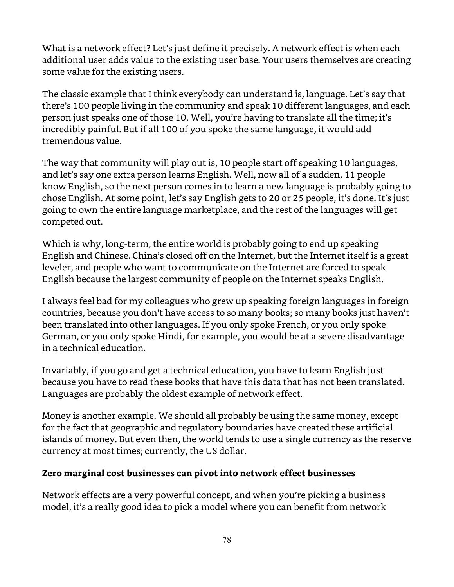What is a network effect? Let's just define it precisely. A network effect is when each additional user adds value to the existing user base. Your users themselves are creating some value for the existing users.

The classic example that I think everybody can understand is, language. Let's say that there's 100 people living in the community and speak 10 different languages, and each person just speaks one of those 10. Well, you're having to translate all the time; it's incredibly painful. But if all 100 of you spoke the same language, it would add tremendous value.

The way that community will play out is, 10 people start off speaking 10 languages, and let's say one extra person learns English. Well, now all of a sudden, 11 people know English, so the next person comes in to learn a new language is probably going to chose English. At some point, let's say English gets to 20 or 25 people, it's done. It's just going to own the entire language marketplace, and the rest of the languages will get competed out.

Which is why, long-term, the entire world is probably going to end up speaking English and Chinese. China's closed off on the Internet, but the Internet itself is a great leveler, and people who want to communicate on the Internet are forced to speak English because the largest community of people on the Internet speaks English.

I always feel bad for my colleagues who grew up speaking foreign languages in foreign countries, because you don't have access to so many books; so many books just haven't been translated into other languages. If you only spoke French, or you only spoke German, or you only spoke Hindi, for example, you would be at a severe disadvantage in a technical education.

Invariably, if you go and get a technical education, you have to learn English just because you have to read these books that have this data that has not been translated. Languages are probably the oldest example of network effect.

Money is another example. We should all probably be using the same money, except for the fact that geographic and regulatory boundaries have created these artificial islands of money. But even then, the world tends to use a single currency as the reserve currency at most times; currently, the US dollar.

## **Zero marginal cost businesses can pivot into network effect businesses**

Network effects are a very powerful concept, and when you're picking a business model, it's a really good idea to pick a model where you can benefit from network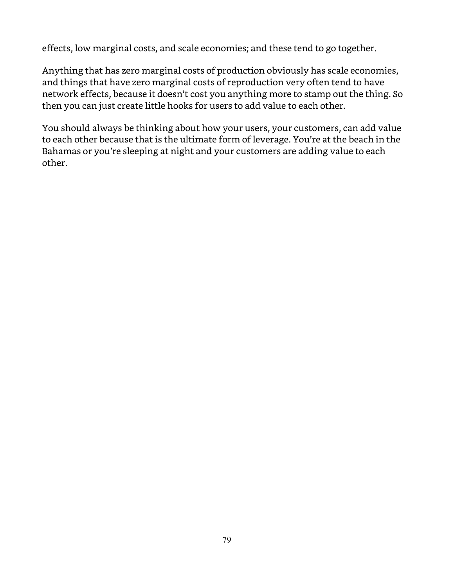effects, low marginal costs, and scale economies; and these tend to go together.

Anything that has zero marginal costs of production obviously has scale economies, and things that have zero marginal costs of reproduction very often tend to have network effects, because it doesn't cost you anything more to stamp out the thing. So then you can just create little hooks for users to add value to each other.

You should always be thinking about how your users, your customers, can add value to each other because that is the ultimate form of leverage. You're at the beach in the Bahamas or you're sleeping at night and your customers are adding value to each other.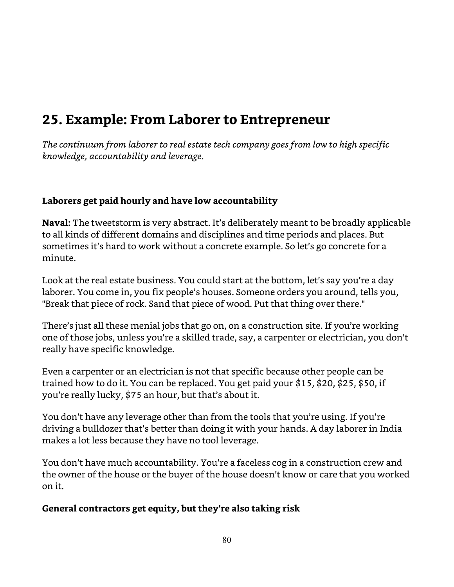# **25. Example: From Laborer to Entrepreneur**

*The continuum from laborer to real estate tech company goes from low to high specific knowledge, accountability and leverage.*

## **Laborers get paid hourly and have low accountability**

**Naval:** The tweetstorm is very abstract. It's deliberately meant to be broadly applicable to all kinds of different domains and disciplines and time periods and places. But sometimes it's hard to work without a concrete example. So let's go concrete for a minute.

Look at the real estate business. You could start at the bottom, let's say you're a day laborer. You come in, you fix people's houses. Someone orders you around, tells you, "Break that piece of rock. Sand that piece of wood. Put that thing over there."

There's just all these menial jobs that go on, on a construction site. If you're working one of those jobs, unless you're a skilled trade, say, a carpenter or electrician, you don't really have specific knowledge.

Even a carpenter or an electrician is not that specific because other people can be trained how to do it. You can be replaced. You get paid your \$15, \$20, \$25, \$50, if you're really lucky, \$75 an hour, but that's about it.

You don't have any leverage other than from the tools that you're using. If you're driving a bulldozer that's better than doing it with your hands. A day laborer in India makes a lot less because they have no tool leverage.

You don't have much accountability. You're a faceless cog in a construction crew and the owner of the house or the buyer of the house doesn't know or care that you worked on it.

## **General contractors get equity, but they're also taking risk**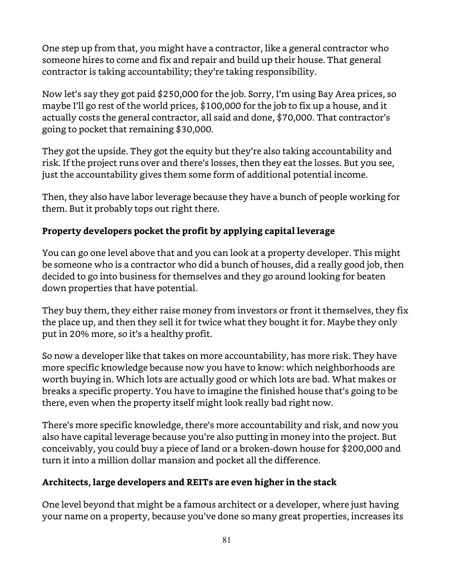One step up from that, you might have a contractor, like a general contractor who someone hires to come and fix and repair and build up their house. That general contractor is taking accountability; they're taking responsibility.

Now let's say they got paid \$250,000 for the job. Sorry, I'm using Bay Area prices, so maybe I'll go rest of the world prices, \$100,000 for the job to fix up a house, and it actually costs the general contractor, all said and done, \$70,000. That contractor's going to pocket that remaining \$30,000.

They got the upside. They got the equity but they're also taking accountability and risk. If the project runs over and there's losses, then they eat the losses. But you see, just the accountability gives them some form of additional potential income.

Then, they also have labor leverage because they have a bunch of people working for them. But it probably tops out right there.

# **Property developers pocket the profit by applying capital leverage**

You can go one level above that and you can look at a property developer. This might be someone who is a contractor who did a bunch of houses, did a really good job, then decided to go into business for themselves and they go around looking for beaten down properties that have potential.

They buy them, they either raise money from investors or front it themselves, they fix the place up, and then they sell it for twice what they bought it for. Maybe they only put in 20% more, so it's a healthy profit.

So now a developer like that takes on more accountability, has more risk. They have more specific knowledge because now you have to know: which neighborhoods are worth buying in. Which lots are actually good or which lots are bad. What makes or breaks a specific property. You have to imagine the finished house that's going to be there, even when the property itself might look really bad right now.

There's more specific knowledge, there's more accountability and risk, and now you also have capital leverage because you're also putting in money into the project. But conceivably, you could buy a piece of land or a broken-down house for \$200,000 and turn it into a million dollar mansion and pocket all the difference.

# **Architects, large developers and REITs are even higher in the stack**

One level beyond that might be a famous architect or a developer, where just having your name on a property, because you've done so many great properties, increases its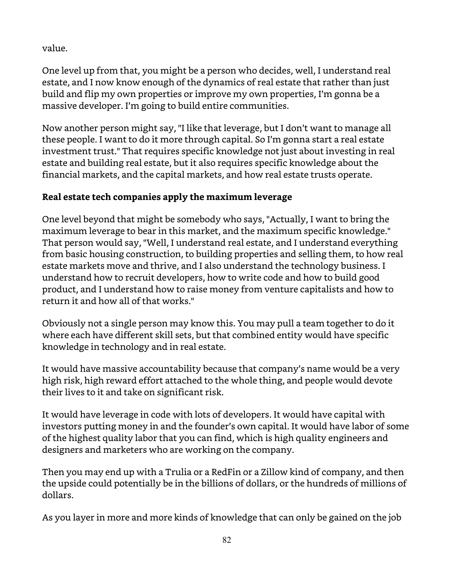value.

One level up from that, you might be a person who decides, well, I understand real estate, and I now know enough of the dynamics of real estate that rather than just build and flip my own properties or improve my own properties, I'm gonna be a massive developer. I'm going to build entire communities.

Now another person might say, "I like that leverage, but I don't want to manage all these people. I want to do it more through capital. So I'm gonna start a real estate investment trust." That requires specific knowledge not just about investing in real estate and building real estate, but it also requires specific knowledge about the financial markets, and the capital markets, and how real estate trusts operate.

# **Real estate tech companies apply the maximum leverage**

One level beyond that might be somebody who says, "Actually, I want to bring the maximum leverage to bear in this market, and the maximum specific knowledge." That person would say, "Well, I understand real estate, and I understand everything from basic housing construction, to building properties and selling them, to how real estate markets move and thrive, and I also understand the technology business. I understand how to recruit developers, how to write code and how to build good product, and I understand how to raise money from venture capitalists and how to return it and how all of that works."

Obviously not a single person may know this. You may pull a team together to do it where each have different skill sets, but that combined entity would have specific knowledge in technology and in real estate.

It would have massive accountability because that company's name would be a very high risk, high reward effort attached to the whole thing, and people would devote their lives to it and take on significant risk.

It would have leverage in code with lots of developers. It would have capital with investors putting money in and the founder's own capital. It would have labor of some of the highest quality labor that you can find, which is high quality engineers and designers and marketers who are working on the company.

Then you may end up with a Trulia or a RedFin or a Zillow kind of company, and then the upside could potentially be in the billions of dollars, or the hundreds of millions of dollars.

As you layer in more and more kinds of knowledge that can only be gained on the job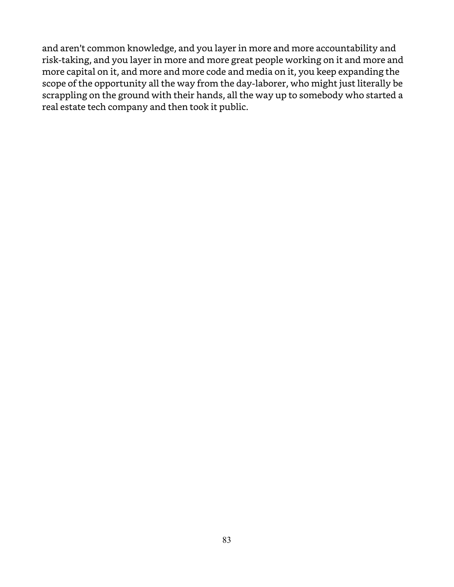and aren't common knowledge, and you layer in more and more accountability and risk-taking, and you layer in more and more great people working on it and more and more capital on it, and more and more code and media on it, you keep expanding the scope of the opportunity all the way from the day-laborer, who might just literally be scrappling on the ground with their hands, all the way up to somebody who started a real estate tech company and then took it public.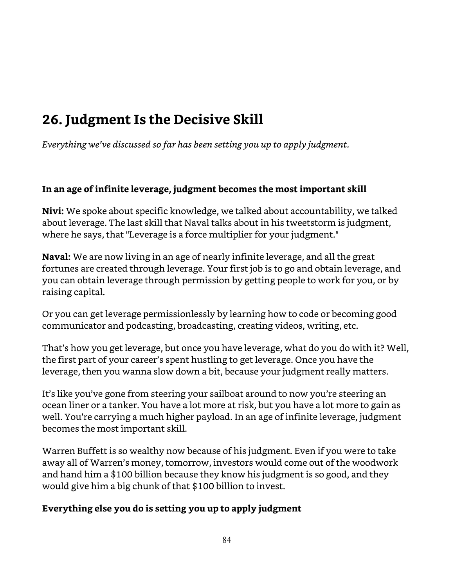# **26. Judgment Is the Decisive Skill**

*Everything we've discussed so far has been setting you up to apply judgment.*

## **In an age of infinite leverage, judgment becomes the most important skill**

**Nivi:** We spoke about specific knowledge, we talked about accountability, we talked about leverage. The last skill that Naval talks about in his tweetstorm is judgment, where he says, that "Leverage is a force multiplier for your judgment."

**Naval:** We are now living in an age of nearly infinite leverage, and all the great fortunes are created through leverage. Your first job is to go and obtain leverage, and you can obtain leverage through permission by getting people to work for you, or by raising capital.

Or you can get leverage permissionlessly by learning how to code or becoming good communicator and podcasting, broadcasting, creating videos, writing, etc.

That's how you get leverage, but once you have leverage, what do you do with it? Well, the first part of your career's spent hustling to get leverage. Once you have the leverage, then you wanna slow down a bit, because your judgment really matters.

It's like you've gone from steering your sailboat around to now you're steering an ocean liner or a tanker. You have a lot more at risk, but you have a lot more to gain as well. You're carrying a much higher payload. In an age of infinite leverage, judgment becomes the most important skill.

Warren Buffett is so wealthy now because of his judgment. Even if you were to take away all of Warren's money, tomorrow, investors would come out of the woodwork and hand him a \$100 billion because they know his judgment is so good, and they would give him a big chunk of that \$100 billion to invest.

# **Everything else you do is setting you up to apply judgment**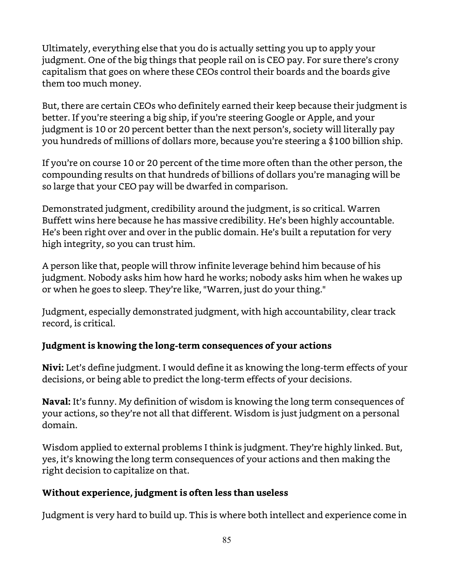Ultimately, everything else that you do is actually setting you up to apply your judgment. One of the big things that people rail on is CEO pay. For sure there's crony capitalism that goes on where these CEOs control their boards and the boards give them too much money.

But, there are certain CEOs who definitely earned their keep because their judgment is better. If you're steering a big ship, if you're steering Google or Apple, and your judgment is 10 or 20 percent better than the next person's, society will literally pay you hundreds of millions of dollars more, because you're steering a \$100 billion ship.

If you're on course 10 or 20 percent of the time more often than the other person, the compounding results on that hundreds of billions of dollars you're managing will be so large that your CEO pay will be dwarfed in comparison.

Demonstrated judgment, credibility around the judgment, is so critical. Warren Buffett wins here because he has massive credibility. He's been highly accountable. He's been right over and over in the public domain. He's built a reputation for very high integrity, so you can trust him.

A person like that, people will throw infinite leverage behind him because of his judgment. Nobody asks him how hard he works; nobody asks him when he wakes up or when he goes to sleep. They're like, "Warren, just do your thing."

Judgment, especially demonstrated judgment, with high accountability, clear track record, is critical.

# **Judgment is knowing the long-term consequences of your actions**

**Nivi:** Let's define judgment. I would define it as knowing the long-term effects of your decisions, or being able to predict the long-term effects of your decisions.

**Naval:** It's funny. My definition of wisdom is knowing the long term consequences of your actions, so they're not all that different. Wisdom is just judgment on a personal domain.

Wisdom applied to external problems I think is judgment. They're highly linked. But, yes, it's knowing the long term consequences of your actions and then making the right decision to capitalize on that.

## **Without experience, judgment is often less than useless**

Judgment is very hard to build up. This is where both intellect and experience come in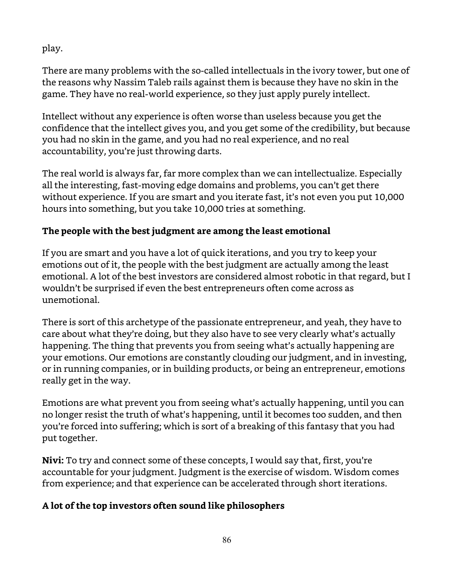play.

There are many problems with the so-called intellectuals in the ivory tower, but one of the reasons why Nassim Taleb rails against them is because they have no skin in the game. They have no real-world experience, so they just apply purely intellect.

Intellect without any experience is often worse than useless because you get the confidence that the intellect gives you, and you get some of the credibility, but because you had no skin in the game, and you had no real experience, and no real accountability, you're just throwing darts.

The real world is always far, far more complex than we can intellectualize. Especially all the interesting, fast-moving edge domains and problems, you can't get there without experience. If you are smart and you iterate fast, it's not even you put 10,000 hours into something, but you take 10,000 tries at something.

# **The people with the best judgment are among the least emotional**

If you are smart and you have a lot of quick iterations, and you try to keep your emotions out of it, the people with the best judgment are actually among the least emotional. A lot of the best investors are considered almost robotic in that regard, but I wouldn't be surprised if even the best entrepreneurs often come across as unemotional.

There is sort of this archetype of the passionate entrepreneur, and yeah, they have to care about what they're doing, but they also have to see very clearly what's actually happening. The thing that prevents you from seeing what's actually happening are your emotions. Our emotions are constantly clouding our judgment, and in investing, or in running companies, or in building products, or being an entrepreneur, emotions really get in the way.

Emotions are what prevent you from seeing what's actually happening, until you can no longer resist the truth of what's happening, until it becomes too sudden, and then you're forced into suffering; which is sort of a breaking of this fantasy that you had put together.

**Nivi:** To try and connect some of these concepts, I would say that, first, you're accountable for your judgment. Judgment is the exercise of wisdom. Wisdom comes from experience; and that experience can be accelerated through short iterations.

# **A lot of the top investors often sound like philosophers**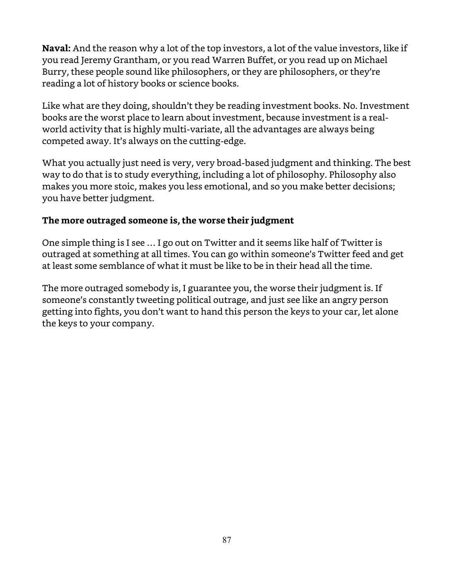**Naval:** And the reason why a lot of the top investors, a lot of the value investors, like if you read Jeremy Grantham, or you read Warren Buffet, or you read up on Michael Burry, these people sound like philosophers, or they are philosophers, or they're reading a lot of history books or science books.

Like what are they doing, shouldn't they be reading investment books. No. Investment books are the worst place to learn about investment, because investment is a realworld activity that is highly multi-variate, all the advantages are always being competed away. It's always on the cutting-edge.

What you actually just need is very, very broad-based judgment and thinking. The best way to do that is to study everything, including a lot of philosophy. Philosophy also makes you more stoic, makes you less emotional, and so you make better decisions; you have better judgment.

## **The more outraged someone is, the worse their judgment**

One simple thing is I see … I go out on Twitter and it seems like half of Twitter is outraged at something at all times. You can go within someone's Twitter feed and get at least some semblance of what it must be like to be in their head all the time.

The more outraged somebody is, I guarantee you, the worse their judgment is. If someone's constantly tweeting political outrage, and just see like an angry person getting into fights, you don't want to hand this person the keys to your car, let alone the keys to your company.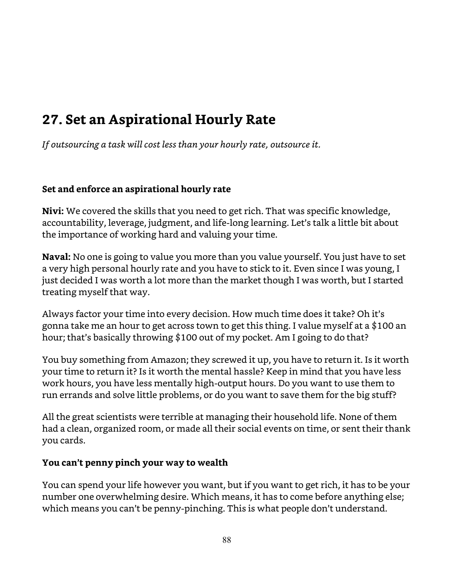# **27. Set an Aspirational Hourly Rate**

*If outsourcing a task will cost less than your hourly rate, outsource it.*

## **Set and enforce an aspirational hourly rate**

**Nivi:** We covered the skills that you need to get rich. That was specific knowledge, accountability, leverage, judgment, and life-long learning. Let's talk a little bit about the importance of working hard and valuing your time.

**Naval:** No one is going to value you more than you value yourself. You just have to set a very high personal hourly rate and you have to stick to it. Even since I was young, I just decided I was worth a lot more than the market though I was worth, but I started treating myself that way.

Always factor your time into every decision. How much time does it take? Oh it's gonna take me an hour to get across town to get this thing. I value myself at a \$100 an hour; that's basically throwing \$100 out of my pocket. Am I going to do that?

You buy something from Amazon; they screwed it up, you have to return it. Is it worth your time to return it? Is it worth the mental hassle? Keep in mind that you have less work hours, you have less mentally high-output hours. Do you want to use them to run errands and solve little problems, or do you want to save them for the big stuff?

All the great scientists were terrible at managing their household life. None of them had a clean, organized room, or made all their social events on time, or sent their thank you cards.

## **You can't penny pinch your way to wealth**

You can spend your life however you want, but if you want to get rich, it has to be your number one overwhelming desire. Which means, it has to come before anything else; which means you can't be penny-pinching. This is what people don't understand.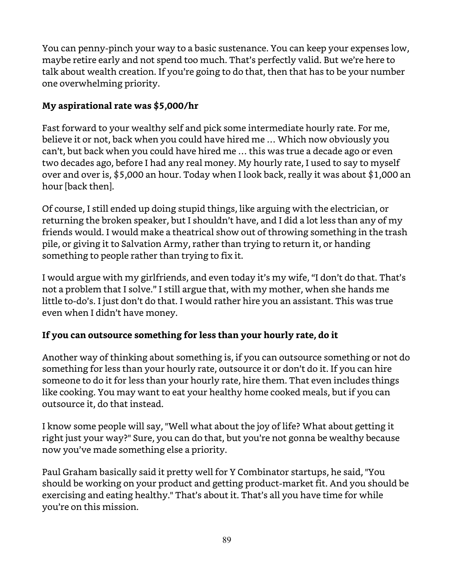You can penny-pinch your way to a basic sustenance. You can keep your expenses low, maybe retire early and not spend too much. That's perfectly valid. But we're here to talk about wealth creation. If you're going to do that, then that has to be your number one overwhelming priority.

## **My aspirational rate was \$5,000/hr**

Fast forward to your wealthy self and pick some intermediate hourly rate. For me, believe it or not, back when you could have hired me … Which now obviously you can't, but back when you could have hired me … this was true a decade ago or even two decades ago, before I had any real money. My hourly rate, I used to say to myself over and over is, \$5,000 an hour. Today when I look back, really it was about \$1,000 an hour [back then].

Of course, I still ended up doing stupid things, like arguing with the electrician, or returning the broken speaker, but I shouldn't have, and I did a lot less than any of my friends would. I would make a theatrical show out of throwing something in the trash pile, or giving it to Salvation Army, rather than trying to return it, or handing something to people rather than trying to fix it.

I would argue with my girlfriends, and even today it's my wife, "I don't do that. That's not a problem that I solve." I still argue that, with my mother, when she hands me little to-do's. I just don't do that. I would rather hire you an assistant. This was true even when I didn't have money.

## **If you can outsource something for less than your hourly rate, do it**

Another way of thinking about something is, if you can outsource something or not do something for less than your hourly rate, outsource it or don't do it. If you can hire someone to do it for less than your hourly rate, hire them. That even includes things like cooking. You may want to eat your healthy home cooked meals, but if you can outsource it, do that instead.

I know some people will say, "Well what about the joy of life? What about getting it right just your way?" Sure, you can do that, but you're not gonna be wealthy because now you've made something else a priority.

Paul Graham basically said it pretty well for Y Combinator startups, he said, "You should be working on your product and getting product-market fit. And you should be exercising and eating healthy." That's about it. That's all you have time for while you're on this mission.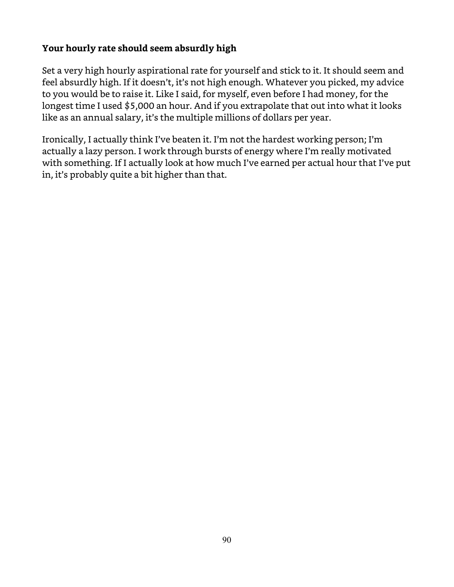## **Your hourly rate should seem absurdly high**

Set a very high hourly aspirational rate for yourself and stick to it. It should seem and feel absurdly high. If it doesn't, it's not high enough. Whatever you picked, my advice to you would be to raise it. Like I said, for myself, even before I had money, for the longest time I used \$5,000 an hour. And if you extrapolate that out into what it looks like as an annual salary, it's the multiple millions of dollars per year.

Ironically, I actually think I've beaten it. I'm not the hardest working person; I'm actually a lazy person. I work through bursts of energy where I'm really motivated with something. If I actually look at how much I've earned per actual hour that I've put in, it's probably quite a bit higher than that.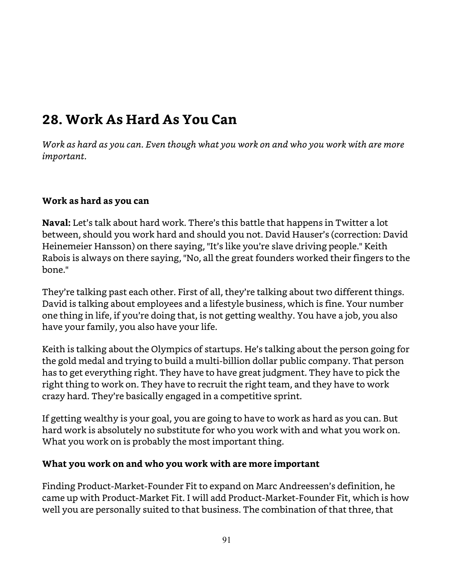# **28. Work As Hard As You Can**

*Work as hard as you can. Even though what you work on and who you work with are more important.*

## **Work as hard as you can**

**Naval:** Let's talk about hard work. There's this battle that happens in Twitter a lot between, should you work hard and should you not. David Hauser's (correction: David Heinemeier Hansson) on there saying, "It's like you're slave driving people." Keith Rabois is always on there saying, "No, all the great founders worked their fingers to the bone."

They're talking past each other. First of all, they're talking about two different things. David is talking about employees and a lifestyle business, which is fine. Your number one thing in life, if you're doing that, is not getting wealthy. You have a job, you also have your family, you also have your life.

Keith is talking about the Olympics of startups. He's talking about the person going for the gold medal and trying to build a multi-billion dollar public company. That person has to get everything right. They have to have great judgment. They have to pick the right thing to work on. They have to recruit the right team, and they have to work crazy hard. They're basically engaged in a competitive sprint.

If getting wealthy is your goal, you are going to have to work as hard as you can. But hard work is absolutely no substitute for who you work with and what you work on. What you work on is probably the most important thing.

## **What you work on and who you work with are more important**

Finding Product-Market-Founder Fit to expand on Marc Andreessen's definition, he came up with Product-Market Fit. I will add Product-Market-Founder Fit, which is how well you are personally suited to that business. The combination of that three, that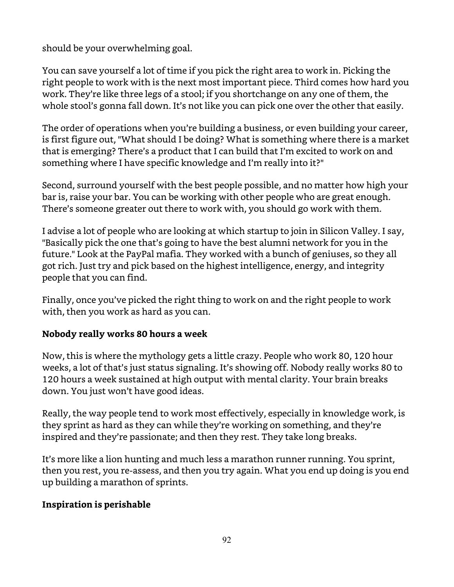should be your overwhelming goal.

You can save yourself a lot of time if you pick the right area to work in. Picking the right people to work with is the next most important piece. Third comes how hard you work. They're like three legs of a stool; if you shortchange on any one of them, the whole stool's gonna fall down. It's not like you can pick one over the other that easily.

The order of operations when you're building a business, or even building your career, is first figure out, "What should I be doing? What is something where there is a market that is emerging? There's a product that I can build that I'm excited to work on and something where I have specific knowledge and I'm really into it?"

Second, surround yourself with the best people possible, and no matter how high your bar is, raise your bar. You can be working with other people who are great enough. There's someone greater out there to work with, you should go work with them.

I advise a lot of people who are looking at which startup to join in Silicon Valley. I say, "Basically pick the one that's going to have the best alumni network for you in the future." Look at the PayPal mafia. They worked with a bunch of geniuses, so they all got rich. Just try and pick based on the highest intelligence, energy, and integrity people that you can find.

Finally, once you've picked the right thing to work on and the right people to work with, then you work as hard as you can.

# **Nobody really works 80 hours a week**

Now, this is where the mythology gets a little crazy. People who work 80, 120 hour weeks, a lot of that's just status signaling. It's showing off. Nobody really works 80 to 120 hours a week sustained at high output with mental clarity. Your brain breaks down. You just won't have good ideas.

Really, the way people tend to work most effectively, especially in knowledge work, is they sprint as hard as they can while they're working on something, and they're inspired and they're passionate; and then they rest. They take long breaks.

It's more like a lion hunting and much less a marathon runner running. You sprint, then you rest, you re-assess, and then you try again. What you end up doing is you end up building a marathon of sprints.

## **Inspiration is perishable**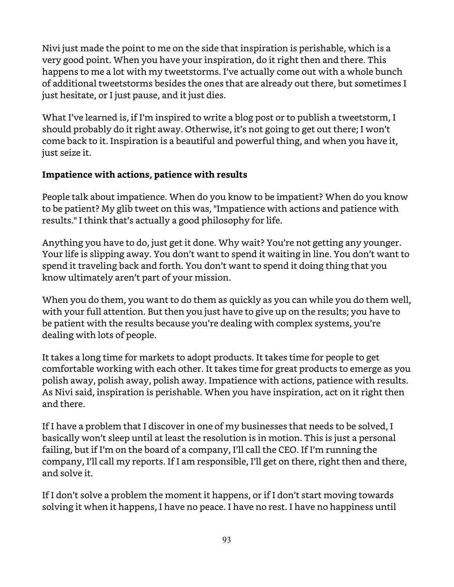Nivi just made the point to me on the side that inspiration is perishable, which is a very good point. When you have your inspiration, do it right then and there. This happens to me a lot with my tweetstorms. I've actually come out with a whole bunch of additional tweetstorms besides the ones that are already out there, but sometimes I just hesitate, or I just pause, and it just dies.

What I've learned is, if I'm inspired to write a blog post or to publish a tweetstorm, I should probably do it right away. Otherwise, it's not going to get out there; I won't come back to it. Inspiration is a beautiful and powerful thing, and when you have it, just seize it.

## **Impatience with actions, patience with results**

People talk about impatience. When do you know to be impatient? When do you know to be patient? My glib tweet on this was, "Impatience with actions and patience with results." I think that's actually a good philosophy for life.

Anything you have to do, just get it done. Why wait? You're not getting any younger. Your life is slipping away. You don't want to spend it waiting in line. You don't want to spend it traveling back and forth. You don't want to spend it doing thing that you know ultimately aren't part of your mission.

When you do them, you want to do them as quickly as you can while you do them well, with your full attention. But then you just have to give up on the results; you have to be patient with the results because you're dealing with complex systems, you're dealing with lots of people.

It takes a long time for markets to adopt products. It takes time for people to get comfortable working with each other. It takes time for great products to emerge as you polish away, polish away, polish away. Impatience with actions, patience with results. As Nivi said, inspiration is perishable. When you have inspiration, act on it right then and there.

If I have a problem that I discover in one of my businesses that needs to be solved, I basically won't sleep until at least the resolution is in motion. This is just a personal failing, but if I'm on the board of a company, I'll call the CEO. If I'm running the company, I'll call my reports. If I am responsible, I'll get on there, right then and there, and solve it.

If I don't solve a problem the moment it happens, or if I don't start moving towards solving it when it happens, I have no peace. I have no rest. I have no happiness until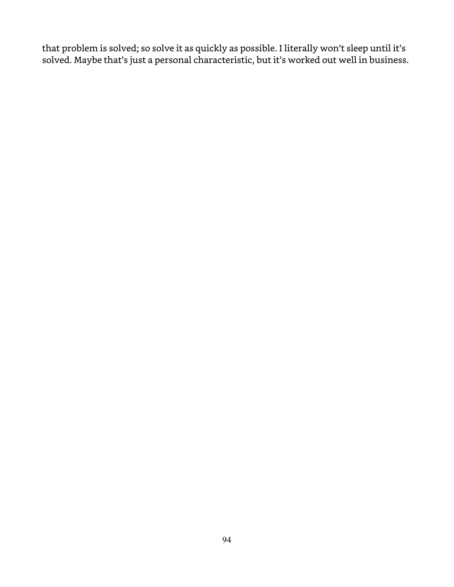that problem is solved; so solve it as quickly as possible. I literally won't sleep until it's solved. Maybe that's just a personal characteristic, but it's worked out well in business.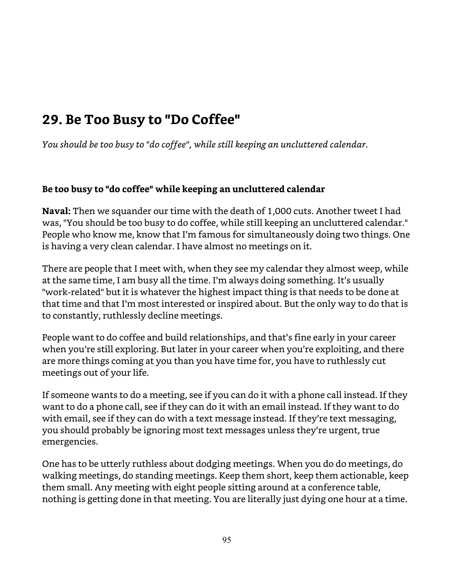# **29. Be Too Busy to "Do Coffee"**

*You should be too busy to "do coffee", while still keeping an uncluttered calendar.*

#### **Be too busy to "do coffee" while keeping an uncluttered calendar**

**Naval:** Then we squander our time with the death of 1,000 cuts. Another tweet I had was, "You should be too busy to do coffee, while still keeping an uncluttered calendar." People who know me, know that I'm famous for simultaneously doing two things. One is having a very clean calendar. I have almost no meetings on it.

There are people that I meet with, when they see my calendar they almost weep, while at the same time, I am busy all the time. I'm always doing something. It's usually "work-related" but it is whatever the highest impact thing is that needs to be done at that time and that I'm most interested or inspired about. But the only way to do that is to constantly, ruthlessly decline meetings.

People want to do coffee and build relationships, and that's fine early in your career when you're still exploring. But later in your career when you're exploiting, and there are more things coming at you than you have time for, you have to ruthlessly cut meetings out of your life.

If someone wants to do a meeting, see if you can do it with a phone call instead. If they want to do a phone call, see if they can do it with an email instead. If they want to do with email, see if they can do with a text message instead. If they're text messaging, you should probably be ignoring most text messages unless they're urgent, true emergencies.

One has to be utterly ruthless about dodging meetings. When you do do meetings, do walking meetings, do standing meetings. Keep them short, keep them actionable, keep them small. Any meeting with eight people sitting around at a conference table, nothing is getting done in that meeting. You are literally just dying one hour at a time.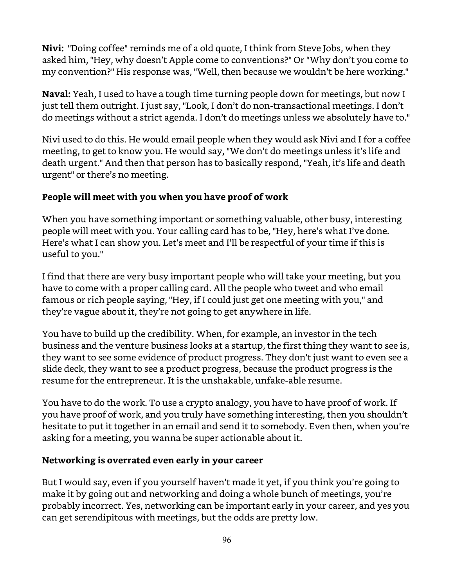**Nivi:** "Doing coffee" reminds me of a old quote, I think from Steve Jobs, when they asked him, "Hey, why doesn't Apple come to conventions?" Or "Why don't you come to my convention?" His response was, "Well, then because we wouldn't be here working."

**Naval:** Yeah, I used to have a tough time turning people down for meetings, but now I just tell them outright. I just say, "Look, I don't do non-transactional meetings. I don't do meetings without a strict agenda. I don't do meetings unless we absolutely have to."

Nivi used to do this. He would email people when they would ask Nivi and I for a coffee meeting, to get to know you. He would say, "We don't do meetings unless it's life and death urgent." And then that person has to basically respond, "Yeah, it's life and death urgent" or there's no meeting.

## **People will meet with you when you have proof of work**

When you have something important or something valuable, other busy, interesting people will meet with you. Your calling card has to be, "Hey, here's what I've done. Here's what I can show you. Let's meet and I'll be respectful of your time if this is useful to you."

I find that there are very busy important people who will take your meeting, but you have to come with a proper calling card. All the people who tweet and who email famous or rich people saying, "Hey, if I could just get one meeting with you," and they're vague about it, they're not going to get anywhere in life.

You have to build up the credibility. When, for example, an investor in the tech business and the venture business looks at a startup, the first thing they want to see is, they want to see some evidence of product progress. They don't just want to even see a slide deck, they want to see a product progress, because the product progress is the resume for the entrepreneur. It is the unshakable, unfake-able resume.

You have to do the work. To use a crypto analogy, you have to have proof of work. If you have proof of work, and you truly have something interesting, then you shouldn't hesitate to put it together in an email and send it to somebody. Even then, when you're asking for a meeting, you wanna be super actionable about it.

## **Networking is overrated even early in your career**

But I would say, even if you yourself haven't made it yet, if you think you're going to make it by going out and networking and doing a whole bunch of meetings, you're probably incorrect. Yes, networking can be important early in your career, and yes you can get serendipitous with meetings, but the odds are pretty low.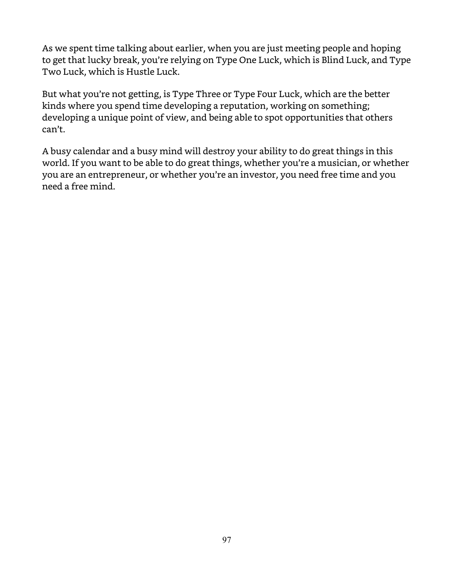As we spent time talking about earlier, when you are just meeting people and hoping to get that lucky break, you're relying on Type One Luck, which is Blind Luck, and Type Two Luck, which is Hustle Luck.

But what you're not getting, is Type Three or Type Four Luck, which are the better kinds where you spend time developing a reputation, working on something; developing a unique point of view, and being able to spot opportunities that others can't.

A busy calendar and a busy mind will destroy your ability to do great things in this world. If you want to be able to do great things, whether you're a musician, or whether you are an entrepreneur, or whether you're an investor, you need free time and you need a free mind.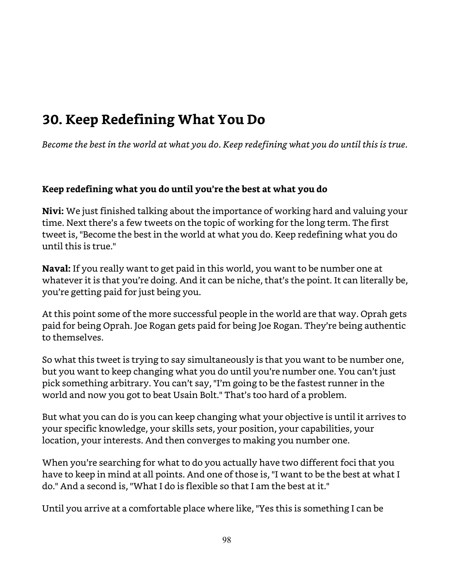# **30. Keep Redefining What You Do**

*Become the best in the world at what you do. Keep redefining what you do until this is true.*

## **Keep redefining what you do until you're the best at what you do**

**Nivi:** We just finished talking about the importance of working hard and valuing your time. Next there's a few tweets on the topic of working for the long term. The first tweet is, "Become the best in the world at what you do. Keep redefining what you do until this is true."

**Naval:** If you really want to get paid in this world, you want to be number one at whatever it is that you're doing. And it can be niche, that's the point. It can literally be, you're getting paid for just being you.

At this point some of the more successful people in the world are that way. Oprah gets paid for being Oprah. Joe Rogan gets paid for being Joe Rogan. They're being authentic to themselves.

So what this tweet is trying to say simultaneously is that you want to be number one, but you want to keep changing what you do until you're number one. You can't just pick something arbitrary. You can't say, "I'm going to be the fastest runner in the world and now you got to beat Usain Bolt." That's too hard of a problem.

But what you can do is you can keep changing what your objective is until it arrives to your specific knowledge, your skills sets, your position, your capabilities, your location, your interests. And then converges to making you number one.

When you're searching for what to do you actually have two different foci that you have to keep in mind at all points. And one of those is, "I want to be the best at what I do." And a second is, "What I do is flexible so that I am the best at it."

Until you arrive at a comfortable place where like, "Yes this is something I can be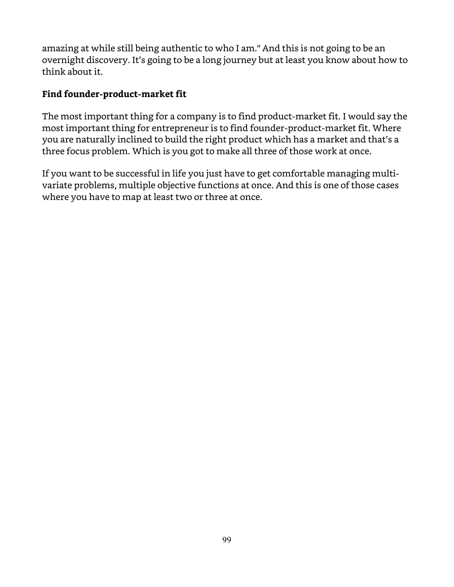amazing at while still being authentic to who I am." And this is not going to be an overnight discovery. It's going to be a long journey but at least you know about how to think about it.

## **Find founder-product-market fit**

The most important thing for a company is to find product-market fit. I would say the most important thing for entrepreneur is to find founder-product-market fit. Where you are naturally inclined to build the right product which has a market and that's a three focus problem. Which is you got to make all three of those work at once.

If you want to be successful in life you just have to get comfortable managing multivariate problems, multiple objective functions at once. And this is one of those cases where you have to map at least two or three at once.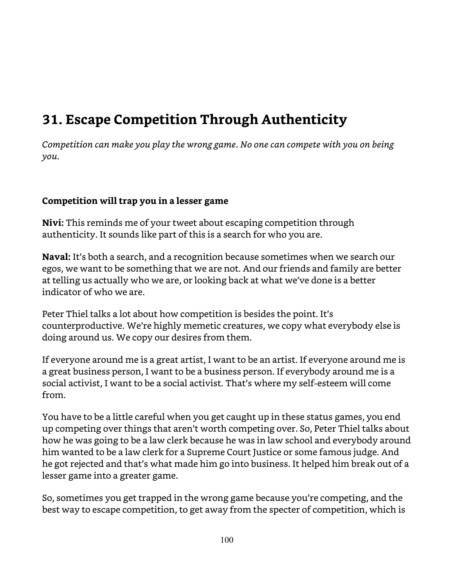# **31. Escape Competition Through Authenticity**

*Competition can make you play the wrong game. No one can compete with you on being you.*

## **Competition will trap you in a lesser game**

**Nivi:** This reminds me of your tweet about escaping competition through authenticity. It sounds like part of this is a search for who you are.

**Naval:** It's both a search, and a recognition because sometimes when we search our egos, we want to be something that we are not. And our friends and family are better at telling us actually who we are, or looking back at what we've done is a better indicator of who we are.

Peter Thiel talks a lot about how competition is besides the point. It's counterproductive. We're highly memetic creatures, we copy what everybody else is doing around us. We copy our desires from them.

If everyone around me is a great artist, I want to be an artist. If everyone around me is a great business person, I want to be a business person. If everybody around me is a social activist, I want to be a social activist. That's where my self-esteem will come from.

You have to be a little careful when you get caught up in these status games, you end up competing over things that aren't worth competing over. So, Peter Thiel talks about how he was going to be a law clerk because he was in law school and everybody around him wanted to be a law clerk for a Supreme Court Justice or some famous judge. And he got rejected and that's what made him go into business. It helped him break out of a lesser game into a greater game.

So, sometimes you get trapped in the wrong game because you're competing, and the best way to escape competition, to get away from the specter of competition, which is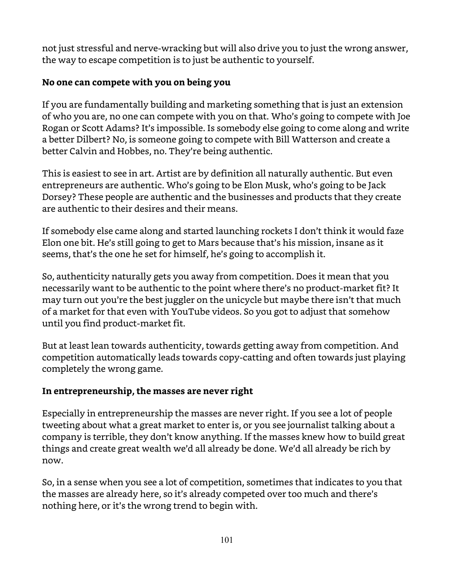not just stressful and nerve-wracking but will also drive you to just the wrong answer, the way to escape competition is to just be authentic to yourself.

## **No one can compete with you on being you**

If you are fundamentally building and marketing something that is just an extension of who you are, no one can compete with you on that. Who's going to compete with Joe Rogan or Scott Adams? It's impossible. Is somebody else going to come along and write a better Dilbert? No, is someone going to compete with Bill Watterson and create a better Calvin and Hobbes, no. They're being authentic.

This is easiest to see in art. Artist are by definition all naturally authentic. But even entrepreneurs are authentic. Who's going to be Elon Musk, who's going to be Jack Dorsey? These people are authentic and the businesses and products that they create are authentic to their desires and their means.

If somebody else came along and started launching rockets I don't think it would faze Elon one bit. He's still going to get to Mars because that's his mission, insane as it seems, that's the one he set for himself, he's going to accomplish it.

So, authenticity naturally gets you away from competition. Does it mean that you necessarily want to be authentic to the point where there's no product-market fit? It may turn out you're the best juggler on the unicycle but maybe there isn't that much of a market for that even with YouTube videos. So you got to adjust that somehow until you find product-market fit.

But at least lean towards authenticity, towards getting away from competition. And competition automatically leads towards copy-catting and often towards just playing completely the wrong game.

# **In entrepreneurship, the masses are never right**

Especially in entrepreneurship the masses are never right. If you see a lot of people tweeting about what a great market to enter is, or you see journalist talking about a company is terrible, they don't know anything. If the masses knew how to build great things and create great wealth we'd all already be done. We'd all already be rich by now.

So, in a sense when you see a lot of competition, sometimes that indicates to you that the masses are already here, so it's already competed over too much and there's nothing here, or it's the wrong trend to begin with.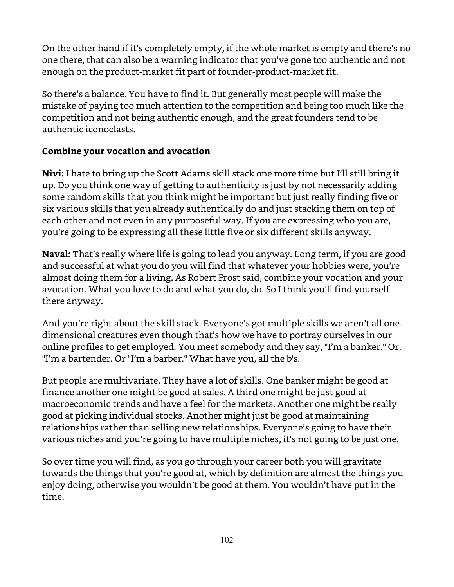On the other hand if it's completely empty, if the whole market is empty and there's no one there, that can also be a warning indicator that you've gone too authentic and not enough on the product-market fit part of founder-product-market fit.

So there's a balance. You have to find it. But generally most people will make the mistake of paying too much attention to the competition and being too much like the competition and not being authentic enough, and the great founders tend to be authentic iconoclasts.

# **Combine your vocation and avocation**

**Nivi:** I hate to bring up the Scott Adams skill stack one more time but I'll still bring it up. Do you think one way of getting to authenticity is just by not necessarily adding some random skills that you think might be important but just really finding five or six various skills that you already authentically do and just stacking them on top of each other and not even in any purposeful way. If you are expressing who you are, you're going to be expressing all these little five or six different skills anyway.

**Naval:** That's really where life is going to lead you anyway. Long term, if you are good and successful at what you do you will find that whatever your hobbies were, you're almost doing them for a living. As Robert Frost said, combine your vocation and your avocation. What you love to do and what you do, do. So I think you'll find yourself there anyway.

And you're right about the skill stack. Everyone's got multiple skills we aren't all onedimensional creatures even though that's how we have to portray ourselves in our online profiles to get employed. You meet somebody and they say, "I'm a banker." Or, "I'm a bartender. Or "I'm a barber." What have you, all the b's.

But people are multivariate. They have a lot of skills. One banker might be good at finance another one might be good at sales. A third one might be just good at macroeconomic trends and have a feel for the markets. Another one might be really good at picking individual stocks. Another might just be good at maintaining relationships rather than selling new relationships. Everyone's going to have their various niches and you're going to have multiple niches, it's not going to be just one.

So over time you will find, as you go through your career both you will gravitate towards the things that you're good at, which by definition are almost the things you enjoy doing, otherwise you wouldn't be good at them. You wouldn't have put in the time.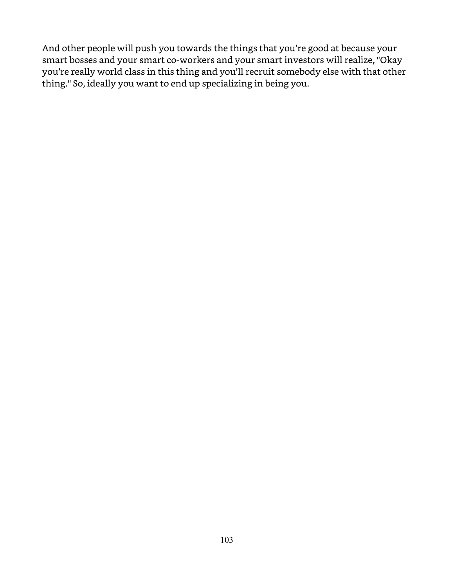And other people will push you towards the things that you're good at because your smart bosses and your smart co-workers and your smart investors will realize, "Okay you're really world class in this thing and you'll recruit somebody else with that other thing." So, ideally you want to end up specializing in being you.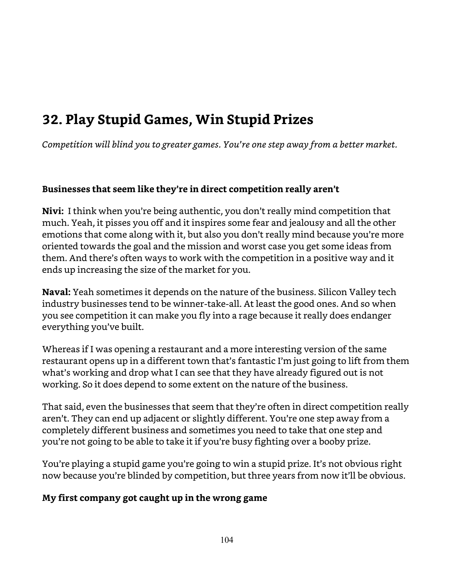# **32. Play Stupid Games, Win Stupid Prizes**

*Competition will blind you to greater games. You're one step away from a better market.*

## **Businesses that seem like they're in direct competition really aren't**

**Nivi:** I think when you're being authentic, you don't really mind competition that much. Yeah, it pisses you off and it inspires some fear and jealousy and all the other emotions that come along with it, but also you don't really mind because you're more oriented towards the goal and the mission and worst case you get some ideas from them. And there's often ways to work with the competition in a positive way and it ends up increasing the size of the market for you.

**Naval:** Yeah sometimes it depends on the nature of the business. Silicon Valley tech industry businesses tend to be winner-take-all. At least the good ones. And so when you see competition it can make you fly into a rage because it really does endanger everything you've built.

Whereas if I was opening a restaurant and a more interesting version of the same restaurant opens up in a different town that's fantastic I'm just going to lift from them what's working and drop what I can see that they have already figured out is not working. So it does depend to some extent on the nature of the business.

That said, even the businesses that seem that they're often in direct competition really aren't. They can end up adjacent or slightly different. You're one step away from a completely different business and sometimes you need to take that one step and you're not going to be able to take it if you're busy fighting over a booby prize.

You're playing a stupid game you're going to win a stupid prize. It's not obvious right now because you're blinded by competition, but three years from now it'll be obvious.

## **My first company got caught up in the wrong game**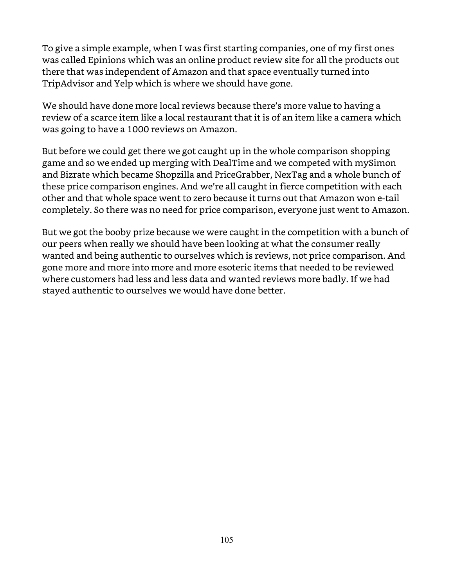To give a simple example, when I was first starting companies, one of my first ones was called Epinions which was an online product review site for all the products out there that was independent of Amazon and that space eventually turned into TripAdvisor and Yelp which is where we should have gone.

We should have done more local reviews because there's more value to having a review of a scarce item like a local restaurant that it is of an item like a camera which was going to have a 1000 reviews on Amazon.

But before we could get there we got caught up in the whole comparison shopping game and so we ended up merging with DealTime and we competed with mySimon and Bizrate which became Shopzilla and PriceGrabber, NexTag and a whole bunch of these price comparison engines. And we're all caught in fierce competition with each other and that whole space went to zero because it turns out that Amazon won e-tail completely. So there was no need for price comparison, everyone just went to Amazon.

But we got the booby prize because we were caught in the competition with a bunch of our peers when really we should have been looking at what the consumer really wanted and being authentic to ourselves which is reviews, not price comparison. And gone more and more into more and more esoteric items that needed to be reviewed where customers had less and less data and wanted reviews more badly. If we had stayed authentic to ourselves we would have done better.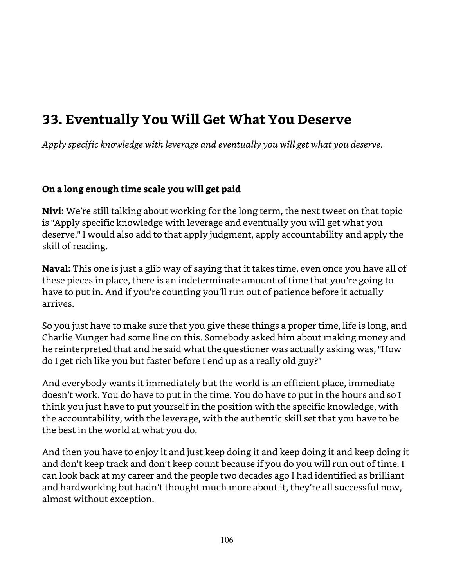## **33. Eventually You Will Get What You Deserve**

*Apply specific knowledge with leverage and eventually you will get what you deserve.*

#### **On a long enough time scale you will get paid**

**Nivi:** We're still talking about working for the long term, the next tweet on that topic is "Apply specific knowledge with leverage and eventually you will get what you deserve." I would also add to that apply judgment, apply accountability and apply the skill of reading.

**Naval:** This one is just a glib way of saying that it takes time, even once you have all of these pieces in place, there is an indeterminate amount of time that you're going to have to put in. And if you're counting you'll run out of patience before it actually arrives.

So you just have to make sure that you give these things a proper time, life is long, and Charlie Munger had some line on this. Somebody asked him about making money and he reinterpreted that and he said what the questioner was actually asking was, "How do I get rich like you but faster before I end up as a really old guy?"

And everybody wants it immediately but the world is an efficient place, immediate doesn't work. You do have to put in the time. You do have to put in the hours and so I think you just have to put yourself in the position with the specific knowledge, with the accountability, with the leverage, with the authentic skill set that you have to be the best in the world at what you do.

And then you have to enjoy it and just keep doing it and keep doing it and keep doing it and don't keep track and don't keep count because if you do you will run out of time. I can look back at my career and the people two decades ago I had identified as brilliant and hardworking but hadn't thought much more about it, they're all successful now, almost without exception.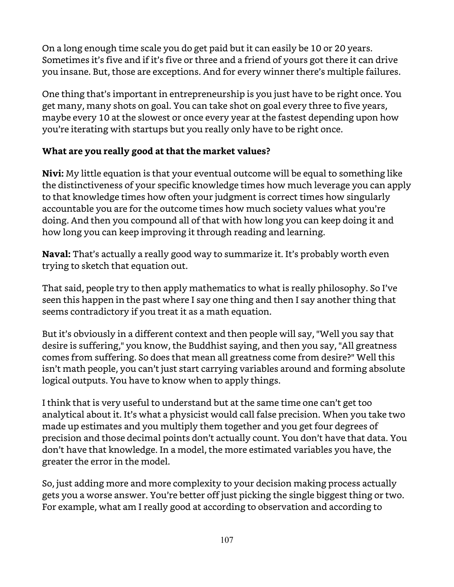On a long enough time scale you do get paid but it can easily be 10 or 20 years. Sometimes it's five and if it's five or three and a friend of yours got there it can drive you insane. But, those are exceptions. And for every winner there's multiple failures.

One thing that's important in entrepreneurship is you just have to be right once. You get many, many shots on goal. You can take shot on goal every three to five years, maybe every 10 at the slowest or once every year at the fastest depending upon how you're iterating with startups but you really only have to be right once.

### **What are you really good at that the market values?**

**Nivi:** My little equation is that your eventual outcome will be equal to something like the distinctiveness of your specific knowledge times how much leverage you can apply to that knowledge times how often your judgment is correct times how singularly accountable you are for the outcome times how much society values what you're doing. And then you compound all of that with how long you can keep doing it and how long you can keep improving it through reading and learning.

**Naval:** That's actually a really good way to summarize it. It's probably worth even trying to sketch that equation out.

That said, people try to then apply mathematics to what is really philosophy. So I've seen this happen in the past where I say one thing and then I say another thing that seems contradictory if you treat it as a math equation.

But it's obviously in a different context and then people will say, "Well you say that desire is suffering," you know, the Buddhist saying, and then you say, "All greatness comes from suffering. So does that mean all greatness come from desire?" Well this isn't math people, you can't just start carrying variables around and forming absolute logical outputs. You have to know when to apply things.

I think that is very useful to understand but at the same time one can't get too analytical about it. It's what a physicist would call false precision. When you take two made up estimates and you multiply them together and you get four degrees of precision and those decimal points don't actually count. You don't have that data. You don't have that knowledge. In a model, the more estimated variables you have, the greater the error in the model.

So, just adding more and more complexity to your decision making process actually gets you a worse answer. You're better off just picking the single biggest thing or two. For example, what am I really good at according to observation and according to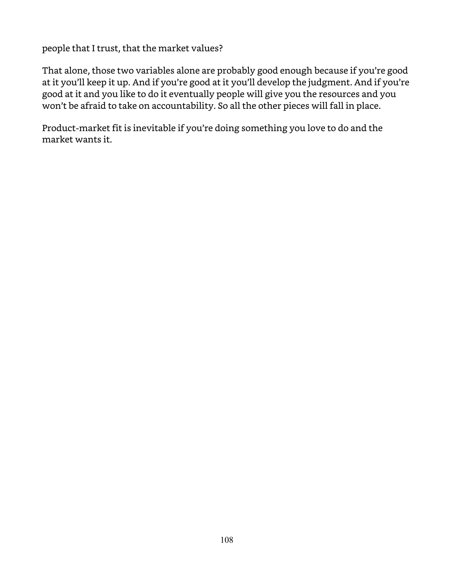people that I trust, that the market values?

That alone, those two variables alone are probably good enough because if you're good at it you'll keep it up. And if you're good at it you'll develop the judgment. And if you're good at it and you like to do it eventually people will give you the resources and you won't be afraid to take on accountability. So all the other pieces will fall in place.

Product-market fit is inevitable if you're doing something you love to do and the market wants it.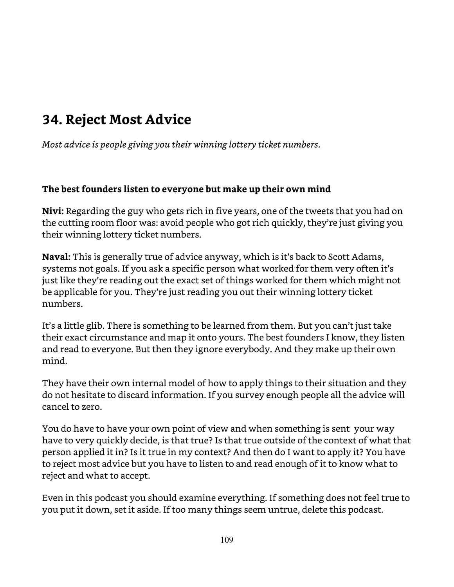## **34. Reject Most Advice**

*Most advice is people giving you their winning lottery ticket numbers.*

#### **The best founders listen to everyone but make up their own mind**

**Nivi:** Regarding the guy who gets rich in five years, one of the tweets that you had on the cutting room floor was: avoid people who got rich quickly, they're just giving you their winning lottery ticket numbers.

**Naval:** This is generally true of advice anyway, which is it's back to Scott Adams, systems not goals. If you ask a specific person what worked for them very often it's just like they're reading out the exact set of things worked for them which might not be applicable for you. They're just reading you out their winning lottery ticket numbers.

It's a little glib. There is something to be learned from them. But you can't just take their exact circumstance and map it onto yours. The best founders I know, they listen and read to everyone. But then they ignore everybody. And they make up their own mind.

They have their own internal model of how to apply things to their situation and they do not hesitate to discard information. If you survey enough people all the advice will cancel to zero.

You do have to have your own point of view and when something is sent your way have to very quickly decide, is that true? Is that true outside of the context of what that person applied it in? Is it true in my context? And then do I want to apply it? You have to reject most advice but you have to listen to and read enough of it to know what to reject and what to accept.

Even in this podcast you should examine everything. If something does not feel true to you put it down, set it aside. If too many things seem untrue, delete this podcast.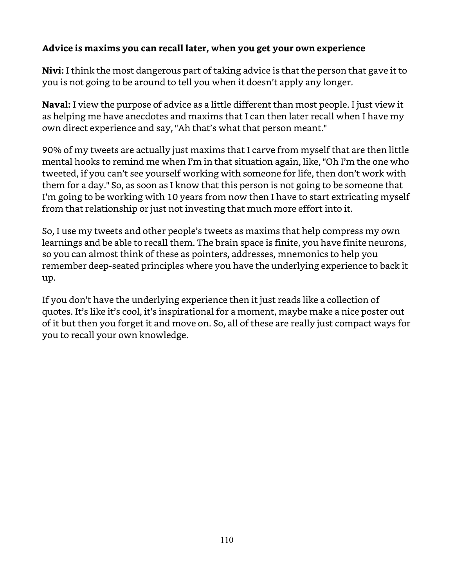### **Advice is maxims you can recall later, when you get your own experience**

**Nivi:** I think the most dangerous part of taking advice is that the person that gave it to you is not going to be around to tell you when it doesn't apply any longer.

**Naval:** I view the purpose of advice as a little different than most people. I just view it as helping me have anecdotes and maxims that I can then later recall when I have my own direct experience and say, "Ah that's what that person meant."

90% of my tweets are actually just maxims that I carve from myself that are then little mental hooks to remind me when I'm in that situation again, like, "Oh I'm the one who tweeted, if you can't see yourself working with someone for life, then don't work with them for a day." So, as soon as I know that this person is not going to be someone that I'm going to be working with 10 years from now then I have to start extricating myself from that relationship or just not investing that much more effort into it.

So, I use my tweets and other people's tweets as maxims that help compress my own learnings and be able to recall them. The brain space is finite, you have finite neurons, so you can almost think of these as pointers, addresses, mnemonics to help you remember deep-seated principles where you have the underlying experience to back it up.

If you don't have the underlying experience then it just reads like a collection of quotes. It's like it's cool, it's inspirational for a moment, maybe make a nice poster out of it but then you forget it and move on. So, all of these are really just compact ways for you to recall your own knowledge.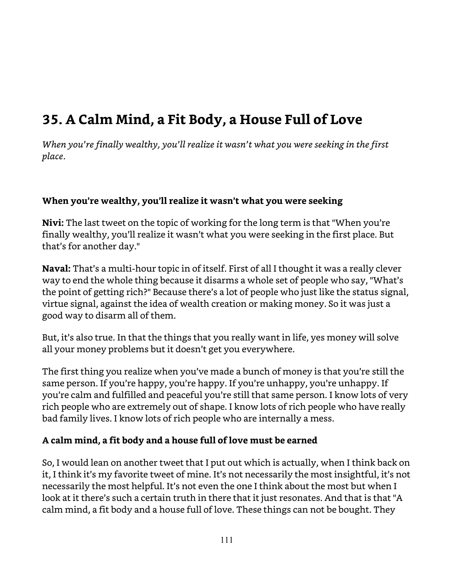# **35. A Calm Mind, a Fit Body, a House Full of Love**

*When you're finally wealthy, you'll realize it wasn't what you were seeking in the first place.*

#### **When you're wealthy, you'll realize it wasn't what you were seeking**

**Nivi:** The last tweet on the topic of working for the long term is that "When you're finally wealthy, you'll realize it wasn't what you were seeking in the first place. But that's for another day."

**Naval:** That's a multi-hour topic in of itself. First of all I thought it was a really clever way to end the whole thing because it disarms a whole set of people who say, "What's the point of getting rich?" Because there's a lot of people who just like the status signal, virtue signal, against the idea of wealth creation or making money. So it was just a good way to disarm all of them.

But, it's also true. In that the things that you really want in life, yes money will solve all your money problems but it doesn't get you everywhere.

The first thing you realize when you've made a bunch of money is that you're still the same person. If you're happy, you're happy. If you're unhappy, you're unhappy. If you're calm and fulfilled and peaceful you're still that same person. I know lots of very rich people who are extremely out of shape. I know lots of rich people who have really bad family lives. I know lots of rich people who are internally a mess.

#### **A calm mind, a fit body and a house full of love must be earned**

So, I would lean on another tweet that I put out which is actually, when I think back on it, I think it's my favorite tweet of mine. It's not necessarily the most insightful, it's not necessarily the most helpful. It's not even the one I think about the most but when I look at it there's such a certain truth in there that it just resonates. And that is that "A calm mind, a fit body and a house full of love. These things can not be bought. They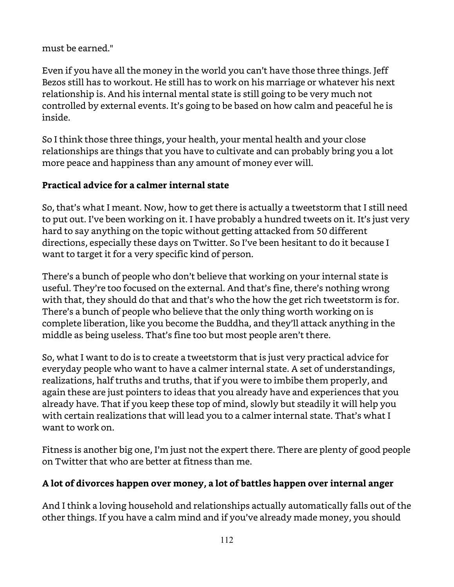must be earned."

Even if you have all the money in the world you can't have those three things. Jeff Bezos still has to workout. He still has to work on his marriage or whatever his next relationship is. And his internal mental state is still going to be very much not controlled by external events. It's going to be based on how calm and peaceful he is inside.

So I think those three things, your health, your mental health and your close relationships are things that you have to cultivate and can probably bring you a lot more peace and happiness than any amount of money ever will.

### **Practical advice for a calmer internal state**

So, that's what I meant. Now, how to get there is actually a tweetstorm that I still need to put out. I've been working on it. I have probably a hundred tweets on it. It's just very hard to say anything on the topic without getting attacked from 50 different directions, especially these days on Twitter. So I've been hesitant to do it because I want to target it for a very specific kind of person.

There's a bunch of people who don't believe that working on your internal state is useful. They're too focused on the external. And that's fine, there's nothing wrong with that, they should do that and that's who the how the get rich tweetstorm is for. There's a bunch of people who believe that the only thing worth working on is complete liberation, like you become the Buddha, and they'll attack anything in the middle as being useless. That's fine too but most people aren't there.

So, what I want to do is to create a tweetstorm that is just very practical advice for everyday people who want to have a calmer internal state. A set of understandings, realizations, half truths and truths, that if you were to imbibe them properly, and again these are just pointers to ideas that you already have and experiences that you already have. That if you keep these top of mind, slowly but steadily it will help you with certain realizations that will lead you to a calmer internal state. That's what I want to work on.

Fitness is another big one, I'm just not the expert there. There are plenty of good people on Twitter that who are better at fitness than me.

### **A lot of divorces happen over money, a lot of battles happen over internal anger**

And I think a loving household and relationships actually automatically falls out of the other things. If you have a calm mind and if you've already made money, you should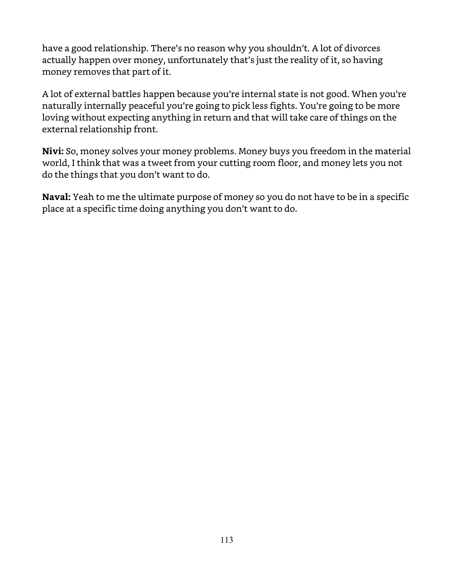have a good relationship. There's no reason why you shouldn't. A lot of divorces actually happen over money, unfortunately that's just the reality of it, so having money removes that part of it.

A lot of external battles happen because you're internal state is not good. When you're naturally internally peaceful you're going to pick less fights. You're going to be more loving without expecting anything in return and that will take care of things on the external relationship front.

**Nivi:** So, money solves your money problems. Money buys you freedom in the material world, I think that was a tweet from your cutting room floor, and money lets you not do the things that you don't want to do.

**Naval:** Yeah to me the ultimate purpose of money so you do not have to be in a specific place at a specific time doing anything you don't want to do.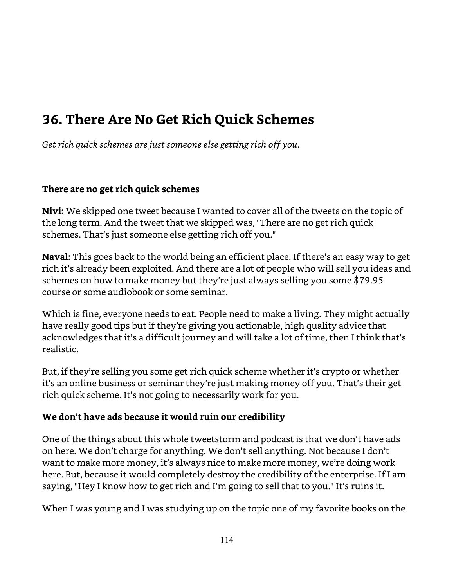# **36. There Are No Get Rich Quick Schemes**

*Get rich quick schemes are just someone else getting rich off you.*

#### **There are no get rich quick schemes**

**Nivi:** We skipped one tweet because I wanted to cover all of the tweets on the topic of the long term. And the tweet that we skipped was, "There are no get rich quick schemes. That's just someone else getting rich off you."

**Naval:** This goes back to the world being an efficient place. If there's an easy way to get rich it's already been exploited. And there are a lot of people who will sell you ideas and schemes on how to make money but they're just always selling you some \$79.95 course or some audiobook or some seminar.

Which is fine, everyone needs to eat. People need to make a living. They might actually have really good tips but if they're giving you actionable, high quality advice that acknowledges that it's a difficult journey and will take a lot of time, then I think that's realistic.

But, if they're selling you some get rich quick scheme whether it's crypto or whether it's an online business or seminar they're just making money off you. That's their get rich quick scheme. It's not going to necessarily work for you.

#### **We don't have ads because it would ruin our credibility**

One of the things about this whole tweetstorm and podcast is that we don't have ads on here. We don't charge for anything. We don't sell anything. Not because I don't want to make more money, it's always nice to make more money, we're doing work here. But, because it would completely destroy the credibility of the enterprise. If I am saying, "Hey I know how to get rich and I'm going to sell that to you." It's ruins it.

When I was young and I was studying up on the topic one of my favorite books on the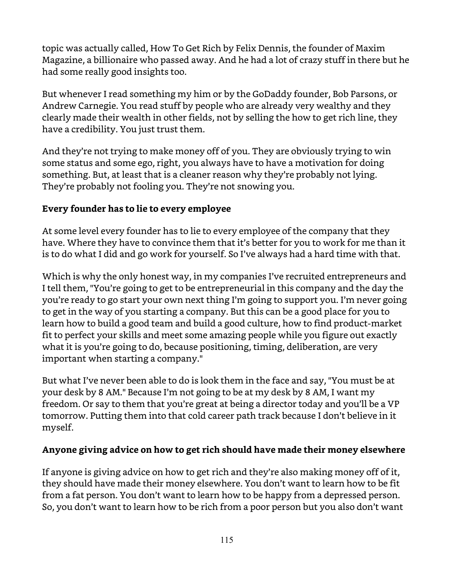topic was actually called, How To Get Rich by Felix Dennis, the founder of Maxim Magazine, a billionaire who passed away. And he had a lot of crazy stuff in there but he had some really good insights too.

But whenever I read something my him or by the GoDaddy founder, Bob Parsons, or Andrew Carnegie. You read stuff by people who are already very wealthy and they clearly made their wealth in other fields, not by selling the how to get rich line, they have a credibility. You just trust them.

And they're not trying to make money off of you. They are obviously trying to win some status and some ego, right, you always have to have a motivation for doing something. But, at least that is a cleaner reason why they're probably not lying. They're probably not fooling you. They're not snowing you.

#### **Every founder has to lie to every employee**

At some level every founder has to lie to every employee of the company that they have. Where they have to convince them that it's better for you to work for me than it is to do what I did and go work for yourself. So I've always had a hard time with that.

Which is why the only honest way, in my companies I've recruited entrepreneurs and I tell them, "You're going to get to be entrepreneurial in this company and the day the you're ready to go start your own next thing I'm going to support you. I'm never going to get in the way of you starting a company. But this can be a good place for you to learn how to build a good team and build a good culture, how to find product-market fit to perfect your skills and meet some amazing people while you figure out exactly what it is you're going to do, because positioning, timing, deliberation, are very important when starting a company."

But what I've never been able to do is look them in the face and say, "You must be at your desk by 8 AM." Because I'm not going to be at my desk by 8 AM, I want my freedom. Or say to them that you're great at being a director today and you'll be a VP tomorrow. Putting them into that cold career path track because I don't believe in it myself.

### **Anyone giving advice on how to get rich should have made their money elsewhere**

If anyone is giving advice on how to get rich and they're also making money off of it, they should have made their money elsewhere. You don't want to learn how to be fit from a fat person. You don't want to learn how to be happy from a depressed person. So, you don't want to learn how to be rich from a poor person but you also don't want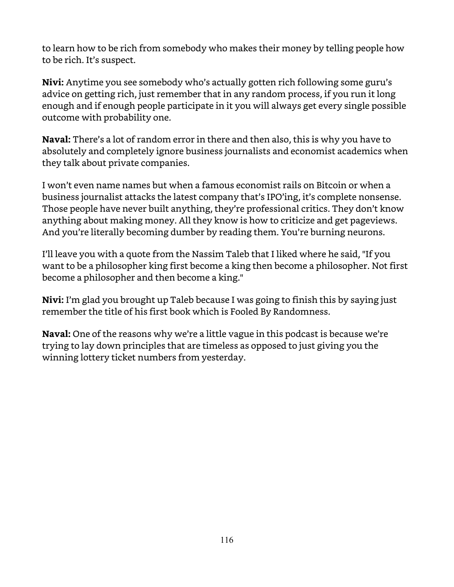to learn how to be rich from somebody who makes their money by telling people how to be rich. It's suspect.

**Nivi:** Anytime you see somebody who's actually gotten rich following some guru's advice on getting rich, just remember that in any random process, if you run it long enough and if enough people participate in it you will always get every single possible outcome with probability one.

**Naval:** There's a lot of random error in there and then also, this is why you have to absolutely and completely ignore business journalists and economist academics when they talk about private companies.

I won't even name names but when a famous economist rails on Bitcoin or when a business journalist attacks the latest company that's IPO'ing, it's complete nonsense. Those people have never built anything, they're professional critics. They don't know anything about making money. All they know is how to criticize and get pageviews. And you're literally becoming dumber by reading them. You're burning neurons.

I'll leave you with a quote from the Nassim Taleb that I liked where he said, "If you want to be a philosopher king first become a king then become a philosopher. Not first become a philosopher and then become a king."

**Nivi:** I'm glad you brought up Taleb because I was going to finish this by saying just remember the title of his first book which is Fooled By Randomness.

**Naval:** One of the reasons why we're a little vague in this podcast is because we're trying to lay down principles that are timeless as opposed to just giving you the winning lottery ticket numbers from yesterday.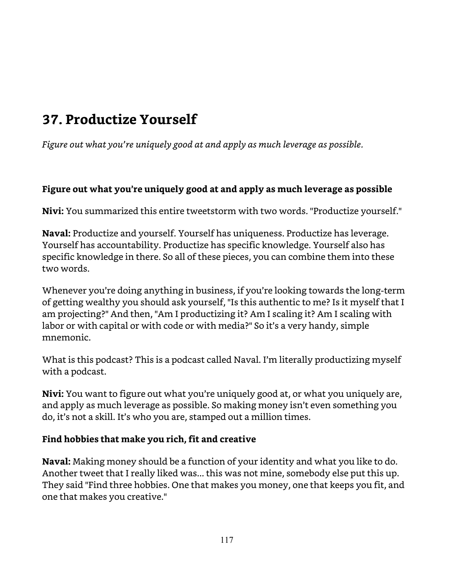# **37. Productize Yourself**

*Figure out what you're uniquely good at and apply as much leverage as possible.*

### **Figure out what you're uniquely good at and apply as much leverage as possible**

**Nivi:** You summarized this entire tweetstorm with two words. "Productize yourself."

**Naval:** Productize and yourself. Yourself has uniqueness. Productize has leverage. Yourself has accountability. Productize has specific knowledge. Yourself also has specific knowledge in there. So all of these pieces, you can combine them into these two words.

Whenever you're doing anything in business, if you're looking towards the long-term of getting wealthy you should ask yourself, "Is this authentic to me? Is it myself that I am projecting?" And then, "Am I productizing it? Am I scaling it? Am I scaling with labor or with capital or with code or with media?" So it's a very handy, simple mnemonic.

What is this podcast? This is a podcast called Naval. I'm literally productizing myself with a podcast.

**Nivi:** You want to figure out what you're uniquely good at, or what you uniquely are, and apply as much leverage as possible. So making money isn't even something you do, it's not a skill. It's who you are, stamped out a million times.

#### **Find hobbies that make you rich, fit and creative**

**Naval:** Making money should be a function of your identity and what you like to do. Another tweet that I really liked was... this was not mine, somebody else put this up. They said "Find three hobbies. One that makes you money, one that keeps you fit, and one that makes you creative."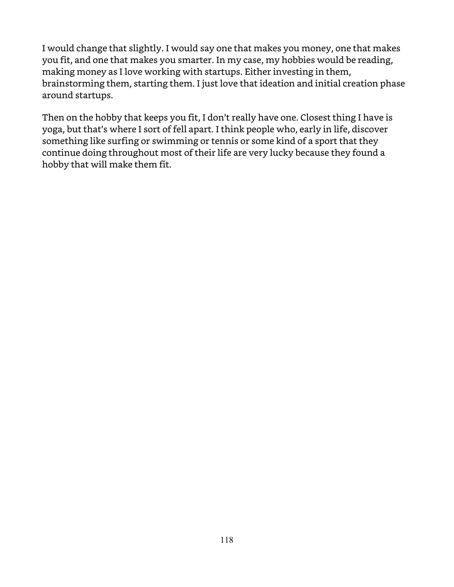I would change that slightly. I would say one that makes you money, one that makes you fit, and one that makes you smarter. In my case, my hobbies would be reading, making money as I love working with startups. Either investing in them, brainstorming them, starting them. I just love that ideation and initial creation phase around startups.

Then on the hobby that keeps you fit, I don't really have one. Closest thing I have is yoga, but that's where I sort of fell apart. I think people who, early in life, discover something like surfing or swimming or tennis or some kind of a sport that they continue doing throughout most of their life are very lucky because they found a hobby that will make them fit.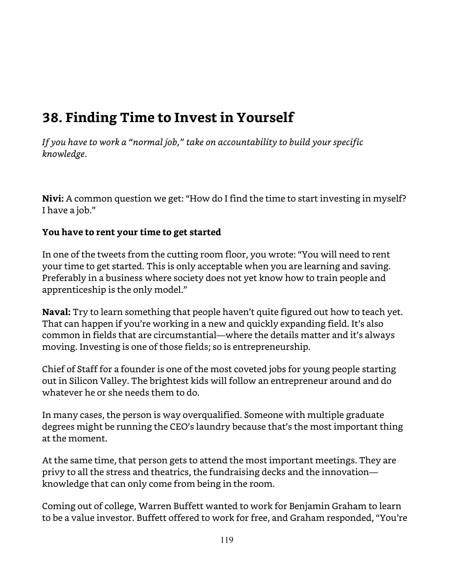## **38. Finding Time to Invest in Yourself**

*If you have to work a "normal job," take on accountability to build your specific knowledge.*

**Nivi:** A common question we get: "How do I find the time to start investing in myself? I have a job."

#### **You have to rent your time to get started**

In one of the tweets from the cutting room floor, you wrote: "You will need to rent your time to get started. This is only acceptable when you are learning and saving. Preferably in a business where society does not yet know how to train people and apprenticeship is the only model."

**Naval:** Try to learn something that people haven't quite figured out how to teach yet. That can happen if you're working in a new and quickly expanding field. It's also common in fields that are circumstantial—where the details matter and it's always moving. Investing is one of those fields; so is entrepreneurship.

Chief of Staff for a founder is one of the most coveted jobs for young people starting out in Silicon Valley. The brightest kids will follow an entrepreneur around and do whatever he or she needs them to do.

In many cases, the person is way overqualified. Someone with multiple graduate degrees might be running the CEO's laundry because that's the most important thing at the moment.

At the same time, that person gets to attend the most important meetings. They are privy to all the stress and theatrics, the fundraising decks and the innovation knowledge that can only come from being in the room.

Coming out of college, Warren Buffett wanted to work for Benjamin Graham to learn to be a value investor. Buffett offered to work for free, and Graham responded, "You're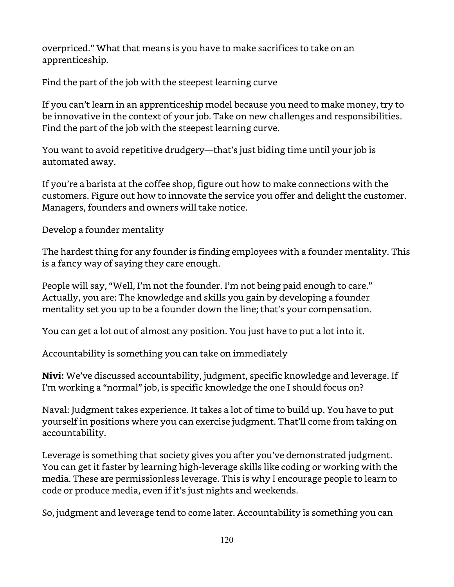overpriced." What that means is you have to make sacrifices to take on an apprenticeship.

Find the part of the job with the steepest learning curve

If you can't learn in an apprenticeship model because you need to make money, try to be innovative in the context of your job. Take on new challenges and responsibilities. Find the part of the job with the steepest learning curve.

You want to avoid repetitive drudgery—that's just biding time until your job is automated away.

If you're a barista at the coffee shop, figure out how to make connections with the customers. Figure out how to innovate the service you offer and delight the customer. Managers, founders and owners will take notice.

Develop a founder mentality

The hardest thing for any founder is finding employees with a founder mentality. This is a fancy way of saying they care enough.

People will say, "Well, I'm not the founder. I'm not being paid enough to care." Actually, you are: The knowledge and skills you gain by developing a founder mentality set you up to be a founder down the line; that's your compensation.

You can get a lot out of almost any position. You just have to put a lot into it.

Accountability is something you can take on immediately

**Nivi:** We've discussed accountability, judgment, specific knowledge and leverage. If I'm working a "normal" job, is specific knowledge the one I should focus on?

Naval: Judgment takes experience. It takes a lot of time to build up. You have to put yourself in positions where you can exercise judgment. That'll come from taking on accountability.

Leverage is something that society gives you after you've demonstrated judgment. You can get it faster by learning high-leverage skills like coding or working with the media. These are permissionless leverage. This is why I encourage people to learn to code or produce media, even if it's just nights and weekends.

So, judgment and leverage tend to come later. Accountability is something you can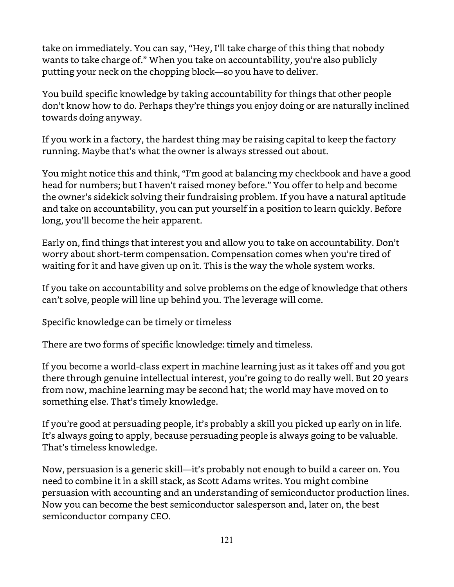take on immediately. You can say, "Hey, I'll take charge of this thing that nobody wants to take charge of." When you take on accountability, you're also publicly putting your neck on the chopping block—so you have to deliver.

You build specific knowledge by taking accountability for things that other people don't know how to do. Perhaps they're things you enjoy doing or are naturally inclined towards doing anyway.

If you work in a factory, the hardest thing may be raising capital to keep the factory running. Maybe that's what the owner is always stressed out about.

You might notice this and think, "I'm good at balancing my checkbook and have a good head for numbers; but I haven't raised money before." You offer to help and become the owner's sidekick solving their fundraising problem. If you have a natural aptitude and take on accountability, you can put yourself in a position to learn quickly. Before long, you'll become the heir apparent.

Early on, find things that interest you and allow you to take on accountability. Don't worry about short-term compensation. Compensation comes when you're tired of waiting for it and have given up on it. This is the way the whole system works.

If you take on accountability and solve problems on the edge of knowledge that others can't solve, people will line up behind you. The leverage will come.

Specific knowledge can be timely or timeless

There are two forms of specific knowledge: timely and timeless.

If you become a world-class expert in machine learning just as it takes off and you got there through genuine intellectual interest, you're going to do really well. But 20 years from now, machine learning may be second hat; the world may have moved on to something else. That's timely knowledge.

If you're good at persuading people, it's probably a skill you picked up early on in life. It's always going to apply, because persuading people is always going to be valuable. That's timeless knowledge.

Now, persuasion is a generic skill—it's probably not enough to build a career on. You need to combine it in a skill stack, as Scott Adams writes. You might combine persuasion with accounting and an understanding of semiconductor production lines. Now you can become the best semiconductor salesperson and, later on, the best semiconductor company CEO.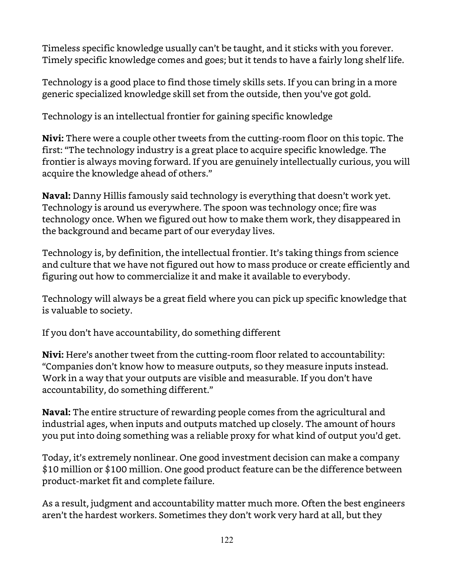Timeless specific knowledge usually can't be taught, and it sticks with you forever. Timely specific knowledge comes and goes; but it tends to have a fairly long shelf life.

Technology is a good place to find those timely skills sets. If you can bring in a more generic specialized knowledge skill set from the outside, then you've got gold.

Technology is an intellectual frontier for gaining specific knowledge

**Nivi:** There were a couple other tweets from the cutting-room floor on this topic. The first: "The technology industry is a great place to acquire specific knowledge. The frontier is always moving forward. If you are genuinely intellectually curious, you will acquire the knowledge ahead of others."

**Naval:** Danny Hillis famously said technology is everything that doesn't work yet. Technology is around us everywhere. The spoon was technology once; fire was technology once. When we figured out how to make them work, they disappeared in the background and became part of our everyday lives.

Technology is, by definition, the intellectual frontier. It's taking things from science and culture that we have not figured out how to mass produce or create efficiently and figuring out how to commercialize it and make it available to everybody.

Technology will always be a great field where you can pick up specific knowledge that is valuable to society.

If you don't have accountability, do something different

**Nivi:** Here's another tweet from the cutting-room floor related to accountability: "Companies don't know how to measure outputs, so they measure inputs instead. Work in a way that your outputs are visible and measurable. If you don't have accountability, do something different."

**Naval:** The entire structure of rewarding people comes from the agricultural and industrial ages, when inputs and outputs matched up closely. The amount of hours you put into doing something was a reliable proxy for what kind of output you'd get.

Today, it's extremely nonlinear. One good investment decision can make a company \$10 million or \$100 million. One good product feature can be the difference between product-market fit and complete failure.

As a result, judgment and accountability matter much more. Often the best engineers aren't the hardest workers. Sometimes they don't work very hard at all, but they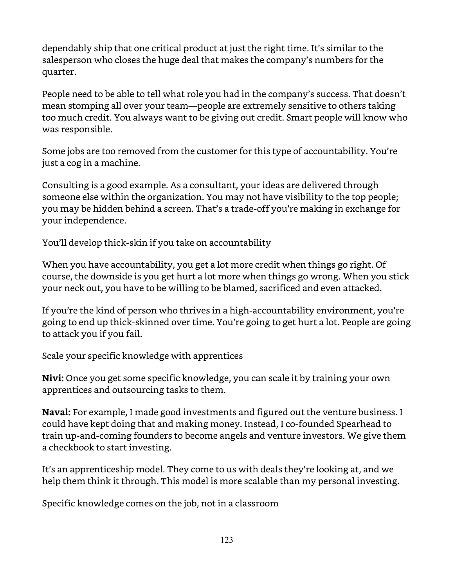dependably ship that one critical product at just the right time. It's similar to the salesperson who closes the huge deal that makes the company's numbers for the quarter.

People need to be able to tell what role you had in the company's success. That doesn't mean stomping all over your team—people are extremely sensitive to others taking too much credit. You always want to be giving out credit. Smart people will know who was responsible.

Some jobs are too removed from the customer for this type of accountability. You're just a cog in a machine.

Consulting is a good example. As a consultant, your ideas are delivered through someone else within the organization. You may not have visibility to the top people; you may be hidden behind a screen. That's a trade-off you're making in exchange for your independence.

You'll develop thick-skin if you take on accountability

When you have accountability, you get a lot more credit when things go right. Of course, the downside is you get hurt a lot more when things go wrong. When you stick your neck out, you have to be willing to be blamed, sacrificed and even attacked.

If you're the kind of person who thrives in a high-accountability environment, you're going to end up thick-skinned over time. You're going to get hurt a lot. People are going to attack you if you fail.

Scale your specific knowledge with apprentices

**Nivi:** Once you get some specific knowledge, you can scale it by training your own apprentices and outsourcing tasks to them.

**Naval:** For example, I made good investments and figured out the venture business. I could have kept doing that and making money. Instead, I co-founded Spearhead to train up-and-coming founders to become angels and venture investors. We give them a checkbook to start investing.

It's an apprenticeship model. They come to us with deals they're looking at, and we help them think it through. This model is more scalable than my personal investing.

Specific knowledge comes on the job, not in a classroom